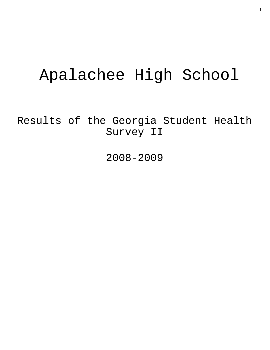# Apalachee High School

Results of the Georgia Student Health Survey II

2008-2009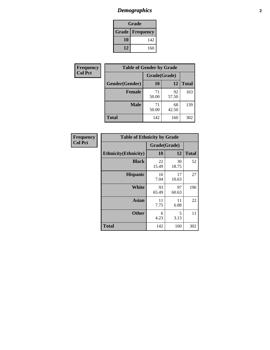# *Demographics* **2**

| Grade                    |     |  |  |
|--------------------------|-----|--|--|
| <b>Grade   Frequency</b> |     |  |  |
| 10                       | 142 |  |  |
| 12                       | 160 |  |  |

| Frequency      | <b>Table of Gender by Grade</b> |              |             |              |  |  |
|----------------|---------------------------------|--------------|-------------|--------------|--|--|
| <b>Col Pct</b> |                                 | Grade(Grade) |             |              |  |  |
|                | Gender(Gender)                  | 10           | 12          | <b>Total</b> |  |  |
|                | <b>Female</b>                   | 71<br>50.00  | 92<br>57.50 | 163          |  |  |
|                | <b>Male</b>                     | 71<br>50.00  | 68<br>42.50 | 139          |  |  |
|                | <b>Total</b>                    | 142          | 160         | 302          |  |  |

| <b>Frequency</b> |  |
|------------------|--|
| Col Pct          |  |

| <b>Table of Ethnicity by Grade</b> |              |             |              |  |  |  |
|------------------------------------|--------------|-------------|--------------|--|--|--|
|                                    | Grade(Grade) |             |              |  |  |  |
| <b>Ethnicity</b> (Ethnicity)       | 10           | 12          | <b>Total</b> |  |  |  |
| <b>Black</b>                       | 22<br>15.49  | 30<br>18.75 | 52           |  |  |  |
| <b>Hispanic</b>                    | 10<br>7.04   | 17<br>10.63 | 27           |  |  |  |
| <b>White</b>                       | 93<br>65.49  | 97<br>60.63 | 190          |  |  |  |
| <b>Asian</b>                       | 11<br>7.75   | 11<br>6.88  | 22           |  |  |  |
| <b>Other</b>                       | 6<br>4.23    | 5<br>3.13   | 11           |  |  |  |
| <b>Total</b>                       | 142          | 160         | 302          |  |  |  |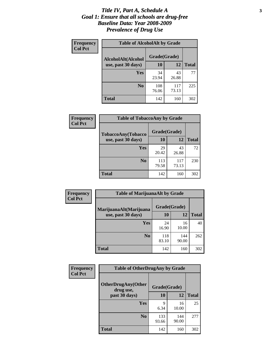### *Title IV, Part A, Schedule A* **3** *Goal 1: Ensure that all schools are drug-free Baseline Data: Year 2008-2009 Prevalence of Drug Use*

| Frequency<br><b>Col Pct</b> | <b>Table of AlcoholAlt by Grade</b> |              |              |              |  |
|-----------------------------|-------------------------------------|--------------|--------------|--------------|--|
|                             | AlcoholAlt(Alcohol                  | Grade(Grade) |              |              |  |
|                             | use, past 30 days)                  | <b>10</b>    | 12           | <b>Total</b> |  |
|                             | Yes                                 | 34<br>23.94  | 43<br>26.88  | 77           |  |
|                             | N <sub>0</sub>                      | 108<br>76.06 | 117<br>73.13 | 225          |  |
|                             | Total                               | 142          | 160          | 302          |  |

| Frequency<br><b>Col Pct</b> | <b>Table of TobaccoAny by Grade</b> |              |              |              |  |  |
|-----------------------------|-------------------------------------|--------------|--------------|--------------|--|--|
|                             | TobaccoAny(Tobacco                  | Grade(Grade) |              |              |  |  |
|                             | use, past 30 days)                  | 10           | 12           | <b>Total</b> |  |  |
|                             | <b>Yes</b>                          | 29<br>20.42  | 43<br>26.88  | 72           |  |  |
|                             | N <sub>0</sub>                      | 113<br>79.58 | 117<br>73.13 | 230          |  |  |
|                             | <b>Total</b>                        | 142          | 160          | 302          |  |  |

| Frequency<br><b>Col Pct</b> | <b>Table of MarijuanaAlt by Grade</b> |              |              |              |  |
|-----------------------------|---------------------------------------|--------------|--------------|--------------|--|
|                             | MarijuanaAlt(Marijuana                | Grade(Grade) |              |              |  |
|                             | use, past 30 days)                    | <b>10</b>    | 12           | <b>Total</b> |  |
|                             | Yes                                   | 24<br>16.90  | 16<br>10.00  | 40           |  |
|                             | N <sub>0</sub>                        | 118<br>83.10 | 144<br>90.00 | 262          |  |
|                             | <b>Total</b>                          | 142          | 160          | 302          |  |

| Frequency      | <b>Table of OtherDrugAny by Grade</b>  |              |              |              |  |
|----------------|----------------------------------------|--------------|--------------|--------------|--|
| <b>Col Pct</b> | <b>OtherDrugAny(Other</b><br>drug use, | Grade(Grade) |              |              |  |
|                | past 30 days)                          | 10           | 12           | <b>Total</b> |  |
|                | Yes                                    | 9<br>6.34    | 16<br>10.00  | 25           |  |
|                | N <sub>0</sub>                         | 133<br>93.66 | 144<br>90.00 | 277          |  |
|                | <b>Total</b>                           | 142          | 160          | 302          |  |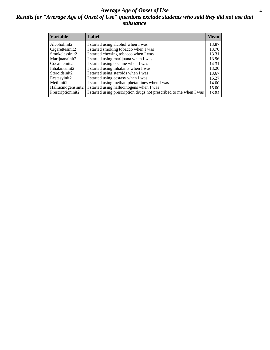### *Average Age of Onset of Use* **4** *Results for "Average Age of Onset of Use" questions exclude students who said they did not use that substance*

| <b>Variable</b>    | Label                                                              | <b>Mean</b> |
|--------------------|--------------------------------------------------------------------|-------------|
| Alcoholinit2       | I started using alcohol when I was                                 | 13.87       |
| Cigarettesinit2    | I started smoking tobacco when I was                               | 13.70       |
| Smokelessinit2     | I started chewing tobacco when I was                               | 13.31       |
| Marijuanainit2     | I started using marijuana when I was                               | 13.96       |
| Cocaineinit2       | I started using cocaine when I was                                 | 14.31       |
| Inhalantsinit2     | I started using inhalants when I was                               | 13.20       |
| Steroidsinit2      | I started using steroids when I was                                | 13.67       |
| Ecstasyinit2       | I started using ecstasy when I was                                 | 15.27       |
| Methinit2          | I started using methamphetamines when I was                        | 14.00       |
| Hallucinogensinit2 | I started using hallucinogens when I was                           | 15.00       |
| Prescriptioninit2  | I started using prescription drugs not prescribed to me when I was | 13.84       |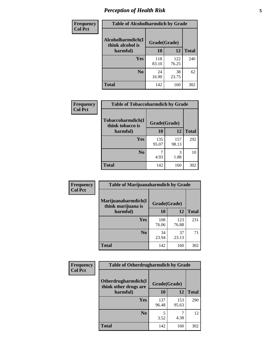# *Perception of Health Risk* **5**

| <b>Frequency</b> | <b>Table of Alcoholharmdich by Grade</b> |              |              |              |  |
|------------------|------------------------------------------|--------------|--------------|--------------|--|
| <b>Col Pct</b>   | Alcoholharmdich(I<br>think alcohol is    | Grade(Grade) |              |              |  |
|                  | harmful)                                 | 10           | 12           | <b>Total</b> |  |
|                  | <b>Yes</b>                               | 118<br>83.10 | 122<br>76.25 | 240          |  |
|                  | N <sub>0</sub>                           | 24<br>16.90  | 38<br>23.75  | 62           |  |
|                  | <b>Total</b>                             | 142          | 160          | 302          |  |

| Frequency      | <b>Table of Tobaccoharmdich by Grade</b> |              |              |              |  |
|----------------|------------------------------------------|--------------|--------------|--------------|--|
| <b>Col Pct</b> | Tobaccoharmdich(I<br>think tobacco is    | Grade(Grade) |              |              |  |
|                | harmful)                                 | 10           | 12           | <b>Total</b> |  |
|                | <b>Yes</b>                               | 135<br>95.07 | 157<br>98.13 | 292          |  |
|                | N <sub>0</sub>                           | 4.93         | 3<br>1.88    | 10           |  |
|                | <b>Total</b>                             | 142          | 160          | 302          |  |

| <b>Frequency</b> | <b>Table of Marijuanaharmdich by Grade</b> |              |              |              |  |
|------------------|--------------------------------------------|--------------|--------------|--------------|--|
| <b>Col Pct</b>   | Marijuanaharmdich(I<br>think marijuana is  | Grade(Grade) |              |              |  |
|                  | harmful)                                   | 10           | 12           | <b>Total</b> |  |
|                  | Yes                                        | 108<br>76.06 | 123<br>76.88 | 231          |  |
|                  | N <sub>0</sub>                             | 34<br>23.94  | 37<br>23.13  | 71           |  |
|                  | <b>Total</b>                               | 142          | 160          | 302          |  |

| Frequency      | <b>Table of Otherdrugharmdich by Grade</b>   |              |              |              |  |  |  |  |
|----------------|----------------------------------------------|--------------|--------------|--------------|--|--|--|--|
| <b>Col Pct</b> | Otherdrugharmdich(I<br>think other drugs are | Grade(Grade) |              |              |  |  |  |  |
|                | harmful)                                     | 10           | 12           | <b>Total</b> |  |  |  |  |
|                | <b>Yes</b>                                   | 137<br>96.48 | 153<br>95.63 | 290          |  |  |  |  |
|                | N <sub>0</sub>                               | 3.52         | 4.38         | 12           |  |  |  |  |
|                | <b>Total</b>                                 | 142          | 160          | 302          |  |  |  |  |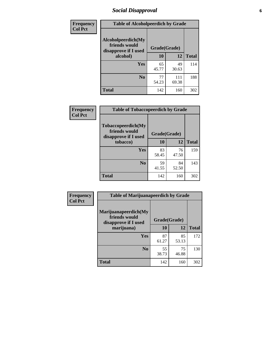# *Social Disapproval* **6**

| Frequency      | <b>Table of Alcoholpeerdich by Grade</b>                    |              |              |              |
|----------------|-------------------------------------------------------------|--------------|--------------|--------------|
| <b>Col Pct</b> | Alcoholpeerdich(My<br>friends would<br>disapprove if I used | Grade(Grade) |              |              |
|                | alcohol)                                                    | 10           | 12           | <b>Total</b> |
|                | <b>Yes</b>                                                  | 65<br>45.77  | 49<br>30.63  | 114          |
|                | N <sub>0</sub>                                              | 77<br>54.23  | 111<br>69.38 | 188          |
|                | <b>Total</b>                                                | 142          | 160          | 302          |

| <b>Frequency</b> |
|------------------|
| <b>Col Pct</b>   |

| <b>Table of Tobaccopeerdich by Grade</b>                    |             |              |              |  |  |  |  |
|-------------------------------------------------------------|-------------|--------------|--------------|--|--|--|--|
| Tobaccopeerdich(My<br>friends would<br>disapprove if I used |             | Grade(Grade) |              |  |  |  |  |
| tobacco)                                                    | 10          | 12           | <b>Total</b> |  |  |  |  |
| Yes                                                         | 83<br>58.45 | 76<br>47.50  | 159          |  |  |  |  |
| N <sub>0</sub>                                              | 59<br>41.55 | 84<br>52.50  | 143          |  |  |  |  |
| <b>Total</b>                                                | 142         | 160          | 302          |  |  |  |  |

| Frequency      | <b>Table of Marijuanapeerdich by Grade</b>                    |              |             |              |  |  |  |  |  |
|----------------|---------------------------------------------------------------|--------------|-------------|--------------|--|--|--|--|--|
| <b>Col Pct</b> | Marijuanapeerdich(My<br>friends would<br>disapprove if I used | Grade(Grade) |             |              |  |  |  |  |  |
|                | marijuana)                                                    | 10           | 12          | <b>Total</b> |  |  |  |  |  |
|                | <b>Yes</b>                                                    | 87<br>61.27  | 85<br>53.13 | 172          |  |  |  |  |  |
|                | N <sub>0</sub>                                                | 55<br>38.73  | 75<br>46.88 | 130          |  |  |  |  |  |
|                | <b>Total</b>                                                  | 142          | 160         | 302          |  |  |  |  |  |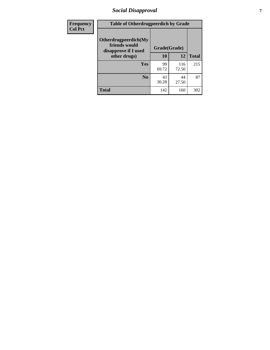# *Social Disapproval* **7**

| Frequency      | <b>Table of Otherdrugpeerdich by Grade</b>                    |              |              |              |  |  |  |  |
|----------------|---------------------------------------------------------------|--------------|--------------|--------------|--|--|--|--|
| <b>Col Pct</b> | Otherdrugpeerdich(My<br>friends would<br>disapprove if I used | Grade(Grade) |              |              |  |  |  |  |
|                | other drugs)                                                  | 10           | 12           | <b>Total</b> |  |  |  |  |
|                | Yes                                                           | 99<br>69.72  | 116<br>72.50 | 215          |  |  |  |  |
|                | N <sub>0</sub>                                                | 43<br>30.28  | 44<br>27.50  | 87           |  |  |  |  |
|                | <b>Total</b>                                                  | 142          | 160          | 302          |  |  |  |  |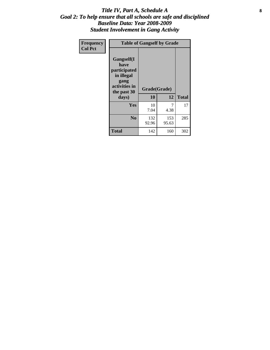### Title IV, Part A, Schedule A **8** *Goal 2: To help ensure that all schools are safe and disciplined Baseline Data: Year 2008-2009 Student Involvement in Gang Activity*

| Frequency      | <b>Table of Gangself by Grade</b>                                                                 |                    |              |              |
|----------------|---------------------------------------------------------------------------------------------------|--------------------|--------------|--------------|
| <b>Col Pct</b> | Gangself(I<br>have<br>participated<br>in illegal<br>gang<br>activities in<br>the past 30<br>days) | Grade(Grade)<br>10 | 12           | <b>Total</b> |
|                | Yes                                                                                               | 10<br>7.04         | 7<br>4.38    | 17           |
|                | N <sub>0</sub>                                                                                    | 132<br>92.96       | 153<br>95.63 | 285          |
|                | <b>Total</b>                                                                                      | 142                | 160          | 302          |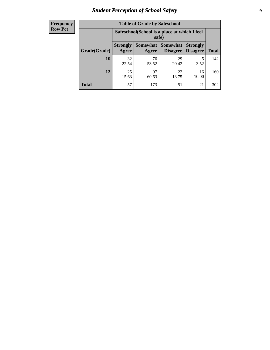# *Student Perception of School Safety* **9**

| <b>Frequency</b><br>Row Pct |
|-----------------------------|
|                             |

| <b>Table of Grade by Safeschool</b> |                                                        |                     |                             |                                    |              |  |  |
|-------------------------------------|--------------------------------------------------------|---------------------|-----------------------------|------------------------------------|--------------|--|--|
|                                     | Safeschool (School is a place at which I feel<br>safe) |                     |                             |                                    |              |  |  |
| Grade(Grade)                        | <b>Strongly</b><br>Agree                               | Somewhat  <br>Agree | <b>Somewhat</b><br>Disagree | <b>Strongly</b><br><b>Disagree</b> | <b>Total</b> |  |  |
| 10                                  | 32<br>22.54                                            | 76<br>53.52         | 29<br>20.42                 | 5<br>3.52                          | 142          |  |  |
| 12                                  | 25<br>15.63                                            | 97<br>60.63         | 22<br>13.75                 | 16<br>10.00                        | 160          |  |  |
| <b>Total</b>                        | 57                                                     | 173                 | 51                          | 21                                 | 302          |  |  |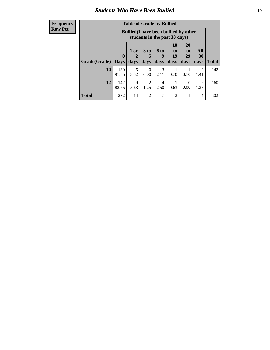### *Students Who Have Been Bullied* **10**

| <b>Frequency</b> |
|------------------|
| Row Pct          |

| <b>Table of Grade by Bullied</b> |                            |                                                                               |                        |                   |                        |                        |                        |              |
|----------------------------------|----------------------------|-------------------------------------------------------------------------------|------------------------|-------------------|------------------------|------------------------|------------------------|--------------|
|                                  |                            | <b>Bullied</b> (I have been bullied by other<br>students in the past 30 days) |                        |                   |                        |                        |                        |              |
| Grade(Grade)                     | $\mathbf 0$<br><b>Days</b> | 1 or<br>2<br>days                                                             | 3 to<br>5<br>days      | 6 to<br>9<br>days | 10<br>to<br>19<br>days | 20<br>to<br>29<br>days | All<br>30<br>days      | <b>Total</b> |
| 10                               | 130<br>91.55               | 5<br>3.52                                                                     | $\Omega$<br>0.00       | 3<br>2.11         | 0.70                   | 0.70                   | 2<br>1.41              | 142          |
| 12                               | 142<br>88.75               | 9<br>5.63                                                                     | $\mathfrak{D}$<br>1.25 | 4<br>2.50         | 0.63                   | $\Omega$<br>0.00       | $\mathfrak{D}$<br>1.25 | 160          |
| Total                            | 272                        | 14                                                                            | 2                      | 7                 | 2                      | 1                      | 4                      | 302          |

 $\blacksquare$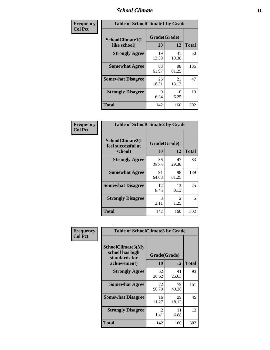### *School Climate* **11**

| <b>Frequency</b> | <b>Table of SchoolClimate1 by Grade</b> |                    |             |              |  |  |  |
|------------------|-----------------------------------------|--------------------|-------------|--------------|--|--|--|
| <b>Col Pct</b>   | SchoolClimate1(I<br>like school)        | Grade(Grade)<br>10 | 12          | <b>Total</b> |  |  |  |
|                  | <b>Strongly Agree</b>                   | 19<br>13.38        | 31<br>19.38 | 50           |  |  |  |
|                  | <b>Somewhat Agree</b>                   | 88<br>61.97        | 98<br>61.25 | 186          |  |  |  |
|                  | <b>Somewhat Disagree</b>                | 26<br>18.31        | 21<br>13.13 | 47           |  |  |  |
|                  | <b>Strongly Disagree</b>                | 9<br>6.34          | 10<br>6.25  | 19           |  |  |  |
|                  | <b>Total</b>                            | 142                | 160         | 302          |  |  |  |

| <b>Table of SchoolClimate2 by Grade</b>           |                    |                        |              |  |
|---------------------------------------------------|--------------------|------------------------|--------------|--|
| SchoolClimate2(I<br>feel successful at<br>school) | Grade(Grade)<br>10 | 12                     | <b>Total</b> |  |
| <b>Strongly Agree</b>                             | 36<br>25.35        | 47<br>29.38            | 83           |  |
| <b>Somewhat Agree</b>                             | 91<br>64.08        | 98<br>61.25            | 189          |  |
| <b>Somewhat Disagree</b>                          | 12<br>8.45         | 13<br>8.13             | 25           |  |
| <b>Strongly Disagree</b>                          | 3<br>2.11          | $\mathfrak{D}$<br>1.25 | 5            |  |
| Total                                             | 142                | 160                    | 302          |  |

| Frequency      | <b>Table of SchoolClimate3 by Grade</b>                                      |             |                    |              |
|----------------|------------------------------------------------------------------------------|-------------|--------------------|--------------|
| <b>Col Pct</b> | <b>SchoolClimate3(My</b><br>school has high<br>standards for<br>achievement) | <b>10</b>   | Grade(Grade)<br>12 | <b>Total</b> |
|                | <b>Strongly Agree</b>                                                        | 52<br>36.62 | 41<br>25.63        | 93           |
|                | <b>Somewhat Agree</b>                                                        | 72<br>50.70 | 79<br>49.38        | 151          |
|                | <b>Somewhat Disagree</b>                                                     | 16<br>11.27 | 29<br>18.13        | 45           |
|                | <b>Strongly Disagree</b>                                                     | 2<br>1.41   | 11<br>6.88         | 13           |
|                | Total                                                                        | 142         | 160                | 302          |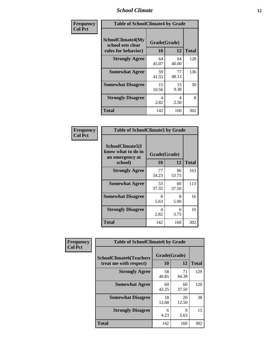### *School Climate* **12**

| Frequency      |                                                                      | <b>Table of SchoolClimate4 by Grade</b> |             |              |  |
|----------------|----------------------------------------------------------------------|-----------------------------------------|-------------|--------------|--|
| <b>Col Pct</b> | <b>SchoolClimate4(My</b><br>school sets clear<br>rules for behavior) | Grade(Grade)<br>10                      | 12          | <b>Total</b> |  |
|                | <b>Strongly Agree</b>                                                | 64<br>45.07                             | 64<br>40.00 | 128          |  |
|                | <b>Somewhat Agree</b>                                                | 59<br>41.55                             | 77<br>48.13 | 136          |  |
|                | <b>Somewhat Disagree</b>                                             | 15<br>10.56                             | 15<br>9.38  | 30           |  |
|                | <b>Strongly Disagree</b>                                             | 4<br>2.82                               | 4<br>2.50   | 8            |  |
|                | <b>Total</b>                                                         | 142                                     | 160         | 302          |  |

| <b>Table of SchoolClimate5 by Grade</b>                   |              |             |              |  |  |
|-----------------------------------------------------------|--------------|-------------|--------------|--|--|
| SchoolClimate5(I<br>know what to do in<br>an emergency at | Grade(Grade) |             |              |  |  |
| school)                                                   | 10           | 12          | <b>Total</b> |  |  |
| <b>Strongly Agree</b>                                     | 77<br>54.23  | 86<br>53.75 | 163          |  |  |
| <b>Somewhat Agree</b>                                     | 53<br>37.32  | 60<br>37.50 | 113          |  |  |
| <b>Somewhat Disagree</b>                                  | 8<br>5.63    | 8<br>5.00   | 16           |  |  |
| <b>Strongly Disagree</b>                                  | 4<br>2.82    | 6<br>3.75   | 10           |  |  |
| Total                                                     | 142          | 160         | 302          |  |  |

| Frequency      | <b>Table of SchoolClimate6 by Grade</b>                  |                    |             |              |
|----------------|----------------------------------------------------------|--------------------|-------------|--------------|
| <b>Col Pct</b> | <b>SchoolClimate6(Teachers</b><br>treat me with respect) | Grade(Grade)<br>10 | 12          | <b>Total</b> |
|                | <b>Strongly Agree</b>                                    | 58<br>40.85        | 71<br>44.38 | 129          |
|                | <b>Somewhat Agree</b>                                    | 60<br>42.25        | 60<br>37.50 | 120          |
|                | <b>Somewhat Disagree</b>                                 | 18<br>12.68        | 20<br>12.50 | 38           |
|                | <b>Strongly Disagree</b>                                 | 6<br>4.23          | 9<br>5.63   | 15           |
|                | <b>Total</b>                                             | 142                | 160         | 302          |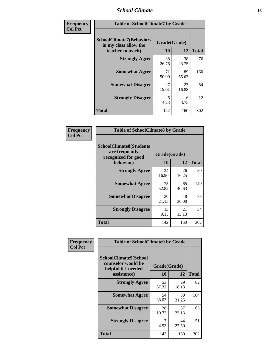### *School Climate* **13**

| Frequency      | <b>Table of SchoolClimate7 by Grade</b>                                       |                           |             |              |
|----------------|-------------------------------------------------------------------------------|---------------------------|-------------|--------------|
| <b>Col Pct</b> | <b>SchoolClimate7(Behaviors</b><br>in my class allow the<br>teacher to teach) | Grade(Grade)<br><b>10</b> | 12          | <b>Total</b> |
|                | <b>Strongly Agree</b>                                                         | 38<br>26.76               | 38<br>23.75 | 76           |
|                | <b>Somewhat Agree</b>                                                         | 71<br>50.00               | 89<br>55.63 | 160          |
|                | <b>Somewhat Disagree</b>                                                      | 27<br>19.01               | 27<br>16.88 | 54           |
|                | <b>Strongly Disagree</b>                                                      | 6<br>4.23                 | 6<br>3.75   | 12           |
|                | <b>Total</b>                                                                  | 142                       | 160         | 302          |

| Frequency      | <b>Table of SchoolClimate8 by Grade</b>                                              |                    |             |              |
|----------------|--------------------------------------------------------------------------------------|--------------------|-------------|--------------|
| <b>Col Pct</b> | <b>SchoolClimate8(Students</b><br>are frequently<br>recognized for good<br>behavior) | Grade(Grade)<br>10 | 12          | <b>Total</b> |
|                | <b>Strongly Agree</b>                                                                | 24<br>16.90        | 26<br>16.25 | 50           |
|                | <b>Somewhat Agree</b>                                                                | 75<br>52.82        | 65<br>40.63 | 140          |
|                | <b>Somewhat Disagree</b>                                                             | 30<br>21.13        | 48<br>30.00 | 78           |
|                | <b>Strongly Disagree</b>                                                             | 13<br>9.15         | 21<br>13.13 | 34           |
|                | <b>Total</b>                                                                         | 142                | 160         | 302          |

| Frequency<br><b>Col Pct</b> | <b>Table of SchoolClimate9 by Grade</b>                                           |                    |             |              |
|-----------------------------|-----------------------------------------------------------------------------------|--------------------|-------------|--------------|
|                             | SchoolClimate9(School<br>counselor would be<br>helpful if I needed<br>assistance) | Grade(Grade)<br>10 | 12          | <b>Total</b> |
|                             | <b>Strongly Agree</b>                                                             | 53<br>37.32        | 29<br>18.13 | 82           |
|                             | <b>Somewhat Agree</b>                                                             | 54<br>38.03        | 50<br>31.25 | 104          |
|                             | <b>Somewhat Disagree</b>                                                          | 28<br>19.72        | 37<br>23.13 | 65           |
|                             | <b>Strongly Disagree</b>                                                          | 4.93               | 44<br>27.50 | 51           |
|                             | <b>Total</b>                                                                      | 142                | 160         | 302          |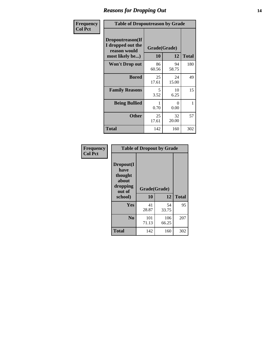### *Reasons for Dropping Out* **14**

| Frequency      | <b>Table of Dropoutreason by Grade</b>                                   |             |                    |              |
|----------------|--------------------------------------------------------------------------|-------------|--------------------|--------------|
| <b>Col Pct</b> | Dropoutreason(If<br>I dropped out the<br>reason would<br>most likely be) | 10          | Grade(Grade)<br>12 | <b>Total</b> |
|                | <b>Won't Drop out</b>                                                    | 86<br>60.56 | 94<br>58.75        | 180          |
|                | <b>Bored</b>                                                             | 25<br>17.61 | 24<br>15.00        | 49           |
|                | <b>Family Reasons</b>                                                    | 5<br>3.52   | 10<br>6.25         | 15           |
|                | <b>Being Bullied</b>                                                     | 1<br>0.70   | 0<br>0.00          | 1            |
|                | <b>Other</b>                                                             | 25<br>17.61 | 32<br>20.00        | 57           |
|                | <b>Total</b>                                                             | 142         | 160                | 302          |

| Frequency<br><b>Col Pct</b> | <b>Table of Dropout by Grade</b>                                       |                    |              |              |
|-----------------------------|------------------------------------------------------------------------|--------------------|--------------|--------------|
|                             | Dropout(I<br>have<br>thought<br>about<br>dropping<br>out of<br>school) | Grade(Grade)<br>10 | 12           | <b>Total</b> |
|                             | Yes                                                                    | 41<br>28.87        | 54<br>33.75  | 95           |
|                             | N <sub>0</sub>                                                         | 101<br>71.13       | 106<br>66.25 | 207          |
|                             | <b>Total</b>                                                           | 142                | 160          | 302          |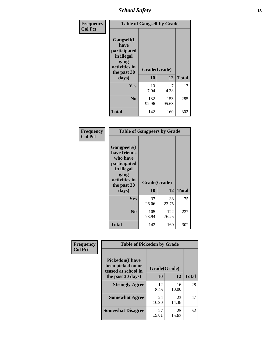*School Safety* **15**

| Frequency      | <b>Table of Gangself by Grade</b>                                                                 |                          |              |              |
|----------------|---------------------------------------------------------------------------------------------------|--------------------------|--------------|--------------|
| <b>Col Pct</b> | Gangself(I<br>have<br>participated<br>in illegal<br>gang<br>activities in<br>the past 30<br>days) | Grade(Grade)<br>10<br>12 |              | <b>Total</b> |
|                | Yes                                                                                               | 10<br>7.04               | 7<br>4.38    | 17           |
|                | N <sub>0</sub>                                                                                    | 132<br>92.96             | 153<br>95.63 | 285          |
|                | <b>Total</b>                                                                                      | 142                      | 160          | 302          |

| Frequency<br><b>Col Pct</b> | <b>Table of Gangpeers by Grade</b>                                                                                             |                    |              |              |
|-----------------------------|--------------------------------------------------------------------------------------------------------------------------------|--------------------|--------------|--------------|
|                             | <b>Gangpeers</b> (I<br>have friends<br>who have<br>participated<br>in illegal<br>gang<br>activities in<br>the past 30<br>days) | Grade(Grade)<br>10 | 12           | <b>Total</b> |
|                             | <b>Yes</b>                                                                                                                     | 37<br>26.06        | 38<br>23.75  | 75           |
|                             | N <sub>0</sub>                                                                                                                 | 105<br>73.94       | 122<br>76.25 | 227          |
|                             | <b>Total</b>                                                                                                                   | 142                | 160          | 302          |

| Frequency      | <b>Table of Pickedon by Grade</b>                                   |              |             |              |  |  |  |  |  |  |
|----------------|---------------------------------------------------------------------|--------------|-------------|--------------|--|--|--|--|--|--|
| <b>Col Pct</b> | <b>Pickedon</b> (I have<br>been picked on or<br>teased at school in | Grade(Grade) |             |              |  |  |  |  |  |  |
|                | the past 30 days)                                                   | 10           | 12          | <b>Total</b> |  |  |  |  |  |  |
|                | <b>Strongly Agree</b>                                               | 12<br>8.45   | 16<br>10.00 | 28           |  |  |  |  |  |  |
|                | <b>Somewhat Agree</b>                                               | 24<br>16.90  | 23<br>14.38 | 47           |  |  |  |  |  |  |
|                | <b>Somewhat Disagree</b>                                            | 27<br>19.01  | 25<br>15.63 | 52           |  |  |  |  |  |  |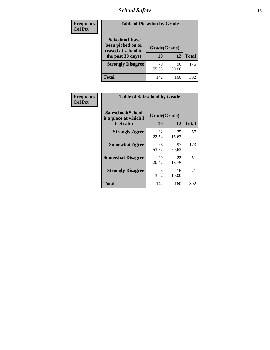# *School Safety* **16**

| <b>Frequency</b> |                                                                                         | <b>Table of Pickedon by Grade</b> |             |              |  |  |  |  |  |
|------------------|-----------------------------------------------------------------------------------------|-----------------------------------|-------------|--------------|--|--|--|--|--|
| <b>Col Pct</b>   | <b>Pickedon(I have</b><br>been picked on or<br>teased at school in<br>the past 30 days) | Grade(Grade)<br>10                | 12          | <b>Total</b> |  |  |  |  |  |
|                  | <b>Strongly Disagree</b>                                                                | 79<br>55.63                       | 96<br>60.00 | 175          |  |  |  |  |  |
|                  | Total                                                                                   | 142                               | 160         | 302          |  |  |  |  |  |

| Frequency      | <b>Table of Safeschool by Grade</b>                      |                    |              |     |
|----------------|----------------------------------------------------------|--------------------|--------------|-----|
| <b>Col Pct</b> | Safeschool(School<br>is a place at which I<br>feel safe) | Grade(Grade)<br>10 | <b>Total</b> |     |
|                | <b>Strongly Agree</b>                                    | 32<br>22.54        | 25<br>15.63  | 57  |
|                | <b>Somewhat Agree</b>                                    | 76<br>53.52        | 97<br>60.63  | 173 |
|                | <b>Somewhat Disagree</b>                                 | 29<br>20.42        | 22<br>13.75  | 51  |
|                | <b>Strongly Disagree</b>                                 | 5<br>3.52          | 16<br>10.00  | 21  |
|                | <b>Total</b>                                             | 142                | 160          | 302 |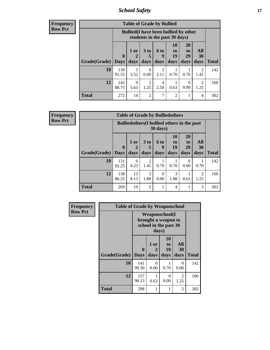*School Safety* **17**

**Frequency Row Pct**

| <b>Table of Grade by Bullied</b> |              |                                                                               |                     |                   |                        |                        |                          |              |  |  |  |
|----------------------------------|--------------|-------------------------------------------------------------------------------|---------------------|-------------------|------------------------|------------------------|--------------------------|--------------|--|--|--|
|                                  |              | <b>Bullied</b> (I have been bullied by other<br>students in the past 30 days) |                     |                   |                        |                        |                          |              |  |  |  |
| <b>Grade</b> (Grade)   Days      | $\mathbf{0}$ | $1$ or<br>2<br>days                                                           | $3$ to<br>5<br>days | 6 to<br>9<br>days | 10<br>to<br>19<br>days | 20<br>to<br>29<br>days | All<br><b>30</b><br>days | <b>Total</b> |  |  |  |
| 10                               | 130<br>91.55 | 5<br>3.52                                                                     | 0<br>0.00           | 3<br>2.11         | 0.70                   | 0.70                   | $\mathfrak{D}$<br>1.41   | 142          |  |  |  |
| 12                               | 142<br>88.75 | 9<br>5.63                                                                     | 2<br>1.25           | 4<br>2.50         | 0.63                   | 0<br>0.00              | 2<br>1.25                | 160          |  |  |  |
| <b>Total</b>                     | 272          | 14                                                                            | $\overline{c}$      | 7                 | $\overline{2}$         |                        | 4                        | 302          |  |  |  |

| <b>Table of Grade by Bulliedothers</b> |                       |                                                                |                              |                   |                               |                               |                        |              |  |  |  |
|----------------------------------------|-----------------------|----------------------------------------------------------------|------------------------------|-------------------|-------------------------------|-------------------------------|------------------------|--------------|--|--|--|
|                                        |                       | <b>Bulliedothers</b> (I bullied others in the past<br>30 days) |                              |                   |                               |                               |                        |              |  |  |  |
| Grade(Grade)                           | $\mathbf 0$<br>  Days | 1 or<br>2<br>days                                              | 3 <sub>to</sub><br>5<br>days | 6 to<br>9<br>days | <b>10</b><br>to<br>19<br>days | <b>20</b><br>to<br>29<br>days | All<br>30<br>days      | <b>Total</b> |  |  |  |
| 10                                     | 131<br>92.25          | 6<br>4.23                                                      | $\overline{2}$<br>1.41       | 0.70              | 0.70                          | 0<br>0.00                     | 0.70                   | 142          |  |  |  |
| 12                                     | 138<br>86.25          | 13<br>8.13                                                     | 3<br>1.88                    | 0<br>0.00         | 3<br>1.88                     | 0.63                          | $\overline{2}$<br>1.25 | 160          |  |  |  |
| Total                                  | 269                   | 19                                                             | 5                            |                   | 4                             |                               | 3                      | 302          |  |  |  |

| Frequency      | <b>Table of Grade by Weaponschool</b> |                                                                        |                   |                               |                   |              |
|----------------|---------------------------------------|------------------------------------------------------------------------|-------------------|-------------------------------|-------------------|--------------|
| <b>Row Pct</b> |                                       | <b>Weaponschool</b> (I<br>brought a weapon to<br>school in the past 30 |                   |                               |                   |              |
|                | Grade(Grade)                          | $\bf{0}$<br><b>Days</b>                                                | 1 or<br>2<br>days | <b>10</b><br>to<br>19<br>days | All<br>30<br>days | <b>Total</b> |
|                | 10                                    | 141<br>99.30                                                           | 0<br>0.00         | 0.70                          | $\Omega$<br>0.00  | 142          |
|                | 12                                    | 157<br>98.13                                                           | 0.63              | 0<br>0.00                     | 2<br>1.25         | 160          |
|                | <b>Total</b>                          | 298                                                                    |                   | 1                             | 2                 | 302          |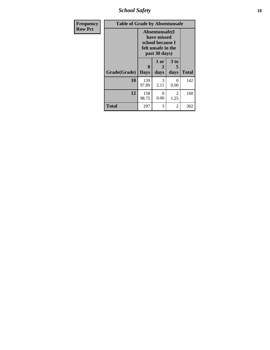*School Safety* **18**

| <b>Frequency</b> | <b>Table of Grade by Absentunsafe</b> |                                                                                           |                   |                   |              |  |  |  |  |
|------------------|---------------------------------------|-------------------------------------------------------------------------------------------|-------------------|-------------------|--------------|--|--|--|--|
| <b>Row Pct</b>   |                                       | Absentunsafe(I)<br>have missed<br>school because I<br>felt unsafe in the<br>past 30 days) |                   |                   |              |  |  |  |  |
|                  | Grade(Grade)                          | 0<br><b>Days</b>                                                                          | 1 or<br>2<br>days | 3 to<br>5<br>days | <b>Total</b> |  |  |  |  |
|                  | 10                                    | 139<br>97.89                                                                              | 3<br>2.11         | 0<br>0.00         | 142          |  |  |  |  |
|                  | 12                                    | 158<br>98.75                                                                              | 0<br>0.00         | 2<br>1.25         | 160          |  |  |  |  |
|                  | <b>Total</b>                          | 297                                                                                       | 3                 | $\overline{2}$    | 302          |  |  |  |  |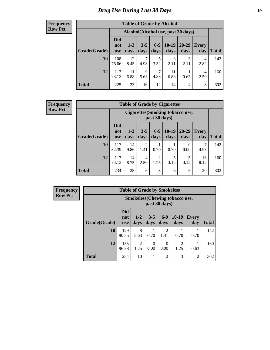# *Drug Use During Last 30 Days* **19**

#### **Frequency Row Pct**

| <b>Table of Grade by Alcohol</b> |                                 |                                    |                 |               |                 |               |              |       |  |  |  |
|----------------------------------|---------------------------------|------------------------------------|-----------------|---------------|-----------------|---------------|--------------|-------|--|--|--|
|                                  |                                 | Alcohol(Alcohol use, past 30 days) |                 |               |                 |               |              |       |  |  |  |
| Grade(Grade)                     | <b>Did</b><br>not<br><b>use</b> | $1-2$<br>days                      | $3 - 5$<br>days | $6-9$<br>days | $10-19$<br>days | 20-29<br>days | Every<br>day | Total |  |  |  |
| 10                               | 108<br>76.06                    | 12<br>8.45                         | 4.93            | 5<br>3.52     | 3<br>2.11       | 3<br>2.11     | 4<br>2.82    | 142   |  |  |  |
| 12                               | 117<br>73.13                    | 11<br>6.88                         | 9<br>5.63       | 7<br>4.38     | 11<br>6.88      | 0.63          | 4<br>2.50    | 160   |  |  |  |
| <b>Total</b>                     | 225                             | 23                                 | 16              | 12            | 14              | 4             | 8            | 302   |  |  |  |

#### **Frequency Row Pct**

| <b>Table of Grade by Cigarettes</b> |                                 |                                                         |                        |                        |                 |                   |                     |              |  |  |
|-------------------------------------|---------------------------------|---------------------------------------------------------|------------------------|------------------------|-----------------|-------------------|---------------------|--------------|--|--|
|                                     |                                 | <b>Cigarettes(Smoking tobacco use,</b><br>past 30 days) |                        |                        |                 |                   |                     |              |  |  |
| Grade(Grade)                        | <b>Did</b><br>not<br><b>use</b> | $1 - 2$<br>days                                         | $3 - 5$<br>days        | $6 - 9$<br>days        | $10-19$<br>days | $20 - 29$<br>days | <b>Every</b><br>day | <b>Total</b> |  |  |
| 10                                  | 117<br>82.39                    | 14<br>9.86                                              | 2<br>1.41              | 0.70                   | 0.70            | 0<br>0.00         | 7<br>4.93           | 142          |  |  |
| 12                                  | 117<br>73.13                    | 14<br>8.75                                              | $\overline{4}$<br>2.50 | $\overline{c}$<br>1.25 | 5<br>3.13       | 5<br>3.13         | 13<br>8.13          | 160          |  |  |
| <b>Total</b>                        | 234                             | 28                                                      | 6                      | 3                      | 6               | 5                 | 20                  | 302          |  |  |

| <b>Table of Grade by Smokeless</b> |                                 |                                                        |                  |                |                        |                     |              |  |  |  |
|------------------------------------|---------------------------------|--------------------------------------------------------|------------------|----------------|------------------------|---------------------|--------------|--|--|--|
|                                    |                                 | <b>Smokeless</b> (Chewing tobaccouse,<br>past 30 days) |                  |                |                        |                     |              |  |  |  |
| Grade(Grade)                       | <b>Did</b><br>not<br><b>use</b> | $1-2$<br>days                                          | $3 - 5$<br>days  | $6-9$<br>days  | $10-19$<br>days        | <b>Every</b><br>day | <b>Total</b> |  |  |  |
| 10                                 | 129<br>90.85                    | 8<br>5.63                                              | 0.70             | 2<br>1.41      | 0.70                   | 0.70                | 142          |  |  |  |
| 12                                 | 155<br>96.88                    | $\mathfrak{D}$<br>1.25                                 | $\Omega$<br>0.00 | 0<br>0.00      | $\mathfrak{D}$<br>1.25 | 0.63                | 160          |  |  |  |
| <b>Total</b>                       | 284                             | 10                                                     |                  | $\overline{2}$ | 3                      | $\overline{2}$      | 302          |  |  |  |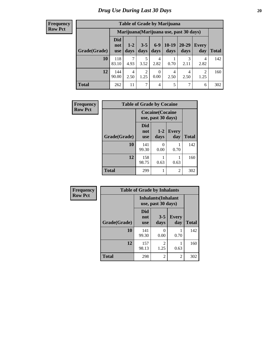| <b>Table of Grade by Marijuana</b> |                          |                                         |                        |               |                 |               |              |       |  |  |  |
|------------------------------------|--------------------------|-----------------------------------------|------------------------|---------------|-----------------|---------------|--------------|-------|--|--|--|
|                                    |                          | Marijuana (Marijuana use, past 30 days) |                        |               |                 |               |              |       |  |  |  |
| Grade(Grade)                       | Did<br>not<br><b>use</b> | $1 - 2$<br>days                         | $3 - 5$<br>days        | $6-9$<br>days | $10-19$<br>days | 20-29<br>days | Every<br>day | Total |  |  |  |
| 10                                 | 118<br>83.10             | $\mathcal{I}$<br>4.93                   | 3.52                   | 4<br>2.82     | 0.70            | 3<br>2.11     | 4<br>2.82    | 142   |  |  |  |
| 12                                 | 144<br>90.00             | $\overline{4}$<br>2.50                  | $\overline{2}$<br>1.25 | 0<br>0.00     | 4<br>2.50       | 4<br>2.50     | 2<br>1.25    | 160   |  |  |  |
| <b>Total</b>                       | 262                      | 11                                      | 7                      | 4             | 5               | $\mathcal{I}$ | 6            | 302   |  |  |  |

| Frequency      | <b>Table of Grade by Cocaine</b> |                                               |               |                     |              |  |  |  |  |  |  |
|----------------|----------------------------------|-----------------------------------------------|---------------|---------------------|--------------|--|--|--|--|--|--|
| <b>Row Pct</b> |                                  | <b>Cocaine</b> (Cocaine<br>use, past 30 days) |               |                     |              |  |  |  |  |  |  |
|                | Grade(Grade)                     | <b>Did</b><br>not<br><b>use</b>               | $1-2$<br>days | <b>Every</b><br>day | <b>Total</b> |  |  |  |  |  |  |
|                | 10                               | 141<br>99.30                                  | 0<br>0.00     | 0.70                | 142          |  |  |  |  |  |  |
|                | 12                               | 158<br>98.75                                  | 0.63          | 0.63                | 160          |  |  |  |  |  |  |
|                | <b>Total</b>                     | 299                                           | 1             | $\overline{2}$      | 302          |  |  |  |  |  |  |

| Frequency      | <b>Table of Grade by Inhalants</b> |                                                  |                        |                     |              |
|----------------|------------------------------------|--------------------------------------------------|------------------------|---------------------|--------------|
| <b>Row Pct</b> |                                    | <b>Inhalants</b> (Inhalant<br>use, past 30 days) |                        |                     |              |
|                | Grade(Grade)                       | <b>Did</b><br>not<br><b>use</b>                  | $3 - 5$<br>days        | <b>Every</b><br>day | <b>Total</b> |
|                | 10                                 | 141<br>99.30                                     | 0<br>0.00              | 0.70                | 142          |
|                | 12                                 | 157<br>98.13                                     | $\mathfrak{D}$<br>1.25 | 0.63                | 160          |
|                | <b>Total</b>                       | 298                                              | 2                      | 2                   | 302          |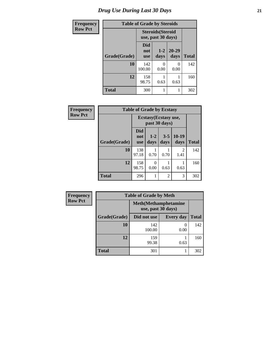| <b>Frequency</b> | <b>Table of Grade by Steroids</b> |                                                |                           |                      |              |
|------------------|-----------------------------------|------------------------------------------------|---------------------------|----------------------|--------------|
| <b>Row Pct</b>   |                                   | <b>Steroids</b> (Steroid<br>use, past 30 days) |                           |                      |              |
|                  | Grade(Grade)                      | <b>Did</b><br>not<br><b>use</b>                | $1 - 2$<br>days           | $20 - 29$<br>days    | <b>Total</b> |
|                  | 10                                | 142<br>100.00                                  | $\mathbf{\Omega}$<br>0.00 | $\mathbf{0}$<br>0.00 | 142          |
|                  | 12                                | 158<br>98.75                                   | 0.63                      | 0.63                 | 160          |
|                  | <b>Total</b>                      | 300                                            |                           |                      | 302          |

| Frequency      | <b>Table of Grade by Ecstasy</b> |                   |                  |                                        |                 |              |
|----------------|----------------------------------|-------------------|------------------|----------------------------------------|-----------------|--------------|
| <b>Row Pct</b> |                                  |                   |                  | Ecstasy (Ecstasy use,<br>past 30 days) |                 |              |
|                | Grade(Grade)                     | Did<br>not<br>use | $1 - 2$<br>days  | $3 - 5$<br>days                        | $10-19$<br>days | <b>Total</b> |
|                | 10                               | 138<br>97.18      | 0.70             | 0.70                                   | 2<br>1.41       | 142          |
|                | 12                               | 158<br>98.75      | $\theta$<br>0.00 | 0.63                                   | 0.63            | 160          |
|                | <b>Total</b>                     | 296               | 1                | 2                                      | 3               | 302          |

| <b>Frequency</b> | <b>Table of Grade by Meth</b> |                                                    |                  |              |  |  |
|------------------|-------------------------------|----------------------------------------------------|------------------|--------------|--|--|
| <b>Row Pct</b>   |                               | <b>Meth</b> (Methamphetamine<br>use, past 30 days) |                  |              |  |  |
|                  | Grade(Grade)                  | Did not use                                        | <b>Every day</b> | <b>Total</b> |  |  |
|                  | 10                            | 142<br>100.00                                      | 0.00             | 142          |  |  |
|                  | 12                            | 159<br>99.38                                       | 0.63             | 160          |  |  |
|                  | <b>Total</b>                  | 301                                                |                  | 302          |  |  |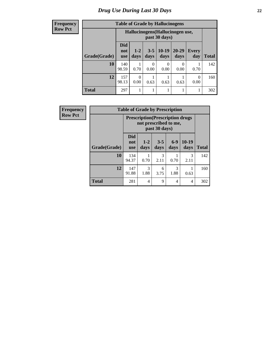| <b>Table of Grade by Hallucinogens</b> |                          |                                                   |                 |                 |               |                     |              |
|----------------------------------------|--------------------------|---------------------------------------------------|-----------------|-----------------|---------------|---------------------|--------------|
|                                        |                          | Hallucinogens (Hallucinogen use,<br>past 30 days) |                 |                 |               |                     |              |
| Grade(Grade)                           | Did<br>not<br><b>use</b> | $1 - 2$<br>days                                   | $3 - 5$<br>days | $10-19$<br>days | 20-29<br>days | <b>Every</b><br>day | <b>Total</b> |
| 10                                     | 140<br>98.59             | 0.70                                              | 0<br>0.00       | 0<br>0.00       | 0<br>0.00     | 0.70                | 142          |
| 12                                     | 157<br>98.13             | 0<br>0.00                                         | 0.63            | 0.63            | 0.63          | 0.00                | 160          |
| <b>Total</b>                           | 297                      |                                                   |                 |                 |               |                     | 302          |

| Frequency      | <b>Table of Grade by Prescription</b> |                                                                                    |                       |                       |                       |                       |              |
|----------------|---------------------------------------|------------------------------------------------------------------------------------|-----------------------|-----------------------|-----------------------|-----------------------|--------------|
| <b>Row Pct</b> |                                       | <b>Prescription</b> (Prescription drugs)<br>not prescribed to me,<br>past 30 days) |                       |                       |                       |                       |              |
|                | Grade(Grade)                          | <b>Did</b><br>not<br><b>use</b>                                                    | $1 - 2$<br>days       | $3 - 5$<br>days       | $6-9$<br>days         | $10-19$<br>days       | <b>Total</b> |
|                | 10                                    | 134<br>94.37                                                                       | 0.70                  | $\mathcal{F}$<br>2.11 | 0.70                  | $\mathcal{R}$<br>2.11 | 142          |
|                | 12                                    | 147<br>91.88                                                                       | $\mathcal{R}$<br>1.88 | 6<br>3.75             | $\mathcal{R}$<br>1.88 | 0.63                  | 160          |
|                | <b>Total</b>                          | 281                                                                                | 4                     | 9                     | $\overline{4}$        | $\overline{4}$        | 302          |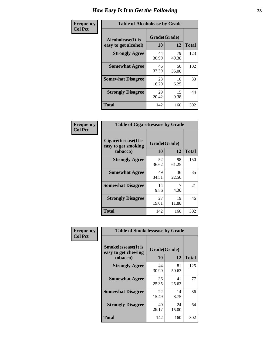| Frequency      | <b>Table of Alcoholease by Grade</b>       |                    |              |     |  |
|----------------|--------------------------------------------|--------------------|--------------|-----|--|
| <b>Col Pct</b> | Alcoholease (It is<br>easy to get alcohol) | Grade(Grade)<br>10 | <b>Total</b> |     |  |
|                | <b>Strongly Agree</b>                      | 44<br>30.99        | 79<br>49.38  | 123 |  |
|                | <b>Somewhat Agree</b>                      | 46<br>32.39        | 56<br>35.00  | 102 |  |
|                | <b>Somewhat Disagree</b>                   | 23<br>16.20        | 10<br>6.25   | 33  |  |
|                | <b>Strongly Disagree</b>                   | 29<br>20.42        | 15<br>9.38   | 44  |  |
|                | <b>Total</b>                               | 142                | 160          | 302 |  |

| Frequency<br>Col Pct |  |
|----------------------|--|

| <b>Table of Cigarettesease by Grade</b>                 |                    |             |              |  |  |
|---------------------------------------------------------|--------------------|-------------|--------------|--|--|
| Cigarettesease(It is<br>easy to get smoking<br>tobacco) | Grade(Grade)<br>10 | 12          | <b>Total</b> |  |  |
| <b>Strongly Agree</b>                                   | 52<br>36.62        | 98<br>61.25 | 150          |  |  |
| <b>Somewhat Agree</b>                                   | 49<br>34.51        | 36<br>22.50 | 85           |  |  |
| <b>Somewhat Disagree</b>                                | 14<br>9.86         | 4.38        | 21           |  |  |
| <b>Strongly Disagree</b>                                | 27<br>19.01        | 19<br>11.88 | 46           |  |  |
| Total                                                   | 142                | 160         | 302          |  |  |

| Frequency      | <b>Table of Smokelessease by Grade</b>                         |                    |             |              |  |  |
|----------------|----------------------------------------------------------------|--------------------|-------------|--------------|--|--|
| <b>Col Pct</b> | <b>Smokelessease</b> (It is<br>easy to get chewing<br>tobacco) | Grade(Grade)<br>10 | 12          | <b>Total</b> |  |  |
|                | <b>Strongly Agree</b>                                          | 44<br>30.99        | 81<br>50.63 | 125          |  |  |
|                | <b>Somewhat Agree</b>                                          | 36<br>25.35        | 41<br>25.63 | 77           |  |  |
|                | <b>Somewhat Disagree</b>                                       | 22<br>15.49        | 14<br>8.75  | 36           |  |  |
|                | <b>Strongly Disagree</b>                                       | 40<br>28.17        | 24<br>15.00 | 64           |  |  |
|                | <b>Total</b>                                                   | 142                | 160         | 302          |  |  |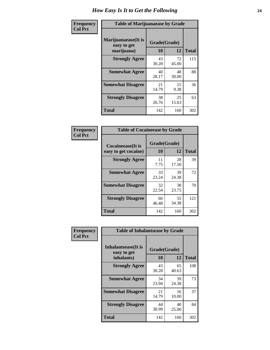| Frequency      | <b>Table of Marijuanaease by Grade</b>           |                    |             |              |  |
|----------------|--------------------------------------------------|--------------------|-------------|--------------|--|
| <b>Col Pct</b> | Marijuanaease(It is<br>easy to get<br>marijuana) | Grade(Grade)<br>10 | 12          | <b>Total</b> |  |
|                | <b>Strongly Agree</b>                            | 43<br>30.28        | 72<br>45.00 | 115          |  |
|                | <b>Somewhat Agree</b>                            | 40<br>28.17        | 48<br>30.00 | 88           |  |
|                | <b>Somewhat Disagree</b>                         | 21<br>14.79        | 15<br>9.38  | 36           |  |
|                | <b>Strongly Disagree</b>                         | 38<br>26.76        | 25<br>15.63 | 63           |  |
|                | <b>Total</b>                                     | 142                | 160         | 302          |  |

| <b>Table of Cocaineease by Grade</b> |              |             |              |  |  |  |
|--------------------------------------|--------------|-------------|--------------|--|--|--|
| <b>Cocaineease</b> (It is            | Grade(Grade) |             |              |  |  |  |
| easy to get cocaine)                 | 10           | 12          | <b>Total</b> |  |  |  |
| <b>Strongly Agree</b>                | 11<br>7.75   | 28<br>17.50 | 39           |  |  |  |
| <b>Somewhat Agree</b>                | 33<br>23.24  | 39<br>24.38 | 72           |  |  |  |
| <b>Somewhat Disagree</b>             | 32<br>22.54  | 38<br>23.75 | 70           |  |  |  |
| <b>Strongly Disagree</b>             | 66<br>46.48  | 55<br>34.38 | 121          |  |  |  |
| <b>Total</b>                         | 142          | 160         | 302          |  |  |  |

| Frequency      | <b>Table of Inhalantsease by Grade</b>     |              |             |              |
|----------------|--------------------------------------------|--------------|-------------|--------------|
| <b>Col Pct</b> | <b>Inhalantsease</b> (It is<br>easy to get | Grade(Grade) |             |              |
|                | inhalants)                                 | 10           | 12          | <b>Total</b> |
|                | <b>Strongly Agree</b>                      | 43<br>30.28  | 65<br>40.63 | 108          |
|                | <b>Somewhat Agree</b>                      | 34<br>23.94  | 39<br>24.38 | 73           |
|                | <b>Somewhat Disagree</b>                   | 21<br>14.79  | 16<br>10.00 | 37           |
|                | <b>Strongly Disagree</b>                   | 44<br>30.99  | 40<br>25.00 | 84           |
|                | <b>Total</b>                               | 142          | 160         | 302          |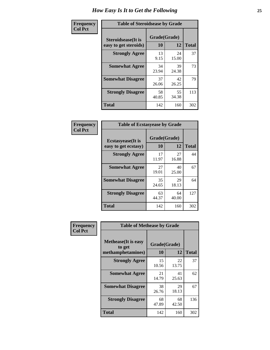| Frequency      | <b>Table of Steroidsease by Grade</b>       |                    |             |              |
|----------------|---------------------------------------------|--------------------|-------------|--------------|
| <b>Col Pct</b> | Steroidsease(It is<br>easy to get steroids) | Grade(Grade)<br>10 | 12          | <b>Total</b> |
|                | <b>Strongly Agree</b>                       | 13<br>9.15         | 24<br>15.00 | 37           |
|                | <b>Somewhat Agree</b>                       | 34<br>23.94        | 39<br>24.38 | 73           |
|                | <b>Somewhat Disagree</b>                    | 37<br>26.06        | 42<br>26.25 | 79           |
|                | <b>Strongly Disagree</b>                    | 58<br>40.85        | 55<br>34.38 | 113          |
|                | <b>Total</b>                                | 142                | 160         | 302          |

| Frequency      | <b>Table of Ecstasyease by Grade</b>              |                    |             |              |
|----------------|---------------------------------------------------|--------------------|-------------|--------------|
| <b>Col Pct</b> | <b>Ecstasyease</b> (It is<br>easy to get ecstasy) | Grade(Grade)<br>10 | 12          | <b>Total</b> |
|                | <b>Strongly Agree</b>                             | 17<br>11.97        | 27<br>16.88 | 44           |
|                | <b>Somewhat Agree</b>                             | 27<br>19.01        | 40<br>25.00 | 67           |
|                | <b>Somewhat Disagree</b>                          | 35<br>24.65        | 29<br>18.13 | 64           |
|                | <b>Strongly Disagree</b>                          | 63<br>44.37        | 64<br>40.00 | 127          |
|                | <b>Total</b>                                      | 142                | 160         | 302          |

| Frequency      | <b>Table of Methease by Grade</b>                          |                    |             |              |
|----------------|------------------------------------------------------------|--------------------|-------------|--------------|
| <b>Col Pct</b> | <b>Methease</b> (It is easy<br>to get<br>methamphetamines) | Grade(Grade)<br>10 | 12          | <b>Total</b> |
|                | <b>Strongly Agree</b>                                      | 15<br>10.56        | 22<br>13.75 | 37           |
|                | <b>Somewhat Agree</b>                                      | 21<br>14.79        | 41<br>25.63 | 62           |
|                | <b>Somewhat Disagree</b>                                   | 38<br>26.76        | 29<br>18.13 | 67           |
|                | <b>Strongly Disagree</b>                                   | 68<br>47.89        | 68<br>42.50 | 136          |
|                | Total                                                      | 142                | 160         | 302          |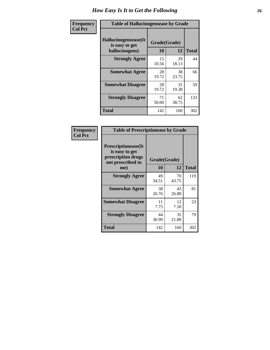| <b>Frequency</b> | <b>Table of Hallucinogensease by Grade</b>               |                    |             |              |
|------------------|----------------------------------------------------------|--------------------|-------------|--------------|
| <b>Col Pct</b>   | Hallucinogensease(It<br>is easy to get<br>hallucinogens) | Grade(Grade)<br>10 | 12          | <b>Total</b> |
|                  | <b>Strongly Agree</b>                                    | 15<br>10.56        | 29<br>18.13 | 44           |
|                  | <b>Somewhat Agree</b>                                    | 28<br>19.72        | 38<br>23.75 | 66           |
|                  | <b>Somewhat Disagree</b>                                 | 28<br>19.72        | 31<br>19.38 | 59           |
|                  | <b>Strongly Disagree</b>                                 | 71<br>50.00        | 62<br>38.75 | 133          |
|                  | <b>Total</b>                                             | 142                | 160         | 302          |

| Frequency<br>  Col Pct |
|------------------------|
|                        |

| <b>Table of Prescriptionease by Grade</b>                                                |                    |             |              |
|------------------------------------------------------------------------------------------|--------------------|-------------|--------------|
| <b>Prescriptionease</b> (It<br>is easy to get<br>prescription drugs<br>not prescribed to | Grade(Grade)<br>10 | 12          |              |
| me)                                                                                      |                    |             | <b>Total</b> |
| <b>Strongly Agree</b>                                                                    | 49<br>34.51        | 70<br>43.75 | 119          |
| <b>Somewhat Agree</b>                                                                    | 38<br>26.76        | 43<br>26.88 | 81           |
| <b>Somewhat Disagree</b>                                                                 | 11<br>7.75         | 12<br>7.50  | 23           |
| <b>Strongly Disagree</b>                                                                 | 44<br>30.99        | 35<br>21.88 | 79           |
| <b>Total</b>                                                                             | 142                | 160         | 302          |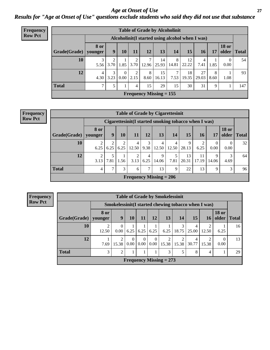*Age at Onset of Use* **27** *Results for "Age at Onset of Use" questions exclude students who said they did not use that substance*

| <b>Frequency</b> |              |                        |           |          |                       |            | <b>Table of Grade by Alcoholinit</b> |            |             |                                                  |           |                       |              |
|------------------|--------------|------------------------|-----------|----------|-----------------------|------------|--------------------------------------|------------|-------------|--------------------------------------------------|-----------|-----------------------|--------------|
| <b>Row Pct</b>   |              |                        |           |          |                       |            |                                      |            |             | Alcoholinit (I started using alcohol when I was) |           |                       |              |
|                  | Grade(Grade) | <b>8</b> or<br>vounger | 9         | 10       | 11                    | 12         | 13                                   | 14         | 15          | 16                                               | 17        | <b>18 or</b><br>older | <b>Total</b> |
|                  | 10           | 3<br>5.56              | 3.70      |          | ↑<br>$1.85$ 3.70      | 7<br>12.96 | 14<br>25.93                          | 8<br>14.81 | 12<br>22.22 | 4<br>7.41                                        | 1.85      | $\theta$<br>0.00      | 54           |
|                  | 12           | 4<br>4.30              | 3<br>3.23 | $\Omega$ | 2<br>$0.00 \mid 2.15$ | 8<br>8.60  | 15<br>16.13                          | 7<br>7.53  | 18<br>19.35 | 27<br>29.03                                      | 8<br>8.60 | 1.08                  | 93           |
|                  | <b>Total</b> | 7                      | 5.        |          | 4                     | 15         | 29                                   | 15         | 30          | 31                                               | 9         |                       | 147          |
|                  |              |                        |           |          |                       |            | Frequency Missing $= 155$            |            |             |                                                  |           |                       |              |

#### **Frequency Row Pct**

|                        | <b>Table of Grade by Cigarettesinit</b> |                                                       |      |                           |                        |            |           |             |             |            |                       |              |  |
|------------------------|-----------------------------------------|-------------------------------------------------------|------|---------------------------|------------------------|------------|-----------|-------------|-------------|------------|-----------------------|--------------|--|
|                        |                                         | Cigarettesinit (I started smoking tobacco when I was) |      |                           |                        |            |           |             |             |            |                       |              |  |
| Grade(Grade)   younger | 8 or                                    | 9                                                     | 10   | 11                        | 12                     | 13         | 14        | 15          | 16          | 17         | <b>18 or</b><br>older | <b>Total</b> |  |
| 10                     | 6.25                                    | 6.25                                                  | 6.25 | $\overline{4}$<br>12.50   | 3<br>9.38              | 4<br>12.50 | 12.50     | 9<br>28.13  | 6.25        | 0<br>0.00  | $\Omega$<br>0.00      | 32           |  |
| 12                     | 2<br>3.13                               | 7.81                                                  | 1.56 | 2<br>3.13                 | $\overline{4}$<br>6.25 | 9<br>14.06 | 5<br>7.81 | 13<br>20.31 | 11<br>17.19 | 9<br>14.06 | 3<br>4.69             | 64           |  |
| <b>Total</b>           | 4                                       | ⇁                                                     | 3    | 6                         | 7                      | 13         | 9         | 22          | 13          | 9          | 3                     | 96           |  |
|                        |                                         |                                                       |      | Frequency Missing $= 206$ |                        |            |           |             |             |            |                       |              |  |

|              | <b>Table of Grade by Smokelessinit</b>              |                  |                  |                  |                      |                           |            |            |                 |                       |              |  |  |
|--------------|-----------------------------------------------------|------------------|------------------|------------------|----------------------|---------------------------|------------|------------|-----------------|-----------------------|--------------|--|--|
|              | Smokelessinit(I started chewing tobacco when I was) |                  |                  |                  |                      |                           |            |            |                 |                       |              |  |  |
| Grade(Grade) | 8 or<br>younger                                     | 9                | 10               | 11               | 12                   | 13                        | 14         | 15         | 16 <sup>1</sup> | <b>18 or</b><br>older | <b>Total</b> |  |  |
| 10           | 12.50                                               | $\Omega$<br>0.00 | 6.25             | 6.25             | 6.25                 | 6.25                      | 3<br>18.75 | 4<br>25.00 | 12.50           | 6.25                  | 16           |  |  |
| 12           | 7.69                                                | 2<br>15.38       | $\theta$<br>0.00 | $\Omega$<br>0.00 | $\Omega$<br>$0.00\,$ | ∍<br>15.38                | 15.38      | 4<br>30.77 | 15.38           | 0.00                  | 13           |  |  |
| <b>Total</b> | 3                                                   | $\overline{2}$   |                  |                  |                      | 3                         | 5          | 8          | 4               |                       | 29           |  |  |
|              |                                                     |                  |                  |                  |                      | Frequency Missing $= 273$ |            |            |                 |                       |              |  |  |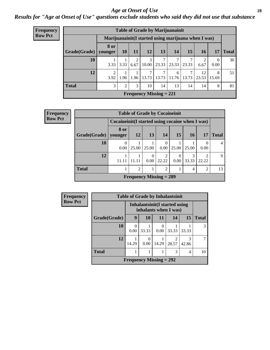### *Age at Onset of Use* **28**

### *Results for "Age at Onset of Use" questions exclude students who said they did not use that substance*

| Frequency      |              | <b>Table of Grade by Marijuanainit</b>               |           |      |            |                           |            |            |             |                  |              |  |  |  |
|----------------|--------------|------------------------------------------------------|-----------|------|------------|---------------------------|------------|------------|-------------|------------------|--------------|--|--|--|
| <b>Row Pct</b> |              | Marijuanainit (I started using marijuana when I was) |           |      |            |                           |            |            |             |                  |              |  |  |  |
|                | Grade(Grade) | 8 or<br>younger                                      | <b>10</b> | 11   | 12         | 13                        | 14         | 15         | 16          | 17               | <b>Total</b> |  |  |  |
|                | 10           | 3.33                                                 | 3.33      | 6.67 | 3<br>10.00 | 7<br>23.33                | 23.33      | 7<br>23.33 | 2<br>6.67   | $\Omega$<br>0.00 | 30           |  |  |  |
|                | 12           | $\mathfrak{D}$<br>3.92                               | 1.96      | 1.96 | 13.73      | 7<br>13.73                | 6<br>11.76 | 7<br>13.73 | 12<br>23.53 | 8<br>15.69       | 51           |  |  |  |
|                | <b>Total</b> | 3                                                    | 2         | 3    | 10         | 14                        | 13         | 14         | 14          | 8                | 81           |  |  |  |
|                |              |                                                      |           |      |            | Frequency Missing $= 221$ |            |            |             |                  |              |  |  |  |

| <b>Frequency</b> |                        |                                                  |               |                  | <b>Table of Grade by Cocaineinit</b> |                  |                 |                |              |
|------------------|------------------------|--------------------------------------------------|---------------|------------------|--------------------------------------|------------------|-----------------|----------------|--------------|
| <b>Row Pct</b>   |                        | Cocaineinit (I started using cocaine when I was) |               |                  |                                      |                  |                 |                |              |
|                  | Grade(Grade)   younger | <b>8 or</b>                                      | 12            | 13               | 14                                   | 15               | 16 <sup>1</sup> | 17             | <b>Total</b> |
|                  | 10                     | $\theta$<br>0.00                                 | 25.00         | 25.00            | 0<br>0.00                            | 25.00            | 25.00           | 0.00           | 4            |
|                  | 12                     | 11.11                                            | 11.11         | $\Omega$<br>0.00 | 2<br>22.22                           | $\theta$<br>0.00 | 3<br>33.33      | ∍<br>22.22     | 9            |
|                  | <b>Total</b>           |                                                  | $\mathcal{D}$ |                  | 2                                    |                  | 4               | $\mathfrak{D}$ | 13           |
|                  |                        |                                                  |               |                  | Frequency Missing $= 289$            |                  |                 |                |              |

| <b>Frequency</b> | <b>Table of Grade by Inhalantsinit</b>                 |           |                           |       |                         |            |              |
|------------------|--------------------------------------------------------|-----------|---------------------------|-------|-------------------------|------------|--------------|
| <b>Row Pct</b>   | Inhalantsinit(I started using<br>inhalants when I was) |           |                           |       |                         |            |              |
|                  | Grade(Grade)                                           | 9         | 10                        | 11    | 14                      | 15         | <b>Total</b> |
|                  | <b>10</b>                                              | 0<br>0.00 | 33.33                     | 0.00  | 33.33                   | 33.33      | 3            |
|                  | 12                                                     | 14.29     | 0<br>0.00                 | 14.29 | $\mathfrak{D}$<br>28.57 | 3<br>42.86 |              |
|                  | <b>Total</b>                                           |           |                           |       | 3                       | 4          | 10           |
|                  |                                                        |           | Frequency Missing $= 292$ |       |                         |            |              |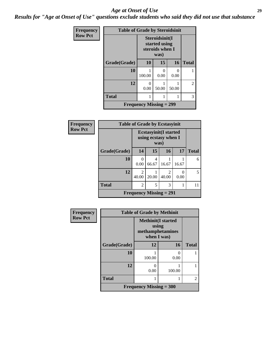#### *Age at Onset of Use* **29**

*Results for "Age at Onset of Use" questions exclude students who said they did not use that substance*

| Frequency      | <b>Table of Grade by Steroidsinit</b> |                                |                                                            |           |              |  |
|----------------|---------------------------------------|--------------------------------|------------------------------------------------------------|-----------|--------------|--|
| <b>Row Pct</b> |                                       |                                | Steroidsinit(I<br>started using<br>steroids when I<br>was) |           |              |  |
|                | Grade(Grade)                          | 10                             | 15                                                         | 16        | <b>Total</b> |  |
|                | 10                                    | 100.00                         | 0<br>0.00                                                  | ∩<br>0.00 |              |  |
|                | 12                                    | $\mathbf{0}$<br>0.00           | 50.00                                                      | 50.00     | 2            |  |
|                | <b>Total</b>                          |                                |                                                            |           | 3            |  |
|                |                                       | <b>Frequency Missing = 299</b> |                                                            |           |              |  |

| <b>Frequency</b> | <b>Table of Grade by Ecstasyinit</b> |                                   |            |                                                      |           |              |  |  |
|------------------|--------------------------------------|-----------------------------------|------------|------------------------------------------------------|-----------|--------------|--|--|
| <b>Row Pct</b>   |                                      |                                   | was)       | <b>Ecstasyinit(I started</b><br>using ecstasy when I |           |              |  |  |
|                  | Grade(Grade)                         | 14                                | 15         | 16                                                   | 17        | <b>Total</b> |  |  |
|                  | 10                                   | 0.00                              | 4<br>66.67 | 16.67                                                | 16.67     | 6            |  |  |
|                  | 12                                   | $\overline{\mathcal{L}}$<br>40.00 | 20.00      | 2<br>40.00                                           | 0<br>0.00 | 5            |  |  |
|                  | <b>Total</b>                         | $\mathfrak{D}$                    | 5          | 3                                                    | 1         | 11           |  |  |
|                  | Frequency Missing $= 291$            |                                   |            |                                                      |           |              |  |  |

| <b>Frequency</b> | <b>Table of Grade by Methinit</b> |                                                                        |        |                |  |  |  |
|------------------|-----------------------------------|------------------------------------------------------------------------|--------|----------------|--|--|--|
| <b>Row Pct</b>   |                                   | <b>Methinit</b> (I started<br>using<br>methamphetamines<br>when I was) |        |                |  |  |  |
|                  | Grade(Grade)                      | 12                                                                     | 16     | <b>Total</b>   |  |  |  |
|                  | 10                                | 100.00                                                                 | 0.00   |                |  |  |  |
|                  | 12                                | 0.00                                                                   | 100.00 |                |  |  |  |
|                  | <b>Total</b>                      |                                                                        |        | $\mathfrak{D}$ |  |  |  |
|                  |                                   | <b>Frequency Missing = 300</b>                                         |        |                |  |  |  |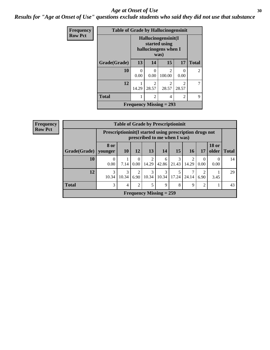### Age at Onset of Use **30**

*Results for "Age at Onset of Use" questions exclude students who said they did not use that substance*

| Frequency      |              |           | <b>Table of Grade by Hallucinogensinit</b> |                                                                      |                         |              |
|----------------|--------------|-----------|--------------------------------------------|----------------------------------------------------------------------|-------------------------|--------------|
| <b>Row Pct</b> |              |           |                                            | Hallucinogensinit(I<br>started using<br>hallucinogens when I<br>was) |                         |              |
|                | Grade(Grade) | 13        | 14                                         | 15                                                                   | 17                      | <b>Total</b> |
|                | 10           | 0<br>0.00 | 0<br>0.00                                  | $\mathfrak{D}$<br>100.00                                             | 0<br>0.00               | 2            |
|                | 12           | 14.29     | $\mathfrak{D}$<br>28.57                    | $\mathfrak{D}$<br>28.57                                              | $\mathfrak{D}$<br>28.57 | 7            |
|                | <b>Total</b> | 1         | $\overline{2}$                             | 4                                                                    | $\mathfrak{D}$          | 9            |
|                |              |           |                                            | Frequency Missing $= 293$                                            |                         |              |

| <b>Frequency</b> | <b>Table of Grade by Prescriptioninit</b> |                  |                                                                                            |                        |                           |            |            |            |                  |                       |              |
|------------------|-------------------------------------------|------------------|--------------------------------------------------------------------------------------------|------------------------|---------------------------|------------|------------|------------|------------------|-----------------------|--------------|
| <b>Row Pct</b>   |                                           |                  | Prescription in it (I started using prescription drugs not<br>prescribed to me when I was) |                        |                           |            |            |            |                  |                       |              |
|                  | Grade(Grade)   younger                    | 8 or             | <b>10</b>                                                                                  | 12                     | 13                        | <b>14</b>  | 15         | <b>16</b>  | 17               | <b>18 or</b><br>older | <b>Total</b> |
|                  | 10                                        | $\Omega$<br>0.00 | 7.14                                                                                       | $\Omega$<br>$0.00 -$   | 14.29                     | 6<br>42.86 | 3<br>21.43 | 2<br>14.29 | $\theta$<br>0.00 | $\Omega$<br>0.00      | 14           |
|                  | 12                                        | 3<br>10.34       | 3<br>10.34                                                                                 | $\mathfrak{D}$<br>6.90 | 10.34                     | 3<br>10.34 | 17.24      | 7<br>24.14 | 2<br>6.90        | 3.45                  | 29           |
|                  | <b>Total</b>                              | 3                | 4                                                                                          | $\overline{2}$         | 5                         | 9          | 8          | 9          | $\overline{2}$   |                       | 43           |
|                  |                                           |                  |                                                                                            |                        | Frequency Missing $= 259$ |            |            |            |                  |                       |              |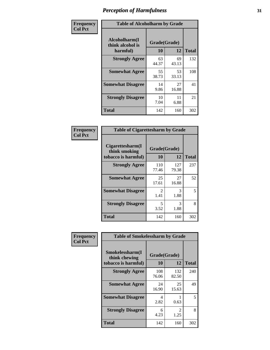| Frequency      | <b>Table of Alcoholharm by Grade</b>          |                    |             |              |  |
|----------------|-----------------------------------------------|--------------------|-------------|--------------|--|
| <b>Col Pct</b> | Alcoholharm(I<br>think alcohol is<br>harmful) | Grade(Grade)<br>10 | 12          | <b>Total</b> |  |
|                | <b>Strongly Agree</b>                         | 63<br>44.37        | 69<br>43.13 | 132          |  |
|                | <b>Somewhat Agree</b>                         | 55<br>38.73        | 53<br>33.13 | 108          |  |
|                | <b>Somewhat Disagree</b>                      | 14<br>9.86         | 27<br>16.88 | 41           |  |
|                | <b>Strongly Disagree</b>                      | 10<br>7.04         | 11<br>6.88  | 21           |  |
|                | <b>Total</b>                                  | 142                | 160         | 302          |  |

| <b>Table of Cigarettesharm by Grade</b>                  |                        |              |              |  |  |  |  |
|----------------------------------------------------------|------------------------|--------------|--------------|--|--|--|--|
| Cigarettesharm(I<br>think smoking<br>tobacco is harmful) | Grade(Grade)<br>10     | 12           | <b>Total</b> |  |  |  |  |
| <b>Strongly Agree</b>                                    | 110<br>77.46           | 127<br>79.38 | 237          |  |  |  |  |
| <b>Somewhat Agree</b>                                    | 25<br>17.61            | 27<br>16.88  | 52           |  |  |  |  |
| <b>Somewhat Disagree</b>                                 | $\mathfrak{D}$<br>1.41 | 3<br>1.88    | 5            |  |  |  |  |
| <b>Strongly Disagree</b>                                 | 5<br>3.52              | 3<br>1.88    | 8            |  |  |  |  |
| <b>Total</b>                                             | 142                    | 160          | 302          |  |  |  |  |

| Frequency      | <b>Table of Smokelessharm by Grade</b>                  |                    |              |              |
|----------------|---------------------------------------------------------|--------------------|--------------|--------------|
| <b>Col Pct</b> | Smokelessharm(I<br>think chewing<br>tobacco is harmful) | Grade(Grade)<br>10 | 12           | <b>Total</b> |
|                | <b>Strongly Agree</b>                                   | 108<br>76.06       | 132<br>82.50 | 240          |
|                | <b>Somewhat Agree</b>                                   | 24<br>16.90        | 25<br>15.63  | 49           |
|                | <b>Somewhat Disagree</b>                                | 4<br>2.82          | 0.63         | 5            |
|                | <b>Strongly Disagree</b>                                | 6<br>4.23          | 2<br>1.25    | 8            |
|                | <b>Total</b>                                            | 142                | 160          | 302          |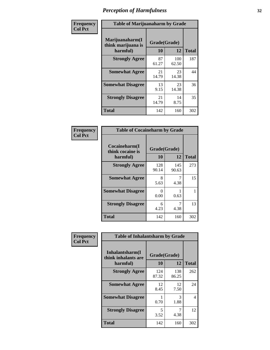| Frequency      | <b>Table of Marijuanaharm by Grade</b>            |                    |              |              |  |
|----------------|---------------------------------------------------|--------------------|--------------|--------------|--|
| <b>Col Pct</b> | Marijuanaharm(I<br>think marijuana is<br>harmful) | Grade(Grade)<br>10 | 12           | <b>Total</b> |  |
|                | <b>Strongly Agree</b>                             | 87<br>61.27        | 100<br>62.50 | 187          |  |
|                | <b>Somewhat Agree</b>                             | 21<br>14.79        | 23<br>14.38  | 44           |  |
|                | <b>Somewhat Disagree</b>                          | 13<br>9.15         | 23<br>14.38  | 36           |  |
|                | <b>Strongly Disagree</b>                          | 21<br>14.79        | 14<br>8.75   | 35           |  |
|                | <b>Total</b>                                      | 142                | 160          | 302          |  |

| <b>Table of Cocaineharm by Grade</b>          |                    |              |              |  |  |  |  |  |
|-----------------------------------------------|--------------------|--------------|--------------|--|--|--|--|--|
| Cocaineharm(I<br>think cocaine is<br>harmful) | Grade(Grade)<br>10 | 12           | <b>Total</b> |  |  |  |  |  |
| <b>Strongly Agree</b>                         | 128<br>90.14       | 145<br>90.63 | 273          |  |  |  |  |  |
| <b>Somewhat Agree</b>                         | 8<br>5.63          | 7<br>4.38    | 15           |  |  |  |  |  |
| <b>Somewhat Disagree</b>                      | 0<br>0.00          | 0.63         | 1            |  |  |  |  |  |
| <b>Strongly Disagree</b>                      | 6<br>4.23          | 7<br>4.38    | 13           |  |  |  |  |  |
| Total                                         | 142                | 160          | 302          |  |  |  |  |  |

| Frequency      | <b>Table of Inhalantsharm by Grade</b>              |                           |              |              |  |
|----------------|-----------------------------------------------------|---------------------------|--------------|--------------|--|
| <b>Col Pct</b> | Inhalantsharm(I)<br>think inhalants are<br>harmful) | Grade(Grade)<br><b>10</b> | 12           | <b>Total</b> |  |
|                | <b>Strongly Agree</b>                               | 124<br>87.32              | 138<br>86.25 | 262          |  |
|                | <b>Somewhat Agree</b>                               | 12<br>8.45                | 12<br>7.50   | 24           |  |
|                | <b>Somewhat Disagree</b>                            | 0.70                      | 3<br>1.88    | 4            |  |
|                | <b>Strongly Disagree</b>                            | 5<br>3.52                 | 4.38         | 12           |  |
|                | <b>Total</b>                                        | 142                       | 160          | 302          |  |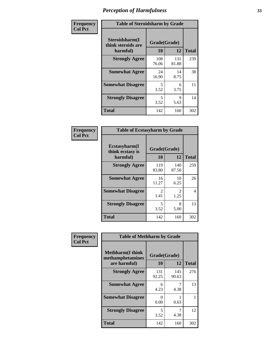| Frequency      | <b>Table of Steroidsharm by Grade</b>            |                    |              |              |
|----------------|--------------------------------------------------|--------------------|--------------|--------------|
| <b>Col Pct</b> | Steroidsharm(I<br>think steroids are<br>harmful) | Grade(Grade)<br>10 | 12           | <b>Total</b> |
|                | <b>Strongly Agree</b>                            | 108<br>76.06       | 131<br>81.88 | 239          |
|                | <b>Somewhat Agree</b>                            | 24<br>16.90        | 14<br>8.75   | 38           |
|                | <b>Somewhat Disagree</b>                         | 5<br>3.52          | 6<br>3.75    | 11           |
|                | <b>Strongly Disagree</b>                         | 5<br>3.52          | 9<br>5.63    | 14           |
|                | <b>Total</b>                                     | 142                | 160          | 302          |

| <b>Table of Ecstasyharm by Grade</b>          |                    |              |     |  |  |
|-----------------------------------------------|--------------------|--------------|-----|--|--|
| Ecstasyharm(I<br>think ecstasy is<br>harmful) | Grade(Grade)<br>10 | <b>Total</b> |     |  |  |
| <b>Strongly Agree</b>                         | 119<br>83.80       | 140<br>87.50 | 259 |  |  |
| <b>Somewhat Agree</b>                         | 16<br>11.27        | 10<br>6.25   | 26  |  |  |
| <b>Somewhat Disagree</b>                      | 2<br>1.41          | 2<br>1.25    | 4   |  |  |
| <b>Strongly Disagree</b>                      | 5<br>3.52          | 8<br>5.00    | 13  |  |  |
| <b>Total</b>                                  | 142                | 160          | 302 |  |  |

| Frequency      | <b>Table of Methharm by Grade</b>                           |                    |              |              |
|----------------|-------------------------------------------------------------|--------------------|--------------|--------------|
| <b>Col Pct</b> | <b>Methharm(I think</b><br>methamphetamines<br>are harmful) | Grade(Grade)<br>10 | 12           | <b>Total</b> |
|                | <b>Strongly Agree</b>                                       | 131<br>92.25       | 145<br>90.63 | 276          |
|                | <b>Somewhat Agree</b>                                       | 6<br>4.23          | 4.38         | 13           |
|                | <b>Somewhat Disagree</b>                                    | 0<br>0.00          | 0.63         |              |
|                | <b>Strongly Disagree</b>                                    | 5<br>3.52          | 7<br>4.38    | 12           |
|                | <b>Total</b>                                                | 142                | 160          | 302          |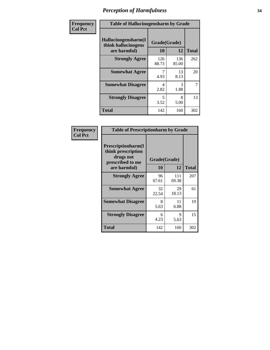| Frequency      | <b>Table of Hallucinogensharm by Grade</b>                 |                    |                       |                |
|----------------|------------------------------------------------------------|--------------------|-----------------------|----------------|
| <b>Col Pct</b> | Hallucinogensharm(I<br>think hallucinogens<br>are harmful) | Grade(Grade)<br>10 | 12                    | <b>Total</b>   |
|                | <b>Strongly Agree</b>                                      | 126<br>88.73       | 136<br>85.00          | 262            |
|                | <b>Somewhat Agree</b>                                      | 4.93               | 13<br>8.13            | 20             |
|                | <b>Somewhat Disagree</b>                                   | 4<br>2.82          | $\mathcal{R}$<br>1.88 | $\overline{7}$ |
|                | <b>Strongly Disagree</b>                                   | 5<br>3.52          | 8<br>5.00             | 13             |
|                | <b>Total</b>                                               | 142                | 160                   | 302            |

| <b>Table of Prescriptionharm by Grade</b>                                                 |                    |             |              |  |
|-------------------------------------------------------------------------------------------|--------------------|-------------|--------------|--|
| Prescriptionharm(I<br>think prescription<br>drugs not<br>prescribed to me<br>are harmful) | Grade(Grade)<br>10 | 12          | <b>Total</b> |  |
| <b>Strongly Agree</b>                                                                     | 96                 | 111         | 207          |  |
|                                                                                           | 67.61              | 69.38       |              |  |
| <b>Somewhat Agree</b>                                                                     | 32<br>22.54        | 29<br>18.13 | 61           |  |
| <b>Somewhat Disagree</b>                                                                  | 8<br>5.63          | 11<br>6.88  | 19           |  |
| <b>Strongly Disagree</b>                                                                  | 6<br>4.23          | 9<br>5.63   | 15           |  |
| <b>Total</b>                                                                              | 142                | 160         | 302          |  |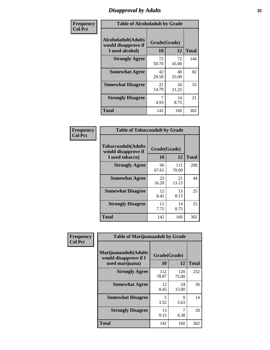# *Disapproval by Adults* **35**

| Frequency      | <b>Table of Alcoholadult by Grade</b>                                 |                    |             |              |
|----------------|-----------------------------------------------------------------------|--------------------|-------------|--------------|
| <b>Col Pct</b> | <b>Alcoholadult</b> (Adults<br>would disapprove if<br>I used alcohol) | Grade(Grade)<br>10 | 12          | <b>Total</b> |
|                | <b>Strongly Agree</b>                                                 | 72<br>50.70        | 72<br>45.00 | 144          |
|                | <b>Somewhat Agree</b>                                                 | 42<br>29.58        | 40<br>25.00 | 82           |
|                | <b>Somewhat Disagree</b>                                              | 21<br>14.79        | 34<br>21.25 | 55           |
|                | <b>Strongly Disagree</b>                                              | 7<br>4.93          | 14<br>8.75  | 21           |
|                | <b>Total</b>                                                          | 142                | 160         | 302          |

| <b>Table of Tobaccoadult by Grade</b>                                 |                    |              |              |  |  |
|-----------------------------------------------------------------------|--------------------|--------------|--------------|--|--|
| <b>Tobaccoadult</b> (Adults<br>would disapprove if<br>I used tobacco) | Grade(Grade)<br>10 | 12           | <b>Total</b> |  |  |
| <b>Strongly Agree</b>                                                 | 96<br>67.61        | 112<br>70.00 | 208          |  |  |
| <b>Somewhat Agree</b>                                                 | 23<br>16.20        | 21<br>13.13  | 44           |  |  |
| <b>Somewhat Disagree</b>                                              | 12<br>8.45         | 13<br>8.13   | 25           |  |  |
| <b>Strongly Disagree</b>                                              | 11<br>7.75         | 14<br>8.75   | 25           |  |  |
| Total                                                                 | 142                | 160          | 302          |  |  |

| Frequency<br><b>Col Pct</b> | <b>Table of Marijuanaadult by Grade</b>                           |                    |              |              |
|-----------------------------|-------------------------------------------------------------------|--------------------|--------------|--------------|
|                             | Marijuanaadult(Adults<br>would disapprove if I<br>used marijuana) | Grade(Grade)<br>10 | 12           | <b>Total</b> |
|                             | <b>Strongly Agree</b>                                             | 112<br>78.87       | 120<br>75.00 | 232          |
|                             | <b>Somewhat Agree</b>                                             | 12<br>8.45         | 24<br>15.00  | 36           |
|                             | <b>Somewhat Disagree</b>                                          | 5<br>3.52          | 9<br>5.63    | 14           |
|                             | <b>Strongly Disagree</b>                                          | 13<br>9.15         | 7<br>4.38    | 20           |
|                             | <b>Total</b>                                                      | 142                | 160          | 302          |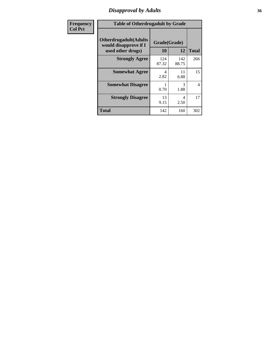### *Disapproval by Adults* **36**

| <b>Frequency</b> | <b>Table of Otherdrugadult by Grade</b>                                     |                    |              |                |
|------------------|-----------------------------------------------------------------------------|--------------------|--------------|----------------|
| <b>Col Pct</b>   | <b>Otherdrugadult</b> (Adults<br>would disapprove if I<br>used other drugs) | Grade(Grade)<br>10 | 12           | <b>Total</b>   |
|                  | <b>Strongly Agree</b>                                                       | 124<br>87.32       | 142<br>88.75 | 266            |
|                  | <b>Somewhat Agree</b>                                                       | 4<br>2.82          | 11<br>6.88   | 15             |
|                  | <b>Somewhat Disagree</b>                                                    | 0.70               | 3<br>1.88    | $\overline{4}$ |
|                  | <b>Strongly Disagree</b>                                                    | 13<br>9.15         | 4<br>2.50    | 17             |
|                  | <b>Total</b>                                                                | 142                | 160          | 302            |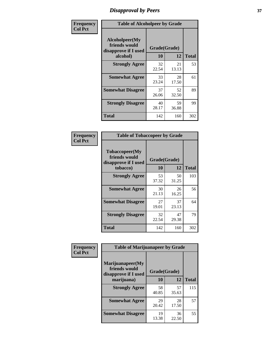# *Disapproval by Peers* **37**

| Frequency      | <b>Table of Alcoholpeer by Grade</b>                    |              |             |              |
|----------------|---------------------------------------------------------|--------------|-------------|--------------|
| <b>Col Pct</b> | Alcoholpeer(My<br>friends would<br>disapprove if I used | Grade(Grade) |             |              |
|                | alcohol)                                                | 10           | 12          | <b>Total</b> |
|                | <b>Strongly Agree</b>                                   | 32<br>22.54  | 21<br>13.13 | 53           |
|                | <b>Somewhat Agree</b>                                   | 33<br>23.24  | 28<br>17.50 | 61           |
|                | <b>Somewhat Disagree</b>                                | 37<br>26.06  | 52<br>32.50 | 89           |
|                | <b>Strongly Disagree</b>                                | 40<br>28.17  | 59<br>36.88 | 99           |
|                | Total                                                   | 142          | 160         | 302          |

| Frequency      | <b>Table of Tobaccopeer by Grade</b>                    |              |             |              |
|----------------|---------------------------------------------------------|--------------|-------------|--------------|
| <b>Col Pct</b> | Tobaccopeer(My<br>friends would<br>disapprove if I used | Grade(Grade) |             |              |
|                | tobacco)                                                | 10           | 12          | <b>Total</b> |
|                | <b>Strongly Agree</b>                                   | 53<br>37.32  | 50<br>31.25 | 103          |
|                | <b>Somewhat Agree</b>                                   | 30<br>21.13  | 26<br>16.25 | 56           |
|                | <b>Somewhat Disagree</b>                                | 27<br>19.01  | 37<br>23.13 | 64           |
|                | <b>Strongly Disagree</b>                                | 32<br>22.54  | 47<br>29.38 | 79           |
|                | Total                                                   | 142          | 160         | 302          |

| Frequency      | <b>Table of Marijuanapeer by Grade</b>                    |              |             |              |  |
|----------------|-----------------------------------------------------------|--------------|-------------|--------------|--|
| <b>Col Pct</b> | Marijuanapeer(My<br>friends would<br>disapprove if I used | Grade(Grade) |             |              |  |
|                | marijuana)                                                | 10           | 12          | <b>Total</b> |  |
|                | <b>Strongly Agree</b>                                     | 58<br>40.85  | 57<br>35.63 | 115          |  |
|                | <b>Somewhat Agree</b>                                     | 29<br>20.42  | 28<br>17.50 | 57           |  |
|                | <b>Somewhat Disagree</b>                                  | 19<br>13.38  | 36<br>22.50 | 55           |  |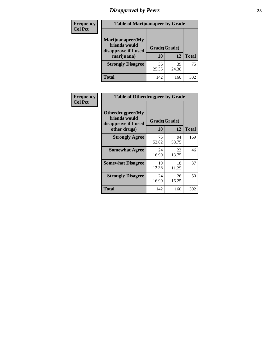# *Disapproval by Peers* **38**

| <b>Frequency</b> | <b>Table of Marijuanapeer by Grade</b>                                  |                           |             |              |  |
|------------------|-------------------------------------------------------------------------|---------------------------|-------------|--------------|--|
| <b>Col Pct</b>   | Marijuanapeer(My<br>friends would<br>disapprove if I used<br>marijuana) | Grade(Grade)<br><b>10</b> | 12          | <b>Total</b> |  |
|                  | <b>Strongly Disagree</b>                                                | 36<br>25.35               | 39<br>24.38 | 75           |  |
|                  | <b>Total</b>                                                            | 142                       | 160         | 302          |  |

| <b>Frequency</b> | <b>Table of Otherdrugpeer by Grade</b>                                    |                           |             |              |
|------------------|---------------------------------------------------------------------------|---------------------------|-------------|--------------|
| <b>Col Pct</b>   | Otherdrugpeer(My<br>friends would<br>disapprove if I used<br>other drugs) | Grade(Grade)<br><b>10</b> | 12          | <b>Total</b> |
|                  | <b>Strongly Agree</b>                                                     | 75<br>52.82               | 94<br>58.75 | 169          |
|                  | <b>Somewhat Agree</b>                                                     | 24<br>16.90               | 22<br>13.75 | 46           |
|                  | <b>Somewhat Disagree</b>                                                  | 19<br>13.38               | 18<br>11.25 | 37           |
|                  | <b>Strongly Disagree</b>                                                  | 24<br>16.90               | 26<br>16.25 | 50           |
|                  | <b>Total</b>                                                              | 142                       | 160         | 302          |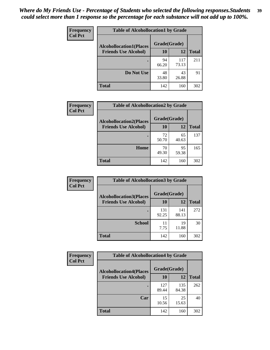| Frequency<br><b>Col Pct</b> | <b>Table of Alcohollocation1 by Grade</b> |              |              |              |
|-----------------------------|-------------------------------------------|--------------|--------------|--------------|
|                             | <b>Alcohollocation1(Places</b>            | Grade(Grade) |              |              |
|                             | <b>Friends Use Alcohol)</b>               | 10           | 12           | <b>Total</b> |
|                             |                                           | 94<br>66.20  | 117<br>73.13 | 211          |
|                             | Do Not Use                                | 48<br>33.80  | 43<br>26.88  | 91           |
|                             | <b>Total</b>                              | 142          | 160          | 302          |

| Frequency      | <b>Table of Alcohollocation2 by Grade</b>                     |                    |             |              |
|----------------|---------------------------------------------------------------|--------------------|-------------|--------------|
| <b>Col Pct</b> | <b>Alcohollocation2(Places</b><br><b>Friends Use Alcohol)</b> | Grade(Grade)<br>10 | <b>12</b>   | <b>Total</b> |
|                |                                                               | 72<br>50.70        | 65<br>40.63 | 137          |
|                | Home                                                          | 70<br>49.30        | 95<br>59.38 | 165          |
|                | <b>Total</b>                                                  | 142                | 160         | 302          |

| Frequency<br><b>Col Pct</b> | <b>Table of Alcohollocation 3 by Grade</b>                    |                    |              |              |
|-----------------------------|---------------------------------------------------------------|--------------------|--------------|--------------|
|                             | <b>Alcohollocation3(Places</b><br><b>Friends Use Alcohol)</b> | Grade(Grade)<br>10 | 12           | <b>Total</b> |
|                             |                                                               | 131<br>92.25       | 141<br>88.13 | 272          |
|                             | <b>School</b>                                                 | 11<br>7.75         | 19<br>11.88  | 30           |
|                             | <b>Total</b>                                                  | 142                | 160          | 302          |

| <b>Frequency</b> | <b>Table of Alcohollocation4 by Grade</b> |              |              |              |
|------------------|-------------------------------------------|--------------|--------------|--------------|
| <b>Col Pct</b>   | <b>Alcohollocation4(Places</b>            | Grade(Grade) |              |              |
|                  | <b>Friends Use Alcohol)</b>               | 10           | 12           | <b>Total</b> |
|                  |                                           | 127<br>89.44 | 135<br>84.38 | 262          |
|                  | Car                                       | 15<br>10.56  | 25<br>15.63  | 40           |
|                  | <b>Total</b>                              | 142          | 160          | 302          |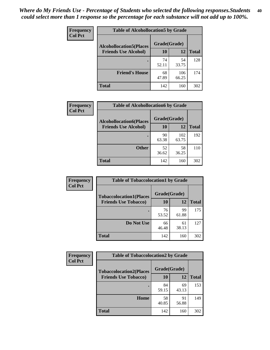| Frequency<br><b>Col Pct</b> | <b>Table of Alcohollocation5 by Grade</b> |              |              |              |
|-----------------------------|-------------------------------------------|--------------|--------------|--------------|
|                             | <b>Alcohollocation5(Places</b>            | Grade(Grade) |              |              |
|                             | <b>Friends Use Alcohol)</b>               | 10           | 12           | <b>Total</b> |
|                             |                                           | 74<br>52.11  | 54<br>33.75  | 128          |
|                             | <b>Friend's House</b>                     | 68<br>47.89  | 106<br>66.25 | 174          |
|                             | <b>Total</b>                              | 142          | 160          | 302          |

| <b>Frequency</b> | <b>Table of Alcohollocation6 by Grade</b> |              |              |              |
|------------------|-------------------------------------------|--------------|--------------|--------------|
| <b>Col Pct</b>   | <b>Alcohollocation6(Places</b>            | Grade(Grade) |              |              |
|                  | <b>Friends Use Alcohol)</b>               | 10           | 12           | <b>Total</b> |
|                  |                                           | 90<br>63.38  | 102<br>63.75 | 192          |
|                  | <b>Other</b>                              | 52<br>36.62  | 58<br>36.25  | 110          |
|                  | <b>Total</b>                              | 142          | 160          | 302          |

| Frequency      | <b>Table of Tobaccolocation1 by Grade</b> |              |             |              |
|----------------|-------------------------------------------|--------------|-------------|--------------|
| <b>Col Pct</b> | <b>Tobaccolocation1(Places</b>            | Grade(Grade) |             |              |
|                | <b>Friends Use Tobacco)</b>               | 10           | <b>12</b>   | <b>Total</b> |
|                |                                           | 76<br>53.52  | 99<br>61.88 | 175          |
|                | Do Not Use                                | 66<br>46.48  | 61<br>38.13 | 127          |
|                | <b>Total</b>                              | 142          | 160         | 302          |

| <b>Frequency</b> | <b>Table of Tobaccolocation2 by Grade</b> |              |             |              |
|------------------|-------------------------------------------|--------------|-------------|--------------|
| <b>Col Pct</b>   | <b>Tobaccolocation2(Places</b>            | Grade(Grade) |             |              |
|                  | <b>Friends Use Tobacco)</b>               | 10           | 12          | <b>Total</b> |
|                  |                                           | 84<br>59.15  | 69<br>43.13 | 153          |
|                  | Home                                      | 58<br>40.85  | 91<br>56.88 | 149          |
|                  | <b>Total</b>                              | 142          | 160         | 302          |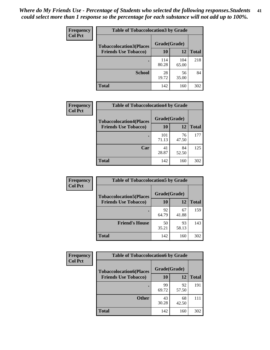| Frequency<br><b>Col Pct</b> | <b>Table of Tobaccolocation3 by Grade</b> |              |              |              |  |
|-----------------------------|-------------------------------------------|--------------|--------------|--------------|--|
|                             | <b>Tobaccolocation3(Places</b>            | Grade(Grade) |              |              |  |
|                             | <b>Friends Use Tobacco)</b>               | 10           | 12           | <b>Total</b> |  |
|                             |                                           | 114<br>80.28 | 104<br>65.00 | 218          |  |
|                             | <b>School</b>                             | 28<br>19.72  | 56<br>35.00  | 84           |  |
|                             | <b>Total</b>                              | 142          | 160          | 302          |  |

| Frequency      | <b>Table of Tobaccolocation4 by Grade</b>                     |                    |             |              |
|----------------|---------------------------------------------------------------|--------------------|-------------|--------------|
| <b>Col Pct</b> | <b>Tobaccolocation4(Places</b><br><b>Friends Use Tobacco)</b> | Grade(Grade)<br>10 | 12          | <b>Total</b> |
|                |                                                               | 101<br>71.13       | 76<br>47.50 | 177          |
|                | Car                                                           | 41<br>28.87        | 84<br>52.50 | 125          |
|                | <b>Total</b>                                                  | 142                | 160         | 302          |

| Frequency<br><b>Col Pct</b> | <b>Table of Tobaccolocation5 by Grade</b> |              |             |              |
|-----------------------------|-------------------------------------------|--------------|-------------|--------------|
|                             | <b>Tobaccolocation5(Places</b>            | Grade(Grade) |             |              |
|                             | <b>Friends Use Tobacco)</b>               | 10           | <b>12</b>   | <b>Total</b> |
|                             |                                           | 92<br>64.79  | 67<br>41.88 | 159          |
|                             | <b>Friend's House</b>                     | 50<br>35.21  | 93<br>58.13 | 143          |
|                             | <b>Total</b>                              | 142          | 160         | 302          |

| Frequency      | <b>Table of Tobaccolocation6 by Grade</b> |              |             |              |  |
|----------------|-------------------------------------------|--------------|-------------|--------------|--|
| <b>Col Pct</b> | <b>Tobaccolocation6(Places</b>            | Grade(Grade) |             |              |  |
|                | <b>Friends Use Tobacco)</b>               | 10           | 12          | <b>Total</b> |  |
|                |                                           | 99<br>69.72  | 92<br>57.50 | 191          |  |
|                | <b>Other</b>                              | 43<br>30.28  | 68<br>42.50 | 111          |  |
|                | <b>Total</b>                              | 142          | 160         | 302          |  |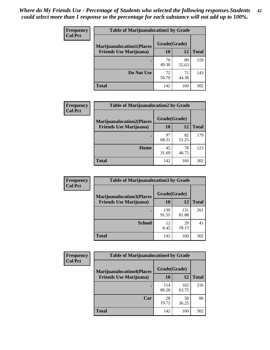| <b>Frequency</b> | <b>Table of Marijuanalocation1 by Grade</b> |              |             |              |
|------------------|---------------------------------------------|--------------|-------------|--------------|
| <b>Col Pct</b>   | <b>Marijuanalocation1(Places</b>            | Grade(Grade) |             |              |
|                  | <b>Friends Use Marijuana</b> )              | 10           | 12          | <b>Total</b> |
|                  |                                             | 70<br>49.30  | 89<br>55.63 | 159          |
|                  | Do Not Use                                  | 72<br>50.70  | 71<br>44.38 | 143          |
|                  | <b>Total</b>                                | 142          | 160         | 302          |

| <b>Frequency</b> | <b>Table of Marijuanalocation2 by Grade</b>                        |                    |             |              |
|------------------|--------------------------------------------------------------------|--------------------|-------------|--------------|
| <b>Col Pct</b>   | <b>Marijuanalocation2(Places</b><br><b>Friends Use Marijuana</b> ) | Grade(Grade)<br>10 | 12          | <b>Total</b> |
|                  |                                                                    | 97<br>68.31        | 82<br>51.25 | 179          |
|                  | <b>Home</b>                                                        | 45<br>31.69        | 78<br>48.75 | 123          |
|                  | <b>Total</b>                                                       | 142                | 160         | 302          |

| Frequency<br><b>Col Pct</b> | <b>Table of Marijuanalocation3 by Grade</b> |              |              |              |
|-----------------------------|---------------------------------------------|--------------|--------------|--------------|
|                             | <b>Marijuanalocation3</b> (Places           | Grade(Grade) |              |              |
|                             | <b>Friends Use Marijuana</b> )              | <b>10</b>    | 12           | <b>Total</b> |
|                             |                                             | 130<br>91.55 | 131<br>81.88 | 261          |
|                             | <b>School</b>                               | 12<br>8.45   | 29<br>18.13  | 41           |
|                             | <b>Total</b>                                | 142          | 160          | 302          |

| <b>Frequency</b> | <b>Table of Marijuanalocation4 by Grade</b> |              |              |              |
|------------------|---------------------------------------------|--------------|--------------|--------------|
| <b>Col Pct</b>   | <b>Marijuanalocation4(Places</b>            | Grade(Grade) |              |              |
|                  | <b>Friends Use Marijuana</b> )              | <b>10</b>    | 12           | <b>Total</b> |
|                  |                                             | 114<br>80.28 | 102<br>63.75 | 216          |
|                  | Car                                         | 28<br>19.72  | 58<br>36.25  | 86           |
|                  | <b>Total</b>                                | 142          | 160          | 302          |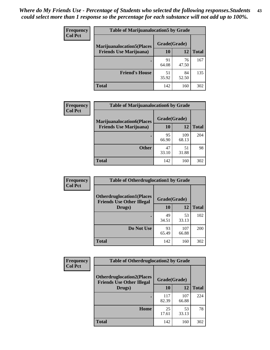| <b>Frequency</b> | <b>Table of Marijuanalocation5 by Grade</b> |              |             |              |
|------------------|---------------------------------------------|--------------|-------------|--------------|
| <b>Col Pct</b>   | <b>Marijuanalocation5</b> (Places           | Grade(Grade) |             |              |
|                  | <b>Friends Use Marijuana</b> )              | 10           | 12          | <b>Total</b> |
|                  |                                             | 91<br>64.08  | 76<br>47.50 | 167          |
|                  | <b>Friend's House</b>                       | 51<br>35.92  | 84<br>52.50 | 135          |
|                  | <b>Total</b>                                | 142          | 160         | 302          |

| <b>Frequency</b> | <b>Table of Marijuanalocation6 by Grade</b>                        |                    |              |              |
|------------------|--------------------------------------------------------------------|--------------------|--------------|--------------|
| <b>Col Pct</b>   | <b>Marijuanalocation6(Places</b><br><b>Friends Use Marijuana</b> ) | Grade(Grade)<br>10 | 12           | <b>Total</b> |
|                  |                                                                    | 95<br>66.90        | 109<br>68.13 | 204          |
|                  | <b>Other</b>                                                       | 47<br>33.10        | 51<br>31.88  | 98           |
|                  | <b>Total</b>                                                       | 142                | 160          | 302          |

| <b>Frequency</b> | <b>Table of Otherdruglocation1 by Grade</b>                          |              |              |              |
|------------------|----------------------------------------------------------------------|--------------|--------------|--------------|
| <b>Col Pct</b>   | <b>Otherdruglocation1(Places</b><br><b>Friends Use Other Illegal</b> | Grade(Grade) |              |              |
|                  | Drugs)                                                               | 10           | 12           | <b>Total</b> |
|                  |                                                                      | 49<br>34.51  | 53<br>33.13  | 102          |
|                  | Do Not Use                                                           | 93<br>65.49  | 107<br>66.88 | 200          |
|                  | <b>Total</b>                                                         | 142          | 160          | 302          |

| <b>Frequency</b> | <b>Table of Otherdruglocation2 by Grade</b>                          |              |              |              |
|------------------|----------------------------------------------------------------------|--------------|--------------|--------------|
| <b>Col Pct</b>   | <b>Otherdruglocation2(Places</b><br><b>Friends Use Other Illegal</b> | Grade(Grade) |              |              |
|                  | Drugs)                                                               | 10           | 12           | <b>Total</b> |
|                  |                                                                      | 117<br>82.39 | 107<br>66.88 | 224          |
|                  | Home                                                                 | 25<br>17.61  | 53<br>33.13  | 78           |
|                  | <b>Total</b>                                                         | 142          | 160          | 302          |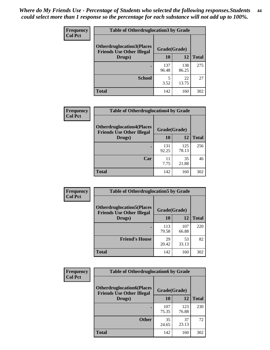| <b>Frequency</b> | <b>Table of Otherdruglocation 3 by Grade</b> |                                                  |              |              |
|------------------|----------------------------------------------|--------------------------------------------------|--------------|--------------|
| <b>Col Pct</b>   | <b>Otherdruglocation3(Places</b>             | Grade(Grade)<br><b>Friends Use Other Illegal</b> |              |              |
|                  | Drugs)                                       | 10                                               | 12           | <b>Total</b> |
|                  |                                              | 137<br>96.48                                     | 138<br>86.25 | 275          |
|                  | <b>School</b>                                | 5<br>3.52                                        | 22<br>13.75  | 27           |
|                  | Total                                        | 142                                              | 160          | 302          |

| Frequency      | <b>Table of Otherdruglocation4 by Grade</b>                          |              |              |              |
|----------------|----------------------------------------------------------------------|--------------|--------------|--------------|
| <b>Col Pct</b> | <b>Otherdruglocation4(Places</b><br><b>Friends Use Other Illegal</b> | Grade(Grade) |              |              |
|                | Drugs)                                                               | <b>10</b>    | 12           | <b>Total</b> |
|                |                                                                      | 131<br>92.25 | 125<br>78.13 | 256          |
|                | Car                                                                  | 11<br>7.75   | 35<br>21.88  | 46           |
|                | <b>Total</b>                                                         | 142          | 160          | 302          |

| <b>Frequency</b><br><b>Col Pct</b> | <b>Table of Otherdruglocation5 by Grade</b>                          |              |              |              |
|------------------------------------|----------------------------------------------------------------------|--------------|--------------|--------------|
|                                    | <b>Otherdruglocation5(Places</b><br><b>Friends Use Other Illegal</b> | Grade(Grade) |              |              |
|                                    | Drugs)                                                               | <b>10</b>    | 12           | <b>Total</b> |
|                                    |                                                                      | 113<br>79.58 | 107<br>66.88 | 220          |
|                                    | <b>Friend's House</b>                                                | 29<br>20.42  | 53<br>33.13  | 82           |
|                                    | <b>Total</b>                                                         | 142          | 160          | 302          |

| <b>Frequency</b> | <b>Table of Otherdruglocation6 by Grade</b>                          |              |              |              |
|------------------|----------------------------------------------------------------------|--------------|--------------|--------------|
| <b>Col Pct</b>   | <b>Otherdruglocation6(Places</b><br><b>Friends Use Other Illegal</b> | Grade(Grade) |              |              |
|                  | Drugs)                                                               | <b>10</b>    | 12           | <b>Total</b> |
|                  |                                                                      | 107<br>75.35 | 123<br>76.88 | 230          |
|                  | <b>Other</b>                                                         | 35<br>24.65  | 37<br>23.13  | 72           |
|                  | <b>Total</b>                                                         | 142          | 160          | 302          |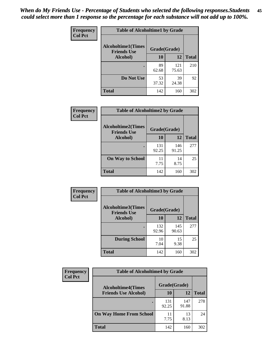| Frequency      | <b>Table of Alcoholtime1 by Grade</b>           |              |              |              |
|----------------|-------------------------------------------------|--------------|--------------|--------------|
| <b>Col Pct</b> | <b>Alcoholtime1(Times</b><br><b>Friends Use</b> | Grade(Grade) |              |              |
|                | Alcohol)                                        | 10           | 12           | <b>Total</b> |
|                |                                                 | 89<br>62.68  | 121<br>75.63 | 210          |
|                | Do Not Use                                      | 53<br>37.32  | 39<br>24.38  | 92           |
|                | <b>Total</b>                                    | 142          | 160          | 302          |

| Frequency      | <b>Table of Alcoholtime2 by Grade</b>           |              |              |              |
|----------------|-------------------------------------------------|--------------|--------------|--------------|
| <b>Col Pct</b> | <b>Alcoholtime2(Times</b><br><b>Friends Use</b> | Grade(Grade) |              |              |
|                | Alcohol)                                        | 10           | 12           | <b>Total</b> |
|                |                                                 | 131<br>92.25 | 146<br>91.25 | 277          |
|                | <b>On Way to School</b>                         | 11<br>7.75   | 14<br>8.75   | 25           |
|                | <b>Total</b>                                    | 142          | 160          | 302          |

| Frequency<br><b>Col Pct</b> | <b>Table of Alcoholtime3 by Grade</b>                           |              |              |              |
|-----------------------------|-----------------------------------------------------------------|--------------|--------------|--------------|
|                             | <b>Alcoholtime3(Times</b><br>Grade(Grade)<br><b>Friends Use</b> |              |              |              |
|                             | Alcohol)                                                        | 10           | 12           | <b>Total</b> |
|                             |                                                                 | 132<br>92.96 | 145<br>90.63 | 277          |
|                             | <b>During School</b>                                            | 10<br>7.04   | 15<br>9.38   | 25           |
|                             | Total                                                           | 142          | 160          | 302          |

| <b>Frequency</b> | <b>Table of Alcoholtime4 by Grade</b> |              |              |              |  |
|------------------|---------------------------------------|--------------|--------------|--------------|--|
| <b>Col Pct</b>   | <b>Alcoholtime4(Times</b>             | Grade(Grade) |              |              |  |
|                  | <b>Friends Use Alcohol)</b>           | 10           | 12           | <b>Total</b> |  |
|                  | ٠                                     | 131<br>92.25 | 147<br>91.88 | 278          |  |
|                  | <b>On Way Home From School</b>        | 11<br>7.75   | 13<br>8.13   | 24           |  |
|                  | <b>Total</b>                          | 142          | 160          | 302          |  |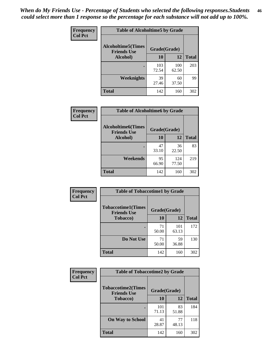*When do My Friends Use - Percentage of Students who selected the following responses.Students could select more than 1 response so the percentage for each substance will not add up to 100%.* **46**

| Frequency      | <b>Table of Alcoholtime5 by Grade</b>           |              |              |              |
|----------------|-------------------------------------------------|--------------|--------------|--------------|
| <b>Col Pct</b> | <b>Alcoholtime5(Times</b><br><b>Friends Use</b> | Grade(Grade) |              |              |
|                | Alcohol)                                        | 10           | 12           | <b>Total</b> |
|                |                                                 | 103<br>72.54 | 100<br>62.50 | 203          |
|                | Weeknights                                      | 39<br>27.46  | 60<br>37.50  | 99           |
|                | <b>Total</b>                                    | 142          | 160          | 302          |

| Frequency      | <b>Table of Alcoholtime6 by Grade</b>           |              |              |              |
|----------------|-------------------------------------------------|--------------|--------------|--------------|
| <b>Col Pct</b> | <b>Alcoholtime6(Times</b><br><b>Friends Use</b> | Grade(Grade) |              |              |
|                | Alcohol)                                        | 10           | 12           | <b>Total</b> |
|                |                                                 | 47<br>33.10  | 36<br>22.50  | 83           |
|                | Weekends                                        | 95<br>66.90  | 124<br>77.50 | 219          |
|                | <b>Total</b>                                    | 142          | 160          | 302          |

| <b>Frequency</b> | <b>Table of Tobaccotime1 by Grade</b>           |              |              |              |
|------------------|-------------------------------------------------|--------------|--------------|--------------|
| <b>Col Pct</b>   | <b>Tobaccotime1(Times</b><br><b>Friends Use</b> | Grade(Grade) |              |              |
|                  | <b>Tobacco</b> )                                | 10           | 12           | <b>Total</b> |
|                  |                                                 | 71<br>50.00  | 101<br>63.13 | 172          |
|                  | Do Not Use                                      | 71<br>50.00  | 59<br>36.88  | 130          |
|                  | <b>Total</b>                                    | 142          | 160          | 302          |

| <b>Frequency</b> | <b>Table of Tobaccotime2 by Grade</b>           |              |             |              |
|------------------|-------------------------------------------------|--------------|-------------|--------------|
| <b>Col Pct</b>   | <b>Tobaccotime2(Times</b><br><b>Friends Use</b> | Grade(Grade) |             |              |
|                  | <b>Tobacco</b> )                                | 10           | 12          | <b>Total</b> |
|                  |                                                 | 101<br>71.13 | 83<br>51.88 | 184          |
|                  | <b>On Way to School</b>                         | 41<br>28.87  | 77<br>48.13 | 118          |
|                  | <b>Total</b>                                    | 142          | 160         | 302          |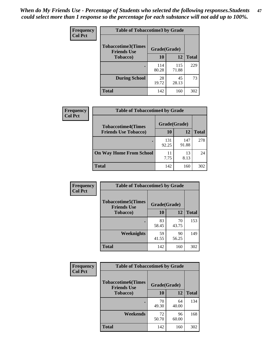*When do My Friends Use - Percentage of Students who selected the following responses.Students could select more than 1 response so the percentage for each substance will not add up to 100%.* **47**

| <b>Frequency</b> | <b>Table of Tobaccotime3 by Grade</b>           |              |              |              |  |
|------------------|-------------------------------------------------|--------------|--------------|--------------|--|
| <b>Col Pct</b>   | <b>Tobaccotime3(Times</b><br><b>Friends Use</b> | Grade(Grade) |              |              |  |
|                  | <b>Tobacco</b> )                                | 10           | 12           | <b>Total</b> |  |
|                  |                                                 | 114<br>80.28 | 115<br>71.88 | 229          |  |
|                  | <b>During School</b>                            | 28<br>19.72  | 45<br>28.13  | 73           |  |
|                  | <b>Total</b>                                    | 142          | 160          | 302          |  |

| <b>Frequency</b><br><b>Col Pct</b> | <b>Table of Tobaccotime4 by Grade</b> |              |              |              |
|------------------------------------|---------------------------------------|--------------|--------------|--------------|
|                                    | <b>Tobaccotime4(Times</b>             | Grade(Grade) |              |              |
|                                    | <b>Friends Use Tobacco)</b>           | 10           | 12           | <b>Total</b> |
|                                    |                                       | 131<br>92.25 | 147<br>91.88 | 278          |
|                                    | <b>On Way Home From School</b>        | 11<br>7.75   | 13<br>8.13   | 24           |
|                                    | <b>Total</b>                          | 142          | 160          | 302          |

| Frequency      | <b>Table of Tobaccotime5 by Grade</b>           |              |             |              |
|----------------|-------------------------------------------------|--------------|-------------|--------------|
| <b>Col Pct</b> | <b>Tobaccotime5(Times</b><br><b>Friends Use</b> | Grade(Grade) |             |              |
|                | <b>Tobacco</b> )                                | 10           | 12          | <b>Total</b> |
|                |                                                 | 83<br>58.45  | 70<br>43.75 | 153          |
|                | Weeknights                                      | 59<br>41.55  | 90<br>56.25 | 149          |
|                | <b>Total</b>                                    | 142          | 160         | 302          |

| <b>Frequency</b> | <b>Table of Tobaccotime6 by Grade</b>                           |             |             |              |
|------------------|-----------------------------------------------------------------|-------------|-------------|--------------|
| <b>Col Pct</b>   | <b>Tobaccotime6(Times</b><br>Grade(Grade)<br><b>Friends Use</b> |             |             |              |
|                  | <b>Tobacco</b> )                                                | 10          | 12          | <b>Total</b> |
|                  | ٠                                                               | 70<br>49.30 | 64<br>40.00 | 134          |
|                  | Weekends                                                        | 72<br>50.70 | 96<br>60.00 | 168          |
|                  | <b>Total</b>                                                    | 142         | 160         | 302          |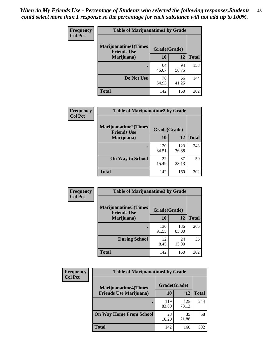| Frequency      | <b>Table of Marijuanatime1 by Grade</b>           |              |             |              |  |
|----------------|---------------------------------------------------|--------------|-------------|--------------|--|
| <b>Col Pct</b> | <b>Marijuanatime1(Times</b><br><b>Friends Use</b> | Grade(Grade) |             |              |  |
|                | Marijuana)                                        | 10           | 12          | <b>Total</b> |  |
|                |                                                   | 64<br>45.07  | 94<br>58.75 | 158          |  |
|                | Do Not Use                                        | 78<br>54.93  | 66<br>41.25 | 144          |  |
|                | <b>Total</b>                                      | 142          | 160         | 302          |  |

| <b>Frequency</b> | <b>Table of Marijuanatime2 by Grade</b>           |              |              |              |
|------------------|---------------------------------------------------|--------------|--------------|--------------|
| <b>Col Pct</b>   | <b>Marijuanatime2(Times</b><br><b>Friends Use</b> | Grade(Grade) |              |              |
|                  | Marijuana)                                        | 10           | 12           | <b>Total</b> |
|                  |                                                   | 120<br>84.51 | 123<br>76.88 | 243          |
|                  | <b>On Way to School</b>                           | 22<br>15.49  | 37<br>23.13  | 59           |
|                  | <b>Total</b>                                      | 142          | 160          | 302          |

| <b>Frequency</b> | <b>Table of Marijuanatime3 by Grade</b>    |              |              |              |  |
|------------------|--------------------------------------------|--------------|--------------|--------------|--|
| <b>Col Pct</b>   | Marijuanatime3(Times<br><b>Friends Use</b> | Grade(Grade) |              |              |  |
|                  | Marijuana)                                 | 10           | 12           | <b>Total</b> |  |
|                  |                                            | 130<br>91.55 | 136<br>85.00 | 266          |  |
|                  | <b>During School</b>                       | 12<br>8.45   | 24<br>15.00  | 36           |  |
|                  | Total                                      | 142          | 160          | 302          |  |

| <b>Frequency</b> | <b>Table of Marijuanatime4 by Grade</b> |              |              |              |
|------------------|-----------------------------------------|--------------|--------------|--------------|
| <b>Col Pct</b>   | <b>Marijuanatime4</b> (Times            | Grade(Grade) |              |              |
|                  | <b>Friends Use Marijuana</b> )          | 10           | 12           | <b>Total</b> |
|                  |                                         | 119<br>83.80 | 125<br>78.13 | 244          |
|                  | <b>On Way Home From School</b>          | 23<br>16.20  | 35<br>21.88  | 58           |
|                  | <b>Total</b>                            | 142          | 160          | 302          |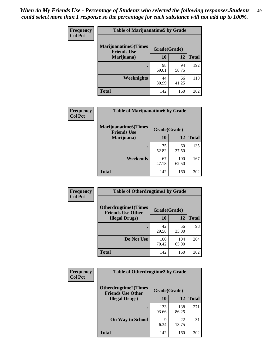| Frequency      | <b>Table of Marijuanatime5 by Grade</b>            |              |             |              |  |
|----------------|----------------------------------------------------|--------------|-------------|--------------|--|
| <b>Col Pct</b> | <b>Marijuanatime5</b> (Times<br><b>Friends Use</b> | Grade(Grade) |             |              |  |
|                | Marijuana)                                         | 10           | 12          | <b>Total</b> |  |
|                |                                                    | 98<br>69.01  | 94<br>58.75 | 192          |  |
|                | Weeknights                                         | 44<br>30.99  | 66<br>41.25 | 110          |  |
|                | <b>Total</b>                                       | 142          | 160         | 302          |  |

| Frequency      | <b>Table of Marijuanatime6 by Grade</b>    |              |              |              |
|----------------|--------------------------------------------|--------------|--------------|--------------|
| <b>Col Pct</b> | Marijuanatime6(Times<br><b>Friends Use</b> | Grade(Grade) |              |              |
|                | Marijuana)                                 | 10           | 12           | <b>Total</b> |
|                |                                            | 75<br>52.82  | 60<br>37.50  | 135          |
|                | Weekends                                   | 67<br>47.18  | 100<br>62.50 | 167          |
|                | <b>Total</b>                               | 142          | 160          | 302          |

| <b>Frequency</b> | <b>Table of Otherdrugtime1 by Grade</b>                  |              |              |              |
|------------------|----------------------------------------------------------|--------------|--------------|--------------|
| <b>Col Pct</b>   | <b>Otherdrugtime1</b> (Times<br><b>Friends Use Other</b> | Grade(Grade) |              |              |
|                  | <b>Illegal Drugs</b> )                                   | 10           | 12           | <b>Total</b> |
|                  |                                                          | 42<br>29.58  | 56<br>35.00  | 98           |
|                  | Do Not Use                                               | 100<br>70.42 | 104<br>65.00 | 204          |
|                  | <b>Total</b>                                             | 142          | 160          | 302          |

| Frequency      | <b>Table of Otherdrugtime2 by Grade</b>                                 |              |              |              |
|----------------|-------------------------------------------------------------------------|--------------|--------------|--------------|
| <b>Col Pct</b> | <b>Otherdrugtime2(Times</b><br>Grade(Grade)<br><b>Friends Use Other</b> |              |              |              |
|                | <b>Illegal Drugs</b> )                                                  | 10           | 12           | <b>Total</b> |
|                |                                                                         | 133<br>93.66 | 138<br>86.25 | 271          |
|                | <b>On Way to School</b>                                                 | 9<br>6.34    | 22<br>13.75  | 31           |
|                | Total                                                                   | 142          | 160          | 302          |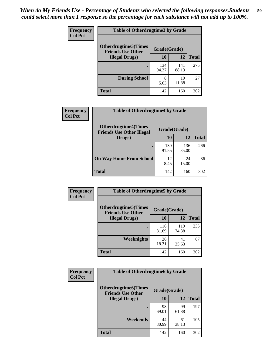| <b>Frequency</b> | <b>Table of Otherdrugtime3 by Grade</b>          |              |              |              |
|------------------|--------------------------------------------------|--------------|--------------|--------------|
| <b>Col Pct</b>   | Otherdrugtime3(Times<br><b>Friends Use Other</b> | Grade(Grade) |              |              |
|                  | <b>Illegal Drugs</b> )                           | 10           | 12           | <b>Total</b> |
|                  |                                                  | 134<br>94.37 | 141<br>88.13 | 275          |
|                  | <b>During School</b>                             | 8<br>5.63    | 19<br>11.88  | 27           |
|                  | Total                                            | 142          | 160          | 302          |

| Frequency      | <b>Table of Otherdrugtime4 by Grade</b>                         |              |              |              |
|----------------|-----------------------------------------------------------------|--------------|--------------|--------------|
| <b>Col Pct</b> | <b>Otherdrugtime4(Times</b><br><b>Friends Use Other Illegal</b> | Grade(Grade) |              |              |
|                | Drugs)                                                          | 10           | 12           | <b>Total</b> |
|                | $\bullet$                                                       | 130<br>91.55 | 136<br>85.00 | 266          |
|                | <b>On Way Home From School</b>                                  | 12<br>8.45   | 24<br>15.00  | 36           |
|                | <b>Total</b>                                                    | 142          | 160          | 302          |

| <b>Frequency</b><br><b>Col Pct</b> | <b>Table of Otherdrugtime5 by Grade</b>                  |              |              |              |
|------------------------------------|----------------------------------------------------------|--------------|--------------|--------------|
|                                    | <b>Otherdrugtime5</b> (Times<br><b>Friends Use Other</b> |              | Grade(Grade) |              |
|                                    | <b>Illegal Drugs</b> )                                   | 10           | 12           | <b>Total</b> |
|                                    |                                                          | 116<br>81.69 | 119<br>74.38 | 235          |
|                                    | <b>Weeknights</b>                                        | 26<br>18.31  | 41<br>25.63  | 67           |
|                                    | Total                                                    | 142          | 160          | 302          |

| <b>Frequency</b><br><b>Col Pct</b> | <b>Table of Otherdrugtime6 by Grade</b>                 |              |             |              |
|------------------------------------|---------------------------------------------------------|--------------|-------------|--------------|
|                                    | <b>Otherdrugtime6(Times</b><br><b>Friends Use Other</b> | Grade(Grade) |             |              |
|                                    | <b>Illegal Drugs</b> )                                  | 10           | 12          | <b>Total</b> |
|                                    |                                                         | 98<br>69.01  | 99<br>61.88 | 197          |
|                                    | Weekends                                                | 44<br>30.99  | 61<br>38.13 | 105          |
|                                    | <b>Total</b>                                            | 142          | 160         | 302          |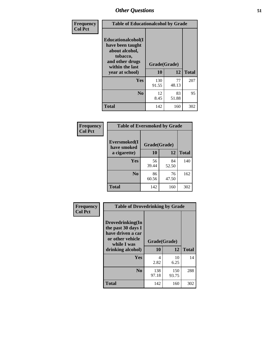| Frequency      | <b>Table of Educationalcohol by Grade</b>                                                                  |              |             |              |
|----------------|------------------------------------------------------------------------------------------------------------|--------------|-------------|--------------|
| <b>Col Pct</b> | Educationalcohol(I<br>have been taught<br>about alcohol,<br>tobacco,<br>and other drugs<br>within the last | Grade(Grade) |             |              |
|                | year at school)                                                                                            | 10           | 12          | <b>Total</b> |
|                | <b>Yes</b>                                                                                                 | 130<br>91.55 | 77<br>48.13 | 207          |
|                | N <sub>0</sub>                                                                                             | 12<br>8.45   | 83<br>51.88 | 95           |
|                | <b>Total</b>                                                                                               | 142          | 160         | 302          |

| Frequency      | <b>Table of Eversmoked by Grade</b> |              |             |              |
|----------------|-------------------------------------|--------------|-------------|--------------|
| <b>Col Pct</b> | Eversmoked(I<br>have smoked         | Grade(Grade) |             |              |
|                | a cigarette)                        | 10           | 12          | <b>Total</b> |
|                | Yes                                 | 56<br>39.44  | 84<br>52.50 | 140          |
|                | N <sub>0</sub>                      | 86<br>60.56  | 76<br>47.50 | 162          |
|                | <b>Total</b>                        | 142          | 160         | 302          |

| Frequency      | <b>Table of Drovedrinking by Grade</b>                                                                              |                    |              |              |
|----------------|---------------------------------------------------------------------------------------------------------------------|--------------------|--------------|--------------|
| <b>Col Pct</b> | Drovedrinking(In<br>the past 30 days I<br>have driven a car<br>or other vehicle<br>while I was<br>drinking alcohol) | Grade(Grade)<br>10 | 12           | <b>Total</b> |
|                | <b>Yes</b>                                                                                                          | 4<br>2.82          | 10<br>6.25   | 14           |
|                | N <sub>0</sub>                                                                                                      | 138<br>97.18       | 150<br>93.75 | 288          |
|                | <b>Total</b>                                                                                                        | 142                | 160          | 302          |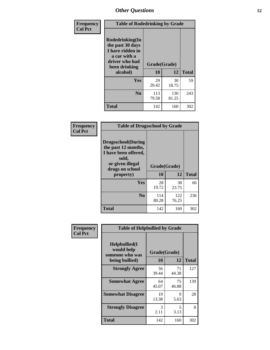| Frequency<br><b>Col Pct</b> | <b>Table of Rodedrinking by Grade</b>                                                                      |              |              |              |
|-----------------------------|------------------------------------------------------------------------------------------------------------|--------------|--------------|--------------|
|                             | Rodedrinking(In<br>the past 30 days<br>I have ridden in<br>a car with a<br>driver who had<br>been drinking | Grade(Grade) |              |              |
|                             | alcohol)                                                                                                   | 10           | 12           | <b>Total</b> |
|                             | Yes                                                                                                        | 29<br>20.42  | 30<br>18.75  | 59           |
|                             | N <sub>0</sub>                                                                                             | 113<br>79.58 | 130<br>81.25 | 243          |
|                             | <b>Total</b>                                                                                               | 142          | 160          | 302          |

#### **Frequency Col Pct**

| <b>Table of Drugsschool by Grade</b>                                                                                      |              |              |              |
|---------------------------------------------------------------------------------------------------------------------------|--------------|--------------|--------------|
| <b>Drugsschool</b> (During<br>the past 12 months,<br>I have been offered,<br>sold,<br>or given illegal<br>drugs on school | Grade(Grade) |              |              |
| property)                                                                                                                 | 10           | 12           | <b>Total</b> |
| Yes                                                                                                                       | 28<br>19.72  | 38<br>23.75  | 66           |
| N <sub>0</sub>                                                                                                            | 114<br>80.28 | 122<br>76.25 | 236          |
| <b>Total</b>                                                                                                              | 142          | 160          | 302          |

| Frequency      | <b>Table of Helpbullied by Grade</b>           |              |             |              |
|----------------|------------------------------------------------|--------------|-------------|--------------|
| <b>Col Pct</b> | Helpbullied(I<br>would help<br>someone who was | Grade(Grade) |             |              |
|                | being bullied)                                 | 10           | 12          | <b>Total</b> |
|                | <b>Strongly Agree</b>                          | 56<br>39.44  | 71<br>44.38 | 127          |
|                | <b>Somewhat Agree</b>                          | 64<br>45.07  | 75<br>46.88 | 139          |
|                | <b>Somewhat Disagree</b>                       | 19<br>13.38  | 9<br>5.63   | 28           |
|                | <b>Strongly Disagree</b>                       | 3<br>2.11    | 5<br>3.13   | 8            |
|                | <b>Total</b>                                   | 142          | 160         | 302          |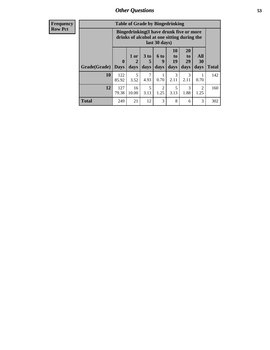| <b>Frequency</b><br>Row Pct |
|-----------------------------|
|                             |

| <b>Table of Grade by Bingedrinking</b> |                  |                                                                                                         |              |                          |                        |                        |                          |              |  |
|----------------------------------------|------------------|---------------------------------------------------------------------------------------------------------|--------------|--------------------------|------------------------|------------------------|--------------------------|--------------|--|
|                                        |                  | Bingedrinking(I have drunk five or more<br>drinks of alcohol at one sitting during the<br>last 30 days) |              |                          |                        |                        |                          |              |  |
| Grade(Grade)                           | 0<br><b>Days</b> | 1 or<br>2<br>days                                                                                       | 3 to<br>days | <b>6 to</b><br>9<br>days | 10<br>to<br>19<br>days | 20<br>to<br>29<br>days | All<br><b>30</b><br>days | <b>Total</b> |  |
| 10                                     | 122<br>85.92     | 5<br>3.52                                                                                               | 4.93         | 0.70                     | 3<br>2.11              | 3<br>2.11              | 0.70                     | 142          |  |
| 12                                     | 127              | 16                                                                                                      | 5            | $\overline{2}$           | 5                      | 3                      | $\mathfrak{D}$           | 160          |  |
|                                        | 79.38            | 10.00                                                                                                   | 3.13         | 1.25                     | 3.13                   | 1.88                   | 1.25                     |              |  |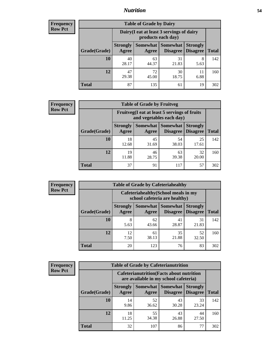### *Nutrition* **54**

| <b>Frequency</b><br>Row Pct |  |
|-----------------------------|--|
|                             |  |

| <b>Table of Grade by Dairy</b> |                          |                                                                 |                             |                                    |              |  |  |  |  |
|--------------------------------|--------------------------|-----------------------------------------------------------------|-----------------------------|------------------------------------|--------------|--|--|--|--|
|                                |                          | Dairy (I eat at least 3 servings of dairy<br>products each day) |                             |                                    |              |  |  |  |  |
| Grade(Grade)                   | <b>Strongly</b><br>Agree | <b>Somewhat</b><br>Agree                                        | <b>Somewhat</b><br>Disagree | <b>Strongly</b><br><b>Disagree</b> | <b>Total</b> |  |  |  |  |
| 10                             | 40<br>28.17              | 63<br>44.37                                                     | 31<br>21.83                 | 8<br>5.63                          | 142          |  |  |  |  |
| 12                             | 47<br>29.38              | 72<br>45.00                                                     | 30<br>18.75                 | 11<br>6.88                         | 160          |  |  |  |  |
| <b>Total</b>                   | 87                       | 135                                                             | 61                          | 19                                 | 302          |  |  |  |  |

| <b>Frequency</b> |  |
|------------------|--|
| <b>Row Pct</b>   |  |

| <b>Table of Grade by Fruitveg</b>                                        |                          |             |                                        |                                    |              |  |
|--------------------------------------------------------------------------|--------------------------|-------------|----------------------------------------|------------------------------------|--------------|--|
| Fruitveg(I eat at least 5 servings of fruits<br>and vegetables each day) |                          |             |                                        |                                    |              |  |
| Grade(Grade)                                                             | <b>Strongly</b><br>Agree | Agree       | <b>Somewhat   Somewhat</b><br>Disagree | <b>Strongly</b><br><b>Disagree</b> | <b>Total</b> |  |
| 10                                                                       | 18<br>12.68              | 45<br>31.69 | 54<br>38.03                            | 25<br>17.61                        | 142          |  |
| 12                                                                       | 19<br>11.88              | 46<br>28.75 | 63<br>39.38                            | 32<br>20.00                        | 160          |  |
| <b>Total</b>                                                             | 37                       | 91          | 117                                    | 57                                 | 302          |  |

| <b>Frequency</b> | <b>Table of Grade by Cafeteriahealthy</b> |                          |                                                                       |                 |                                    |              |  |  |  |
|------------------|-------------------------------------------|--------------------------|-----------------------------------------------------------------------|-----------------|------------------------------------|--------------|--|--|--|
| <b>Row Pct</b>   |                                           |                          | Cafeteriahealthy (School meals in my<br>school cafeteria are healthy) |                 |                                    |              |  |  |  |
|                  | Grade(Grade)                              | <b>Strongly</b><br>Agree | Somewhat Somewhat<br>Agree                                            | <b>Disagree</b> | <b>Strongly</b><br><b>Disagree</b> | <b>Total</b> |  |  |  |
|                  | 10                                        | 8<br>5.63                | 62<br>43.66                                                           | 41<br>28.87     | 31<br>21.83                        | 142          |  |  |  |
|                  | 12                                        | 12<br>7.50               | 61<br>38.13                                                           | 35<br>21.88     | 52<br>32.50                        | 160          |  |  |  |
|                  | Total                                     | 20                       | 123                                                                   | 76              | 83                                 | 302          |  |  |  |

| <b>Frequency</b> |
|------------------|
| <b>Row Pct</b>   |

| <b>Table of Grade by Cafeterianutrition</b>                                               |                          |                   |                                    |                                    |              |  |  |
|-------------------------------------------------------------------------------------------|--------------------------|-------------------|------------------------------------|------------------------------------|--------------|--|--|
| <b>Cafeterianutrition</b> (Facts about nutrition<br>are available in my school cafeteria) |                          |                   |                                    |                                    |              |  |  |
| Grade(Grade)                                                                              | <b>Strongly</b><br>Agree | Somewhat<br>Agree | <b>Somewhat</b><br><b>Disagree</b> | <b>Strongly</b><br><b>Disagree</b> | <b>Total</b> |  |  |
| 10                                                                                        | 14<br>9.86               | 52<br>36.62       | 43<br>30.28                        | 33<br>23.24                        | 142          |  |  |
| 12                                                                                        | 18<br>11.25              | 55<br>34.38       | 43<br>26.88                        | 44<br>27.50                        | 160          |  |  |
| <b>Total</b>                                                                              | 32                       | 107               | 86                                 | 77                                 | 302          |  |  |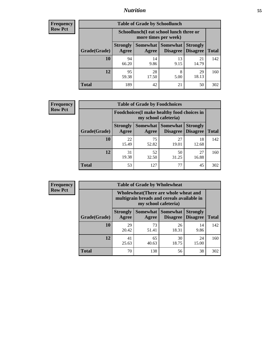### *Nutrition* **55**

| Frequency |
|-----------|
| Row Pct   |

| <b>Table of Grade by Schoollunch</b> |                                                                                                          |                                                                 |            |             |     |  |  |  |
|--------------------------------------|----------------------------------------------------------------------------------------------------------|-----------------------------------------------------------------|------------|-------------|-----|--|--|--|
|                                      |                                                                                                          | Schoollunch(I eat school lunch three or<br>more times per week) |            |             |     |  |  |  |
| Grade(Grade)                         | Somewhat Somewhat<br><b>Strongly</b><br><b>Strongly</b><br><b>Disagree</b><br>Disagree<br>Agree<br>Agree |                                                                 |            |             |     |  |  |  |
| 10                                   | 94<br>66.20                                                                                              | 14<br>9.86                                                      | 13<br>9.15 | 21<br>14.79 | 142 |  |  |  |
| 12                                   | 95<br>59.38                                                                                              | 28<br>17.50                                                     | 8<br>5.00  | 29<br>18.13 | 160 |  |  |  |
| <b>Total</b>                         | 189                                                                                                      | 42                                                              | 21         | 50          | 302 |  |  |  |

| <b>Frequency</b> |  |
|------------------|--|
| <b>Row Pct</b>   |  |

| <b>Table of Grade by Foodchoices</b>                                       |                          |             |                                   |                                    |              |  |
|----------------------------------------------------------------------------|--------------------------|-------------|-----------------------------------|------------------------------------|--------------|--|
| <b>Foodchoices</b> (I make healthy food choices in<br>my school cafeteria) |                          |             |                                   |                                    |              |  |
| Grade(Grade)                                                               | <b>Strongly</b><br>Agree | Agree       | Somewhat   Somewhat  <br>Disagree | <b>Strongly</b><br><b>Disagree</b> | <b>Total</b> |  |
| 10                                                                         | 22<br>15.49              | 75<br>52.82 | 27<br>19.01                       | 18<br>12.68                        | 142          |  |
| 12                                                                         | 31<br>19.38              | 52<br>32.50 | 50<br>31.25                       | 27<br>16.88                        | 160          |  |
| <b>Total</b>                                                               | 53                       | 127         | 77                                | 45                                 | 302          |  |

| <b>Frequency</b> | <b>Table of Grade by Wholewheat</b> |                                                                                                             |                     |                      |                                    |              |  |  |
|------------------|-------------------------------------|-------------------------------------------------------------------------------------------------------------|---------------------|----------------------|------------------------------------|--------------|--|--|
| <b>Row Pct</b>   |                                     | Wholewheat (There are whole wheat and<br>multigrain breads and cereals available in<br>my school cafeteria) |                     |                      |                                    |              |  |  |
|                  | Grade(Grade)                        | <b>Strongly</b><br>Agree                                                                                    | Somewhat  <br>Agree | Somewhat<br>Disagree | <b>Strongly</b><br><b>Disagree</b> | <b>Total</b> |  |  |
|                  | <b>10</b>                           | 29<br>20.42                                                                                                 | 73<br>51.41         | 26<br>18.31          | 14<br>9.86                         | 142          |  |  |
|                  | 12                                  | 41<br>25.63                                                                                                 | 65<br>40.63         | 30<br>18.75          | 24<br>15.00                        | 160          |  |  |
|                  | <b>Total</b>                        | 70                                                                                                          | 138                 | 56                   | 38                                 | 302          |  |  |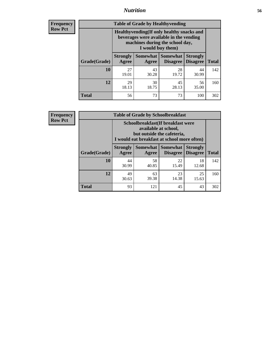### *Nutrition* **56**

**Frequency Row Pct**

| <b>Table of Grade by Healthyvending</b> |                                                                                                                                               |                     |                                    |                                    |              |  |
|-----------------------------------------|-----------------------------------------------------------------------------------------------------------------------------------------------|---------------------|------------------------------------|------------------------------------|--------------|--|
|                                         | Healthyvending (If only healthy snacks and<br>beverages were available in the vending<br>machines during the school day,<br>I would buy them) |                     |                                    |                                    |              |  |
| Grade(Grade)                            | <b>Strongly</b><br>Agree                                                                                                                      | Somewhat  <br>Agree | <b>Somewhat</b><br><b>Disagree</b> | <b>Strongly</b><br><b>Disagree</b> | <b>Total</b> |  |
| 10                                      | 27<br>19.01                                                                                                                                   | 43<br>30.28         | 28<br>19.72                        | 44<br>30.99                        | 142          |  |
| 12                                      | 29<br>18.13                                                                                                                                   | 30<br>18.75         | 45<br>28.13                        | 56<br>35.00                        | 160          |  |
| <b>Total</b>                            | 56                                                                                                                                            | 73                  | 73                                 | 100                                | 302          |  |

**Frequency Row Pct**

| <b>Table of Grade by Schoolbreakfast</b> |                                                                                                                                         |             |                                               |                                    |              |  |
|------------------------------------------|-----------------------------------------------------------------------------------------------------------------------------------------|-------------|-----------------------------------------------|------------------------------------|--------------|--|
|                                          | Schoolbreakfast (If breakfast were<br>available at school,<br>but outside the cafeteria,<br>I would eat breakfast at school more often) |             |                                               |                                    |              |  |
| Grade(Grade)                             | <b>Strongly</b><br>Agree                                                                                                                | Agree       | <b>Somewhat   Somewhat</b><br><b>Disagree</b> | <b>Strongly</b><br><b>Disagree</b> | <b>Total</b> |  |
| 10                                       | 44<br>30.99                                                                                                                             | 58<br>40.85 | 22<br>15.49                                   | 18<br>12.68                        | 142          |  |
| 12                                       | 49<br>30.63                                                                                                                             | 63<br>39.38 | 23<br>14.38                                   | 25<br>15.63                        | 160          |  |
| <b>Total</b>                             | 93                                                                                                                                      | 121         | 45                                            | 43                                 | 302          |  |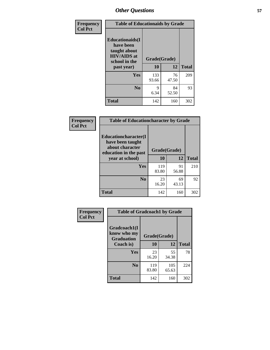| Frequency<br><b>Col Pct</b> | <b>Table of Educationaids by Grade</b>                                                                    |                    |             |              |
|-----------------------------|-----------------------------------------------------------------------------------------------------------|--------------------|-------------|--------------|
|                             | <b>Educationaids</b> (I<br>have been<br>taught about<br><b>HIV/AIDS</b> at<br>school in the<br>past year) | Grade(Grade)<br>10 | 12          | <b>Total</b> |
|                             | <b>Yes</b>                                                                                                | 133<br>93.66       | 76<br>47.50 | 209          |
|                             | N <sub>0</sub>                                                                                            | 9<br>6.34          | 84<br>52.50 | 93           |
|                             | <b>Total</b>                                                                                              | 142                | 160         | 302          |

| Frequency      | <b>Table of Educationcharacter by Grade</b> |              |             |              |
|----------------|---------------------------------------------|--------------|-------------|--------------|
| <b>Col Pct</b> | Educationcharacter(I<br>have been taught    |              |             |              |
|                | about character<br>education in the past    | Grade(Grade) |             |              |
|                | year at school)                             | 10           | 12          | <b>Total</b> |
|                | <b>Yes</b>                                  | 119<br>83.80 | 91<br>56.88 | 210          |
|                | N <sub>0</sub>                              | 23<br>16.20  | 69<br>43.13 | 92           |
|                | <b>Total</b>                                | 142          | 160         | 302          |

| Frequency<br><b>Col Pct</b> | <b>Table of Gradcoach1 by Grade</b>              |              |              |              |
|-----------------------------|--------------------------------------------------|--------------|--------------|--------------|
|                             | Gradcoach1(I<br>know who my<br><b>Graduation</b> | Grade(Grade) |              |              |
|                             | Coach is)                                        | 10           | 12           | <b>Total</b> |
|                             | Yes                                              | 23<br>16.20  | 55<br>34.38  | 78           |
|                             | N <sub>0</sub>                                   | 119<br>83.80 | 105<br>65.63 | 224          |
|                             | <b>Total</b>                                     | 142          | 160          | 302          |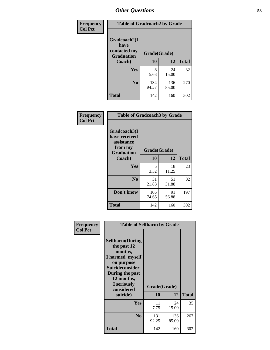| Frequency      | <b>Table of Gradcoach2 by Grade</b> |              |              |              |
|----------------|-------------------------------------|--------------|--------------|--------------|
| <b>Col Pct</b> |                                     |              |              |              |
|                | Gradcoach2(I<br>have                |              |              |              |
|                | contacted my<br><b>Graduation</b>   | Grade(Grade) |              |              |
|                | Coach)                              | 10           | 12           | <b>Total</b> |
|                | Yes                                 | 8<br>5.63    | 24<br>15.00  | 32           |
|                | N <sub>0</sub>                      | 134<br>94.37 | 136<br>85.00 | 270          |
|                | <b>Total</b>                        | 142          | 160          | 302          |

| <b>Frequency</b><br><b>Col Pct</b> | <b>Table of Gradcoach3 by Grade</b>                                         |              |             |              |
|------------------------------------|-----------------------------------------------------------------------------|--------------|-------------|--------------|
|                                    | Gradcoach3(I<br>have received<br>assistance<br>from my<br><b>Graduation</b> | Grade(Grade) |             |              |
|                                    | Coach)                                                                      | 10           | 12          | <b>Total</b> |
|                                    | Yes                                                                         | 5<br>3.52    | 18<br>11.25 | 23           |
|                                    | N <sub>0</sub>                                                              | 31<br>21.83  | 51<br>31.88 | 82           |
|                                    | Don't know                                                                  | 106<br>74.65 | 91<br>56.88 | 197          |
|                                    | <b>Total</b>                                                                | 142          | 160         | 302          |

| Frequency      | <b>Table of Selfharm by Grade</b>                                                                                                                                                      |                    |              |              |
|----------------|----------------------------------------------------------------------------------------------------------------------------------------------------------------------------------------|--------------------|--------------|--------------|
| <b>Col Pct</b> | <b>Selfharm</b> (During<br>the past 12<br>months,<br>I harmed myself<br>on purpose<br><b>Suicideconsider</b><br>During the past<br>12 months,<br>I seriously<br>considered<br>suicide) | Grade(Grade)<br>10 | 12           | <b>Total</b> |
|                | <b>Yes</b>                                                                                                                                                                             | 11                 | 24           | 35           |
|                |                                                                                                                                                                                        | 7.75               | 15.00        |              |
|                | N <sub>0</sub>                                                                                                                                                                         | 131<br>92.25       | 136<br>85.00 | 267          |
|                | <b>Total</b>                                                                                                                                                                           | 142                | 160          | 302          |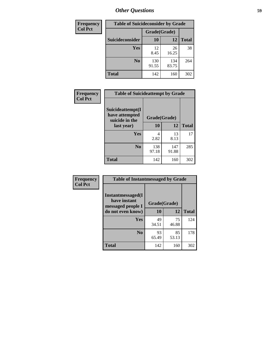| <b>Frequency</b> | <b>Table of Suicideconsider by Grade</b> |              |              |              |  |
|------------------|------------------------------------------|--------------|--------------|--------------|--|
| <b>Col Pct</b>   |                                          | Grade(Grade) |              |              |  |
|                  | Suicideconsider                          | <b>10</b>    | 12           | <b>Total</b> |  |
|                  | Yes                                      | 12<br>8.45   | 26<br>16.25  | 38           |  |
|                  | N <sub>0</sub>                           | 130<br>91.55 | 134<br>83.75 | 264          |  |
|                  | <b>Total</b>                             | 142          | 160          | 302          |  |

| Frequency      | <b>Table of Suicideattempt by Grade</b>              |              |              |              |
|----------------|------------------------------------------------------|--------------|--------------|--------------|
| <b>Col Pct</b> | Suicideattempt(I<br>have attempted<br>suicide in the | Grade(Grade) |              |              |
|                | last year)                                           | <b>10</b>    | 12           | <b>Total</b> |
|                | Yes                                                  | 4<br>2.82    | 13<br>8.13   | 17           |
|                | $\bf No$                                             | 138<br>97.18 | 147<br>91.88 | 285          |
|                | <b>Total</b>                                         | 142          | 160          | 302          |

| Frequency      | <b>Table of Instantmessaged by Grade</b>                       |              |       |              |
|----------------|----------------------------------------------------------------|--------------|-------|--------------|
| <b>Col Pct</b> | <b>Instantmessaged</b> (I<br>have instant<br>messaged people I | Grade(Grade) |       |              |
|                | do not even know)                                              | 10           | 12    | <b>Total</b> |
|                | Yes                                                            | 49           | 75    | 124          |
|                |                                                                | 34.51        | 46.88 |              |
|                | N <sub>0</sub>                                                 | 93           | 85    | 178          |
|                |                                                                | 65.49        | 53.13 |              |
|                | <b>Total</b>                                                   | 142          | 160   | 302          |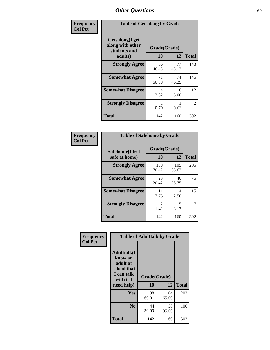| Frequency      | <b>Table of Getsalong by Grade</b>                          |              |             |                |  |  |  |
|----------------|-------------------------------------------------------------|--------------|-------------|----------------|--|--|--|
| <b>Col Pct</b> | <b>Getsalong</b> (I get<br>along with other<br>students and | Grade(Grade) |             |                |  |  |  |
|                | adults)                                                     | 10           | 12          | <b>Total</b>   |  |  |  |
|                | <b>Strongly Agree</b>                                       | 66<br>46.48  | 77<br>48.13 | 143            |  |  |  |
|                | <b>Somewhat Agree</b>                                       | 71<br>50.00  | 74<br>46.25 | 145            |  |  |  |
|                | <b>Somewhat Disagree</b>                                    | 4<br>2.82    | 8<br>5.00   | 12             |  |  |  |
|                | <b>Strongly Disagree</b>                                    | 0.70         | 0.63        | $\mathfrak{D}$ |  |  |  |
|                | <b>Total</b>                                                | 142          | 160         | 302            |  |  |  |

| Frequency      | <b>Table of Safehome by Grade</b> |                        |                                  |              |  |  |
|----------------|-----------------------------------|------------------------|----------------------------------|--------------|--|--|
| <b>Col Pct</b> | Safehome(I feel<br>safe at home)  | Grade(Grade)<br>10     | 12                               | <b>Total</b> |  |  |
|                | <b>Strongly Agree</b>             | 100<br>70.42           | 105<br>65.63                     | 205          |  |  |
|                | <b>Somewhat Agree</b>             | 29<br>20.42            | 46<br>28.75                      | 75           |  |  |
|                | <b>Somewhat Disagree</b>          | 11<br>7.75             | 4<br>2.50                        | 15           |  |  |
|                | <b>Strongly Disagree</b>          | $\mathfrak{D}$<br>1.41 | $\overline{\phantom{0}}$<br>3.13 | 7            |  |  |
|                | <b>Total</b>                      | 142                    | 160                              | 302          |  |  |

| Frequency      | <b>Table of Adulttalk by Grade</b>                                                   |                    |              |              |  |  |  |
|----------------|--------------------------------------------------------------------------------------|--------------------|--------------|--------------|--|--|--|
| <b>Col Pct</b> | <b>Adulttalk</b> (I<br>know an<br>adult at<br>school that<br>I can talk<br>with if I | Grade(Grade)<br>10 | 12           | <b>Total</b> |  |  |  |
|                | need help)                                                                           |                    |              |              |  |  |  |
|                | <b>Yes</b>                                                                           | 98<br>69.01        | 104<br>65.00 | 202          |  |  |  |
|                | N <sub>0</sub>                                                                       | 44<br>30.99        | 56<br>35.00  | 100          |  |  |  |
|                | <b>Total</b>                                                                         | 142                | 160          | 302          |  |  |  |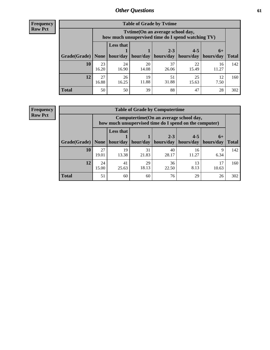**Frequency Row Pct**

| <b>Table of Grade by Tvtime</b> |             |                                                                                                        |             |             |             |             |     |  |  |  |  |
|---------------------------------|-------------|--------------------------------------------------------------------------------------------------------|-------------|-------------|-------------|-------------|-----|--|--|--|--|
|                                 |             | Tytime (On an average school day,<br>how much unsupervised time do I spend watching TV)                |             |             |             |             |     |  |  |  |  |
| Grade(Grade)   None             |             | Less that<br>$2 - 3$<br>$4 - 5$<br>$6+$<br>hour/day   hour/day<br>hours/day<br>  hours/day   hours/day |             |             |             |             |     |  |  |  |  |
| 10                              | 23<br>16.20 | 24<br>16.90                                                                                            | 20<br>14.08 | 37<br>26.06 | 22<br>15.49 | 16<br>11.27 | 142 |  |  |  |  |
| 12                              | 27<br>16.88 | 26<br>16.25                                                                                            | 19<br>11.88 | 51<br>31.88 | 25<br>15.63 | 12<br>7.50  | 160 |  |  |  |  |
| <b>Total</b>                    | 50          | 50                                                                                                     | 39          | 88          | 47          | 28          | 302 |  |  |  |  |

**Frequency Row Pct**

| <b>Table of Grade by Computertime</b> |             |                                                                                                                               |             |             |             |           |     |  |  |  |  |
|---------------------------------------|-------------|-------------------------------------------------------------------------------------------------------------------------------|-------------|-------------|-------------|-----------|-----|--|--|--|--|
|                                       |             | Computertime (On an average school day,<br>how much unsupervised time do I spend on the computer)                             |             |             |             |           |     |  |  |  |  |
| Grade(Grade)                          | None        | <b>Less that</b><br>$2 - 3$<br>$4 - 5$<br>$6+$<br>hours/day<br>hours/day<br>hour/day<br>hour/day<br>hours/day<br><b>Total</b> |             |             |             |           |     |  |  |  |  |
| 10                                    | 27<br>19.01 | 19<br>13.38                                                                                                                   | 31<br>21.83 | 40<br>28.17 | 16<br>11.27 | Q<br>6.34 | 142 |  |  |  |  |
| 12                                    | 24<br>15.00 | 29<br>36<br>13<br>17<br>41<br>18.13<br>8.13<br>25.63<br>22.50<br>10.63                                                        |             |             |             |           |     |  |  |  |  |
| <b>Total</b>                          | 51          | 60                                                                                                                            | 60          | 76          | 29          | 26        | 302 |  |  |  |  |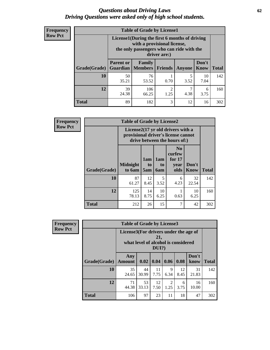#### *Questions about Driving Laws* **62** *Driving Questions were asked only of high school students.*

| <b>Frequency</b> |
|------------------|
| <b>Row Pct</b>   |

| <b>Table of Grade by License1</b> |                                                                                 |                                                                                                                                           |                |           |               |              |  |  |  |
|-----------------------------------|---------------------------------------------------------------------------------|-------------------------------------------------------------------------------------------------------------------------------------------|----------------|-----------|---------------|--------------|--|--|--|
|                                   |                                                                                 | License1(During the first 6 months of driving<br>with a provisional license,<br>the only passengers who can ride with the<br>driver are:) |                |           |               |              |  |  |  |
| Grade(Grade)                      | <b>Parent or</b><br>Guardian                                                    | Family<br><b>Members</b>                                                                                                                  | <b>Friends</b> | Anyone    | Don't<br>Know | <b>Total</b> |  |  |  |
| 10                                | 50<br>35.21                                                                     | 76<br>53.52                                                                                                                               | 0.70           | 5<br>3.52 | 10<br>7.04    | 142          |  |  |  |
| 12                                | 39<br>7<br>106<br>$\mathfrak{D}$<br>6<br>24.38<br>4.38<br>66.25<br>1.25<br>3.75 |                                                                                                                                           |                |           |               |              |  |  |  |
| Total                             | 89                                                                              | 182                                                                                                                                       | 3              | 12        | 16            | 302          |  |  |  |

| <b>Frequency</b> |                     | <b>Table of Grade by License2</b> |                                                                                                          |                              |                                                      |                      |              |  |  |
|------------------|---------------------|-----------------------------------|----------------------------------------------------------------------------------------------------------|------------------------------|------------------------------------------------------|----------------------|--------------|--|--|
| <b>Row Pct</b>   |                     |                                   | License2(17 yr old drivers with a<br>provisional driver's license cannot<br>drive between the hours of:) |                              |                                                      |                      |              |  |  |
|                  | <b>Grade(Grade)</b> | <b>Midnight</b><br>to 6am         | 1am<br>t <sub>0</sub><br>5am                                                                             | 1am<br>t <sub>0</sub><br>6am | N <sub>0</sub><br>curfew<br>for $17$<br>year<br>olds | Don't<br><b>Know</b> | <b>Total</b> |  |  |
|                  | 10                  | 87<br>61.27                       | 12<br>8.45                                                                                               | 5<br>3.52                    | 6<br>4.23                                            | 32<br>22.54          | 142          |  |  |
|                  | 12                  | 125<br>78.13                      | 14<br>8.75                                                                                               | 10<br>6.25                   | 0.63                                                 | 10<br>6.25           | 160          |  |  |
|                  | <b>Total</b>        | 212                               | 26                                                                                                       | 15                           | 7                                                    | 42                   | 302          |  |  |

| Frequency      |              | <b>Table of Grade by License3</b>                                                               |             |            |           |            |               |              |  |  |
|----------------|--------------|-------------------------------------------------------------------------------------------------|-------------|------------|-----------|------------|---------------|--------------|--|--|
| <b>Row Pct</b> |              | License3(For drivers under the age of<br>21,<br>what level of alcohol is considered<br>$DUI$ ?) |             |            |           |            |               |              |  |  |
|                | Grade(Grade) | Any<br><b>Amount</b>                                                                            | 0.02        | 0.04       | 0.06      | 0.08       | Don't<br>know | <b>Total</b> |  |  |
|                | 10           | 35<br>24.65                                                                                     | 44<br>30.99 | 11<br>7.75 | 9<br>6.34 | 12<br>8.45 | 31<br>21.83   | 142          |  |  |
|                | 12           | 71<br>44.38                                                                                     | 53<br>33.13 | 12<br>7.50 | 2<br>1.25 | 6<br>3.75  | 16<br>10.00   | 160          |  |  |
|                | <b>Total</b> | 106                                                                                             | 97          | 23         | 11        | 18         | 47            | 302          |  |  |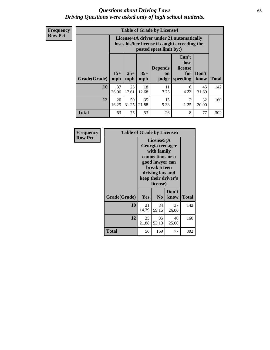#### *Questions about Driving Laws* **63** *Driving Questions were asked only of high school students.*

**Frequency Row Pct**

| <b>Table of Grade by License4</b> |             |                                                                                                                                                                                                                                                                                       |             |            |           |             |     |  |  |  |
|-----------------------------------|-------------|---------------------------------------------------------------------------------------------------------------------------------------------------------------------------------------------------------------------------------------------------------------------------------------|-------------|------------|-----------|-------------|-----|--|--|--|
|                                   |             | License4(A driver under 21 automatically<br>loses his/her license if caught exceeding the<br>posted speet limit by:)<br>Can't<br>lose<br>license<br><b>Depends</b><br>$15+$<br>$35+$<br>$25+$<br>Don't<br>for<br><b>on</b><br><b>Total</b><br>speeding<br>mph<br>know<br>mph<br>judge |             |            |           |             |     |  |  |  |
| Grade(Grade)                      | mph         |                                                                                                                                                                                                                                                                                       |             |            |           |             |     |  |  |  |
| 10                                | 37<br>26.06 | 25<br>17.61                                                                                                                                                                                                                                                                           | 18<br>12.68 | 11<br>7.75 | 6<br>4.23 | 45<br>31.69 | 142 |  |  |  |
| 12                                | 26<br>16.25 | 35<br>50<br>15<br>$\mathfrak{D}$<br>32<br>31.25<br>21.88<br>9.38<br>1.25<br>20.00                                                                                                                                                                                                     |             |            |           |             |     |  |  |  |
| <b>Total</b>                      | 63          | 75                                                                                                                                                                                                                                                                                    | 53          | 26         | 8         | 77          | 302 |  |  |  |

| Frequency      | <b>Table of Grade by License5</b> |             |                                                                                                                                      |                     |              |
|----------------|-----------------------------------|-------------|--------------------------------------------------------------------------------------------------------------------------------------|---------------------|--------------|
| <b>Row Pct</b> |                                   |             | License5(A)<br>Georgia teenager<br>with family<br>connections or a<br>good lawyer can<br>break a teen<br>driving law and<br>license) | keep their driver's |              |
|                | Grade(Grade)                      | Yes         | N <sub>0</sub>                                                                                                                       | Don't<br>know       | <b>Total</b> |
|                | 10                                | 21<br>14.79 | 84<br>59.15                                                                                                                          | 37<br>26.06         | 142          |
|                | 12                                | 35<br>21.88 | 85<br>53.13                                                                                                                          | 40<br>25.00         | 160          |
|                | <b>Total</b>                      | 56          | 169                                                                                                                                  | 77                  | 302          |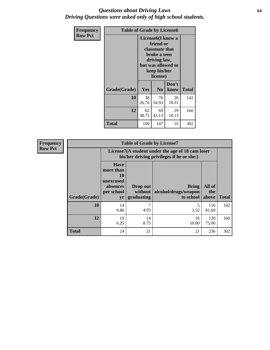#### *Questions about Driving Laws* **64** *Driving Questions were asked only of high school students.*

| <b>Frequency</b> | <b>Table of Grade by License6</b> |                                                                                                                                                 |                |               |              |
|------------------|-----------------------------------|-------------------------------------------------------------------------------------------------------------------------------------------------|----------------|---------------|--------------|
| <b>Row Pct</b>   |                                   | License <sub>6</sub> (I know a<br>friend or<br>classmate that<br>broke a teen<br>driving law,<br>but was allowed to<br>keep his/her<br>license) |                |               |              |
|                  | Grade(Grade)                      | <b>Yes</b>                                                                                                                                      | N <sub>0</sub> | Don't<br>know | <b>Total</b> |
|                  | 10                                | 38<br>26.76                                                                                                                                     | 78<br>54.93    | 26<br>18.31   | 142          |
|                  | 12                                | 62<br>38.75                                                                                                                                     | 160            |               |              |
|                  | Total                             | 100                                                                                                                                             | 147            | 55            | 302          |

| <b>Frequency</b> |              |                                                                             | <b>Table of Grade by License7</b>                                                             |                                                   |                        |              |  |
|------------------|--------------|-----------------------------------------------------------------------------|-----------------------------------------------------------------------------------------------|---------------------------------------------------|------------------------|--------------|--|
| <b>Row Pct</b>   |              |                                                                             | License7(A student under the age of 18 cam loser<br>his/her driving privileges if he or she:) |                                                   |                        |              |  |
|                  | Grade(Grade) | <b>Have</b><br>more than<br>10<br>unexcused<br>absences<br>per school<br>yr | Drop out<br>without  <br>graduating                                                           | <b>Bring</b><br>alcohol/drugs/weapon<br>to school | All of<br>the<br>above | <b>Total</b> |  |
|                  | 10           | 14<br>9.86                                                                  | 7<br>4.93                                                                                     | 3.52                                              | 116<br>81.69           | 142          |  |
|                  | 12           | 10<br>6.25                                                                  | 14<br>8.75                                                                                    | 16<br>10.00                                       | 120<br>75.00           | 160          |  |
|                  | <b>Total</b> | 24                                                                          | 21                                                                                            | 21                                                | 236                    | 302          |  |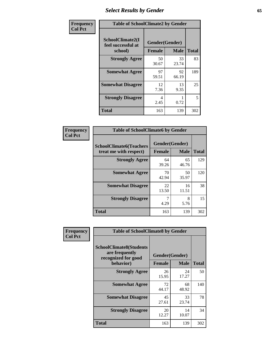# *Select Results by Gender* **65**

| Frequency      | <b>Table of SchoolClimate2 by Gender</b>          |                                 |             |              |
|----------------|---------------------------------------------------|---------------------------------|-------------|--------------|
| <b>Col Pct</b> | SchoolClimate2(I<br>feel successful at<br>school) | Gender(Gender)<br><b>Female</b> | <b>Male</b> | <b>Total</b> |
|                | <b>Strongly Agree</b>                             | 50<br>30.67                     | 33<br>23.74 | 83           |
|                | <b>Somewhat Agree</b>                             | 97<br>59.51                     | 92<br>66.19 | 189          |
|                | <b>Somewhat Disagree</b>                          | 12<br>7.36                      | 13<br>9.35  | 25           |
|                | <b>Strongly Disagree</b>                          | 4<br>2.45                       | 0.72        | 5            |
|                | <b>Total</b>                                      | 163                             | 139         | 302          |

| Frequency      | <b>Table of SchoolClimate6 by Gender</b>                 |                                 |             |              |  |
|----------------|----------------------------------------------------------|---------------------------------|-------------|--------------|--|
| <b>Col Pct</b> | <b>SchoolClimate6(Teachers</b><br>treat me with respect) | Gender(Gender)<br><b>Female</b> | <b>Male</b> | <b>Total</b> |  |
|                | <b>Strongly Agree</b>                                    | 64<br>39.26                     | 65<br>46.76 | 129          |  |
|                | <b>Somewhat Agree</b>                                    | 70<br>42.94                     | 50<br>35.97 | 120          |  |
|                | <b>Somewhat Disagree</b>                                 | 22<br>13.50                     | 16<br>11.51 | 38           |  |
|                | <b>Strongly Disagree</b>                                 | 7<br>4.29                       | 8<br>5.76   | 15           |  |
|                | <b>Total</b>                                             | 163                             | 139         | 302          |  |

| Frequency      | <b>Table of SchoolClimate8 by Gender</b>                                             |                                 |             |              |
|----------------|--------------------------------------------------------------------------------------|---------------------------------|-------------|--------------|
| <b>Col Pct</b> | <b>SchoolClimate8(Students</b><br>are frequently<br>recognized for good<br>behavior) | Gender(Gender)<br><b>Female</b> | <b>Male</b> | <b>Total</b> |
|                |                                                                                      |                                 |             |              |
|                | <b>Strongly Agree</b>                                                                | 26<br>15.95                     | 24<br>17.27 | 50           |
|                | <b>Somewhat Agree</b>                                                                | 72<br>44.17                     | 68<br>48.92 | 140          |
|                | <b>Somewhat Disagree</b>                                                             | 45<br>27.61                     | 33<br>23.74 | 78           |
|                | <b>Strongly Disagree</b>                                                             | 20<br>12.27                     | 14<br>10.07 | 34           |
|                | Total                                                                                | 163                             | 139         | 302          |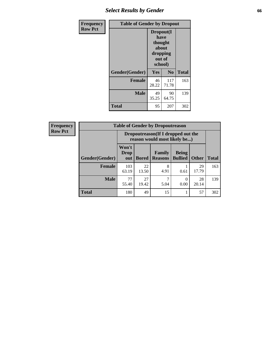# *Select Results by Gender* **66**

| Frequency      | <b>Table of Gender by Dropout</b> |                                                                        |                |              |
|----------------|-----------------------------------|------------------------------------------------------------------------|----------------|--------------|
| <b>Row Pct</b> |                                   | Dropout(I<br>have<br>thought<br>about<br>dropping<br>out of<br>school) |                |              |
|                | Gender(Gender)                    | Yes                                                                    | N <sub>0</sub> | <b>Total</b> |
|                | <b>Female</b>                     | 46<br>28.22                                                            | 117<br>71.78   | 163          |
|                | <b>Male</b>                       | 49<br>35.25                                                            | 90<br>64.75    | 139          |
|                | <b>Total</b>                      | 95                                                                     | 207            | 302          |

| <b>Frequency</b> | <b>Table of Gender by Dropoutreason</b> |                                                                    |              |                          |                                |              |              |
|------------------|-----------------------------------------|--------------------------------------------------------------------|--------------|--------------------------|--------------------------------|--------------|--------------|
| <b>Row Pct</b>   |                                         | Dropoutreason(If I dropped out the<br>reason would most likely be) |              |                          |                                |              |              |
|                  | Gender(Gender)                          | Won't<br><b>Drop</b><br>out                                        | <b>Bored</b> | Family<br><b>Reasons</b> | <b>Being</b><br><b>Bullied</b> | <b>Other</b> | <b>Total</b> |
|                  | Female                                  | 103<br>63.19                                                       | 22<br>13.50  | 8<br>4.91                | 0.61                           | 29<br>17.79  | 163          |
|                  | <b>Male</b>                             | 77<br>55.40                                                        | 27<br>19.42  | 5.04                     | 0.00                           | 28<br>20.14  | 139          |
|                  | <b>Total</b>                            | 180                                                                | 49           | 15                       |                                | 57           | 302          |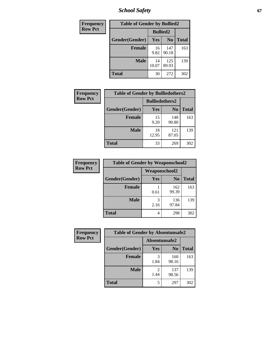*School Safety* **67**

| Frequency      | <b>Table of Gender by Bullied2</b> |                 |                |              |
|----------------|------------------------------------|-----------------|----------------|--------------|
| <b>Row Pct</b> |                                    | <b>Bullied2</b> |                |              |
|                | Gender(Gender)                     | Yes             | N <sub>0</sub> | <b>Total</b> |
|                | <b>Female</b>                      | 16<br>9.82      | 147<br>90.18   | 163          |
|                | <b>Male</b>                        | 14<br>10.07     | 125<br>89.93   | 139          |
|                | <b>Total</b>                       | 30              | 272            | 302          |

| Frequency      | <b>Table of Gender by Bulliedothers2</b> |                       |                |              |
|----------------|------------------------------------------|-----------------------|----------------|--------------|
| <b>Row Pct</b> |                                          | <b>Bulliedothers2</b> |                |              |
|                | Gender(Gender)                           | <b>Yes</b>            | N <sub>0</sub> | <b>Total</b> |
|                | <b>Female</b>                            | 15<br>9.20            | 148<br>90.80   | 163          |
|                | <b>Male</b>                              | 18<br>12.95           | 121<br>87.05   | 139          |
|                | <b>Total</b>                             | 33                    | 269            | 302          |

| Frequency      | <b>Table of Gender by Weaponschool2</b> |                      |                |              |
|----------------|-----------------------------------------|----------------------|----------------|--------------|
| <b>Row Pct</b> |                                         | <b>Weaponschool2</b> |                |              |
|                | Gender(Gender)                          | <b>Yes</b>           | N <sub>0</sub> | <b>Total</b> |
|                | <b>Female</b>                           | 0.61                 | 162<br>99.39   | 163          |
|                | <b>Male</b>                             | 3<br>2.16            | 136<br>97.84   | 139          |
|                | <b>Total</b>                            | 4                    | 298            | 302          |

| Frequency      | <b>Table of Gender by Absentunsafe2</b> |               |                |              |
|----------------|-----------------------------------------|---------------|----------------|--------------|
| <b>Row Pct</b> |                                         | Absentunsafe2 |                |              |
|                | Gender(Gender)                          | Yes           | N <sub>0</sub> | <b>Total</b> |
|                | <b>Female</b>                           | 1.84          | 160<br>98.16   | 163          |
|                | <b>Male</b>                             | 1.44          | 137<br>98.56   | 139          |
|                | <b>Total</b>                            | 5             | 297            | 302          |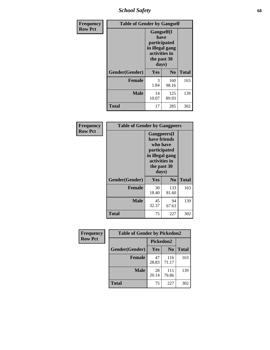*School Safety* **68**

| Frequency      | <b>Table of Gender by Gangself</b> |                                                                                                |                |              |
|----------------|------------------------------------|------------------------------------------------------------------------------------------------|----------------|--------------|
| <b>Row Pct</b> |                                    | Gangself(I<br>have<br>participated<br>in illegal gang<br>activities in<br>the past 30<br>days) |                |              |
|                | Gender(Gender)                     | Yes                                                                                            | N <sub>0</sub> | <b>Total</b> |
|                | <b>Female</b>                      | 3<br>1.84                                                                                      | 160<br>98.16   | 163          |
|                | <b>Male</b>                        | 14<br>10.07                                                                                    | 125<br>89.93   | 139          |
|                | <b>Total</b>                       | 17                                                                                             | 285            | 302          |

| Frequency      | <b>Table of Gender by Gangpeers</b> |                                                                                                                             |                |              |
|----------------|-------------------------------------|-----------------------------------------------------------------------------------------------------------------------------|----------------|--------------|
| <b>Row Pct</b> |                                     | <b>Gangpeers</b> (I<br>have friends<br>who have<br>participated<br>in illegal gang<br>activities in<br>the past 30<br>days) |                |              |
|                | Gender(Gender)                      | Yes                                                                                                                         | N <sub>0</sub> | <b>Total</b> |
|                | <b>Female</b>                       | 30<br>18.40                                                                                                                 | 133<br>81.60   | 163          |
|                | <b>Male</b>                         | 45<br>32.37                                                                                                                 | 94<br>67.63    | 139          |
|                | <b>Total</b>                        | 75                                                                                                                          | 227            | 302          |

| Frequency      | <b>Table of Gender by Pickedon2</b> |             |                |              |
|----------------|-------------------------------------|-------------|----------------|--------------|
| <b>Row Pct</b> |                                     | Pickedon2   |                |              |
|                | Gender(Gender)                      | Yes         | N <sub>0</sub> | <b>Total</b> |
|                | <b>Female</b>                       | 47<br>28.83 | 116<br>71.17   | 163          |
|                | <b>Male</b>                         | 28<br>20.14 | 111<br>79.86   | 139          |
|                | <b>Total</b>                        | 75          | 227            | 302          |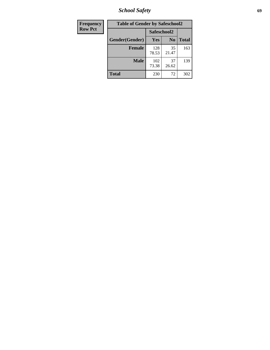*School Safety* **69**

| Frequency      | <b>Table of Gender by Safeschool2</b> |              |                |              |
|----------------|---------------------------------------|--------------|----------------|--------------|
| <b>Row Pct</b> |                                       | Safeschool2  |                |              |
|                | Gender(Gender)                        | <b>Yes</b>   | N <sub>0</sub> | <b>Total</b> |
|                | <b>Female</b>                         | 128<br>78.53 | 35<br>21.47    | 163          |
|                | <b>Male</b>                           | 102<br>73.38 | 37<br>26.62    | 139          |
|                | <b>Total</b>                          | 230          | 72             | 302          |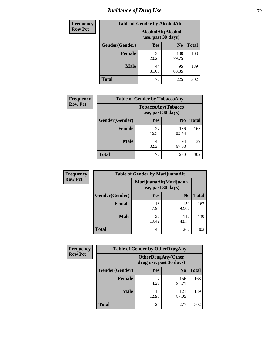# *Incidence of Drug Use* **70**

| <b>Frequency</b> |                | <b>Table of Gender by AlcoholAlt</b>     |                |              |
|------------------|----------------|------------------------------------------|----------------|--------------|
| <b>Row Pct</b>   |                | AlcoholAlt(Alcohol<br>use, past 30 days) |                |              |
|                  | Gender(Gender) | Yes                                      | N <sub>0</sub> | <b>Total</b> |
|                  | <b>Female</b>  | 33<br>20.25                              | 130<br>79.75   | 163          |
|                  | <b>Male</b>    | 44<br>31.65                              | 95<br>68.35    | 139          |
|                  | <b>Total</b>   | 77                                       | 225            | 302          |

| <b>Frequency</b> | <b>Table of Gender by TobaccoAny</b> |                                          |                |              |
|------------------|--------------------------------------|------------------------------------------|----------------|--------------|
| <b>Row Pct</b>   |                                      | TobaccoAny(Tobacco<br>use, past 30 days) |                |              |
|                  | Gender(Gender)                       | Yes                                      | N <sub>0</sub> | <b>Total</b> |
|                  | <b>Female</b>                        | 27<br>16.56                              | 136<br>83.44   | 163          |
|                  | <b>Male</b>                          | 45<br>32.37                              | 94<br>67.63    | 139          |
|                  | <b>Total</b>                         | 72                                       | 230            | 302          |

| <b>Frequency</b> | <b>Table of Gender by MarijuanaAlt</b> |                                              |                |              |
|------------------|----------------------------------------|----------------------------------------------|----------------|--------------|
| <b>Row Pct</b>   |                                        | MarijuanaAlt(Marijuana<br>use, past 30 days) |                |              |
|                  | Gender(Gender)                         | <b>Yes</b>                                   | N <sub>0</sub> | <b>Total</b> |
|                  | <b>Female</b>                          | 13<br>7.98                                   | 150<br>92.02   | 163          |
|                  | <b>Male</b>                            | 27<br>19.42                                  | 112<br>80.58   | 139          |
|                  | <b>Total</b>                           | 40                                           | 262            | 302          |

| <b>Frequency</b> | <b>Table of Gender by OtherDrugAny</b> |                                                      |                |              |
|------------------|----------------------------------------|------------------------------------------------------|----------------|--------------|
| <b>Row Pct</b>   |                                        | <b>OtherDrugAny(Other</b><br>drug use, past 30 days) |                |              |
|                  | Gender(Gender)                         | <b>Yes</b>                                           | N <sub>0</sub> | <b>Total</b> |
|                  | <b>Female</b>                          | 4.29                                                 | 156<br>95.71   | 163          |
|                  | <b>Male</b>                            | 18<br>12.95                                          | 121<br>87.05   | 139          |
|                  | <b>Total</b>                           | 25                                                   | 277            | 302          |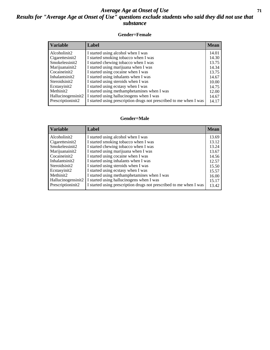#### *Average Age at Onset of Use* **71** *Results for "Average Age at Onset of Use" questions exclude students who said they did not use that substance*

#### **Gender=Female**

| <b>Variable</b>    | <b>Label</b>                                                       | <b>Mean</b> |
|--------------------|--------------------------------------------------------------------|-------------|
| Alcoholinit2       | I started using alcohol when I was                                 | 14.01       |
| Cigarettesinit2    | I started smoking tobacco when I was                               | 14.30       |
| Smokelessinit2     | I started chewing tobacco when I was                               | 13.75       |
| Marijuanainit2     | I started using marijuana when I was                               | 14.34       |
| Cocaineinit2       | I started using cocaine when I was                                 | 13.75       |
| Inhalantsinit2     | I started using inhalants when I was                               | 14.67       |
| Steroidsinit2      | I started using steroids when I was                                | 10.00       |
| Ecstasyinit2       | I started using ecstasy when I was                                 | 14.75       |
| Methinit2          | I started using methamphetamines when I was                        | 12.00       |
| Hallucinogensinit2 | I started using hallucinogens when I was                           | 14.67       |
| Prescription in t2 | I started using prescription drugs not prescribed to me when I was | 14.17       |

#### **Gender=Male**

| <b>Variable</b>                 | Label                                                              | <b>Mean</b> |
|---------------------------------|--------------------------------------------------------------------|-------------|
| Alcoholinit2                    | I started using alcohol when I was                                 | 13.69       |
| Cigarettesinit2                 | I started smoking tobacco when I was                               | 13.12       |
| Smokelessinit2                  | I started chewing tobacco when I was                               | 13.24       |
| Marijuanainit2                  | I started using marijuana when I was                               | 13.67       |
| Cocaineinit2                    | I started using cocaine when I was                                 | 14.56       |
| Inhalantsinit2                  | I started using inhalants when I was                               | 12.57       |
| Steroidsinit2                   | I started using steroids when I was                                | 15.50       |
| Ecstasyinit2                    | I started using ecstasy when I was                                 | 15.57       |
| Methinit2                       | I started using methamphetamines when I was                        | 16.00       |
| Hallucinogensinit2              | I started using hallucinogens when I was                           | 15.17       |
| Prescription in it <sub>2</sub> | I started using prescription drugs not prescribed to me when I was | 13.42       |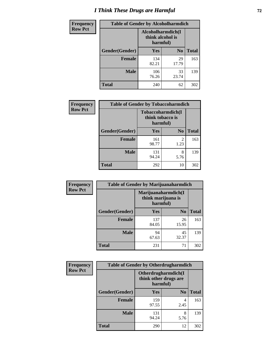# *I Think These Drugs are Harmful* **72**

| <b>Frequency</b> | <b>Table of Gender by Alcoholharmdich</b> |                                                   |                |              |
|------------------|-------------------------------------------|---------------------------------------------------|----------------|--------------|
| <b>Row Pct</b>   |                                           | Alcoholharmdich(I<br>think alcohol is<br>harmful) |                |              |
|                  | Gender(Gender)                            | <b>Yes</b>                                        | N <sub>0</sub> | <b>Total</b> |
|                  | <b>Female</b>                             | 134<br>82.21                                      | 29<br>17.79    | 163          |
|                  | <b>Male</b>                               | 106<br>76.26                                      | 33<br>23.74    | 139          |
|                  | <b>Total</b>                              | 240                                               | 62             | 302          |

| Frequency      | <b>Table of Gender by Tobaccoharmdich</b> |                              |                        |              |
|----------------|-------------------------------------------|------------------------------|------------------------|--------------|
| <b>Row Pct</b> |                                           | think tobacco is<br>harmful) | Tobaccoharmdich(I      |              |
|                | Gender(Gender)                            | <b>Yes</b>                   | N <sub>0</sub>         | <b>Total</b> |
|                | <b>Female</b>                             | 161<br>98.77                 | $\overline{2}$<br>1.23 | 163          |
|                | <b>Male</b>                               | 131<br>94.24                 | 8<br>5.76              | 139          |
|                | <b>Total</b>                              | 292                          | 10                     | 302          |

| Frequency      | <b>Table of Gender by Marijuanaharmdich</b> |                                                       |                |              |  |
|----------------|---------------------------------------------|-------------------------------------------------------|----------------|--------------|--|
| <b>Row Pct</b> |                                             | Marijuanaharmdich(I<br>think marijuana is<br>harmful) |                |              |  |
|                | Gender(Gender)                              | <b>Yes</b>                                            | N <sub>0</sub> | <b>Total</b> |  |
|                | <b>Female</b>                               | 137<br>84.05                                          | 26<br>15.95    | 163          |  |
|                | <b>Male</b>                                 | 94<br>67.63                                           | 45<br>32.37    | 139          |  |
|                | <b>Total</b>                                | 231                                                   | 71             | 302          |  |

| Frequency      | <b>Table of Gender by Otherdrugharmdich</b> |                                                          |                |              |  |
|----------------|---------------------------------------------|----------------------------------------------------------|----------------|--------------|--|
| <b>Row Pct</b> |                                             | Otherdrugharmdich(I<br>think other drugs are<br>harmful) |                |              |  |
|                | Gender(Gender)                              | <b>Yes</b>                                               | N <sub>0</sub> | <b>Total</b> |  |
|                | <b>Female</b>                               | 159<br>97.55                                             | 4<br>2.45      | 163          |  |
|                | <b>Male</b>                                 | 131<br>94.24                                             | 8<br>5.76      | 139          |  |
|                | <b>Total</b>                                | 290                                                      | 12             | 302          |  |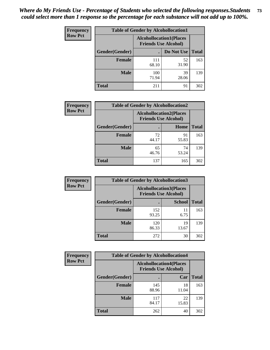| <b>Frequency</b> | <b>Table of Gender by Alcohollocation1</b> |                                                               |             |              |
|------------------|--------------------------------------------|---------------------------------------------------------------|-------------|--------------|
| <b>Row Pct</b>   |                                            | <b>Alcohollocation1(Places</b><br><b>Friends Use Alcohol)</b> |             |              |
|                  | Gender(Gender)                             |                                                               | Do Not Use  | <b>Total</b> |
|                  | <b>Female</b>                              | 111<br>68.10                                                  | 52<br>31.90 | 163          |
|                  | <b>Male</b>                                | 100<br>71.94                                                  | 39<br>28.06 | 139          |
|                  | <b>Total</b>                               | 211                                                           | 91          | 302          |

| <b>Frequency</b> | <b>Table of Gender by Alcohollocation2</b> |                                                               |             |              |
|------------------|--------------------------------------------|---------------------------------------------------------------|-------------|--------------|
| <b>Row Pct</b>   |                                            | <b>Alcohollocation2(Places</b><br><b>Friends Use Alcohol)</b> |             |              |
|                  | Gender(Gender)                             |                                                               | Home        | <b>Total</b> |
|                  | <b>Female</b>                              | 72<br>44.17                                                   | 91<br>55.83 | 163          |
|                  | <b>Male</b>                                | 65<br>46.76                                                   | 74<br>53.24 | 139          |
|                  | <b>Total</b>                               | 137                                                           | 165         | 302          |

| Frequency      | <b>Table of Gender by Alcohollocation3</b> |                                                               |               |              |
|----------------|--------------------------------------------|---------------------------------------------------------------|---------------|--------------|
| <b>Row Pct</b> |                                            | <b>Alcohollocation3(Places</b><br><b>Friends Use Alcohol)</b> |               |              |
|                | Gender(Gender)                             |                                                               | <b>School</b> | <b>Total</b> |
|                | <b>Female</b>                              | 152<br>93.25                                                  | 11<br>6.75    | 163          |
|                | <b>Male</b>                                | 120<br>86.33                                                  | 19<br>13.67   | 139          |
|                | <b>Total</b>                               | 272                                                           | 30            | 302          |

| Frequency      | <b>Table of Gender by Alcohollocation4</b> |                                                               |             |              |
|----------------|--------------------------------------------|---------------------------------------------------------------|-------------|--------------|
| <b>Row Pct</b> |                                            | <b>Alcohollocation4(Places</b><br><b>Friends Use Alcohol)</b> |             |              |
|                | Gender(Gender)                             |                                                               | Car         | <b>Total</b> |
|                | Female                                     | 145<br>88.96                                                  | 18<br>11.04 | 163          |
|                | <b>Male</b>                                | 117<br>84.17                                                  | 22<br>15.83 | 139          |
|                | <b>Total</b>                               | 262                                                           | 40          | 302          |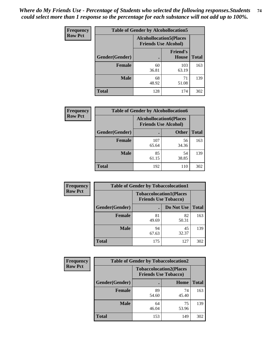| <b>Frequency</b> |                | <b>Table of Gender by Alcohollocation5</b>                     |                                 |              |
|------------------|----------------|----------------------------------------------------------------|---------------------------------|--------------|
| <b>Row Pct</b>   |                | <b>Alcohollocation5</b> (Places<br><b>Friends Use Alcohol)</b> |                                 |              |
|                  | Gender(Gender) | $\bullet$                                                      | <b>Friend's</b><br><b>House</b> | <b>Total</b> |
|                  | <b>Female</b>  | 60<br>36.81                                                    | 103<br>63.19                    | 163          |
|                  | <b>Male</b>    | 68<br>48.92                                                    | 71<br>51.08                     | 139          |
|                  | <b>Total</b>   | 128                                                            | 174                             | 302          |

| Frequency      | <b>Table of Gender by Alcohollocation6</b> |                                                               |              |              |  |
|----------------|--------------------------------------------|---------------------------------------------------------------|--------------|--------------|--|
| <b>Row Pct</b> |                                            | <b>Alcohollocation6(Places</b><br><b>Friends Use Alcohol)</b> |              |              |  |
|                | <b>Gender</b> (Gender)                     |                                                               | <b>Other</b> | <b>Total</b> |  |
|                | <b>Female</b>                              | 107<br>65.64                                                  | 56<br>34.36  | 163          |  |
|                | <b>Male</b>                                | 85<br>61.15                                                   | 54<br>38.85  | 139          |  |
|                | <b>Total</b>                               | 192                                                           | 110          | 302          |  |

| Frequency      | <b>Table of Gender by Tobaccolocation1</b> |                                                               |             |              |  |
|----------------|--------------------------------------------|---------------------------------------------------------------|-------------|--------------|--|
| <b>Row Pct</b> |                                            | <b>Tobaccolocation1(Places</b><br><b>Friends Use Tobacco)</b> |             |              |  |
|                | Gender(Gender)                             |                                                               | Do Not Use  | <b>Total</b> |  |
|                | Female                                     | 81<br>49.69                                                   | 82<br>50.31 | 163          |  |
|                | <b>Male</b>                                | 94<br>67.63                                                   | 45<br>32.37 | 139          |  |
|                | <b>Total</b>                               | 175                                                           | 127         | 302          |  |

| <b>Frequency</b> | <b>Table of Gender by Tobaccolocation2</b> |                             |                                |              |
|------------------|--------------------------------------------|-----------------------------|--------------------------------|--------------|
| <b>Row Pct</b>   |                                            | <b>Friends Use Tobacco)</b> | <b>Tobaccolocation2(Places</b> |              |
|                  | Gender(Gender)                             |                             | <b>Home</b>                    | <b>Total</b> |
|                  | Female                                     | 89<br>54.60                 | 74<br>45.40                    | 163          |
|                  | <b>Male</b>                                | 64<br>46.04                 | 75<br>53.96                    | 139          |
|                  | <b>Total</b>                               | 153                         | 149                            | 302          |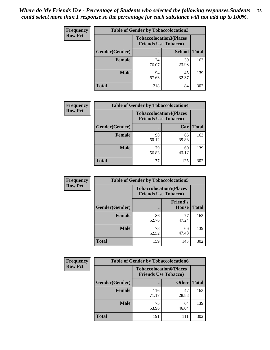| <b>Frequency</b> |                | <b>Table of Gender by Tobaccolocation3</b> |                                                               |              |
|------------------|----------------|--------------------------------------------|---------------------------------------------------------------|--------------|
| <b>Row Pct</b>   |                |                                            | <b>Tobaccolocation3(Places</b><br><b>Friends Use Tobacco)</b> |              |
|                  | Gender(Gender) |                                            | <b>School</b>                                                 | <b>Total</b> |
|                  | Female         | 124<br>76.07                               | 39<br>23.93                                                   | 163          |
|                  | <b>Male</b>    | 94<br>67.63                                | 45<br>32.37                                                   | 139          |
|                  | <b>Total</b>   | 218                                        | 84                                                            | 302          |

| <b>Frequency</b> | <b>Table of Gender by Tobaccolocation4</b> |             |                                                               |              |
|------------------|--------------------------------------------|-------------|---------------------------------------------------------------|--------------|
| <b>Row Pct</b>   |                                            |             | <b>Tobaccolocation4(Places</b><br><b>Friends Use Tobacco)</b> |              |
|                  | Gender(Gender)                             |             | Car                                                           | <b>Total</b> |
|                  | <b>Female</b>                              | 98<br>60.12 | 65<br>39.88                                                   | 163          |
|                  | <b>Male</b>                                | 79<br>56.83 | 60<br>43.17                                                   | 139          |
|                  | <b>Total</b>                               | 177         | 125                                                           | 302          |

| <b>Frequency</b> | <b>Table of Gender by Tobaccolocation5</b> |                                                               |                                 |              |
|------------------|--------------------------------------------|---------------------------------------------------------------|---------------------------------|--------------|
| <b>Row Pct</b>   |                                            | <b>Tobaccolocation5(Places</b><br><b>Friends Use Tobacco)</b> |                                 |              |
|                  | Gender(Gender)                             |                                                               | <b>Friend's</b><br><b>House</b> | <b>Total</b> |
|                  | <b>Female</b>                              | 86<br>52.76                                                   | 77<br>47.24                     | 163          |
|                  | <b>Male</b>                                | 73<br>52.52                                                   | 66<br>47.48                     | 139          |
|                  | <b>Total</b>                               | 159                                                           | 143                             | 302          |

| <b>Frequency</b> | <b>Table of Gender by Tobaccolocation6</b> |                                                               |              |              |  |
|------------------|--------------------------------------------|---------------------------------------------------------------|--------------|--------------|--|
| <b>Row Pct</b>   |                                            | <b>Tobaccolocation6(Places</b><br><b>Friends Use Tobacco)</b> |              |              |  |
|                  | Gender(Gender)                             |                                                               | <b>Other</b> | <b>Total</b> |  |
|                  | Female                                     | 116<br>71.17                                                  | 47<br>28.83  | 163          |  |
|                  | <b>Male</b>                                | 75<br>53.96                                                   | 64<br>46.04  | 139          |  |
|                  | <b>Total</b>                               | 191                                                           | 111          | 302          |  |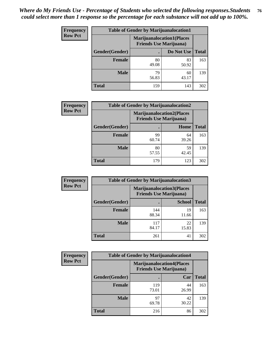| <b>Frequency</b> | <b>Table of Gender by Marijuanalocation1</b> |                                |                                  |              |
|------------------|----------------------------------------------|--------------------------------|----------------------------------|--------------|
| <b>Row Pct</b>   |                                              | <b>Friends Use Marijuana</b> ) | <b>Marijuanalocation1(Places</b> |              |
|                  | Gender(Gender)                               |                                | Do Not Use                       | <b>Total</b> |
|                  | Female                                       | 80<br>49.08                    | 83<br>50.92                      | 163          |
|                  | <b>Male</b>                                  | 79<br>56.83                    | 60<br>43.17                      | 139          |
|                  | Total                                        | 159                            | 143                              | 302          |

| <b>Frequency</b> | <b>Table of Gender by Marijuanalocation2</b> |                                                                    |             |              |  |
|------------------|----------------------------------------------|--------------------------------------------------------------------|-------------|--------------|--|
| <b>Row Pct</b>   |                                              | <b>Marijuanalocation2(Places</b><br><b>Friends Use Marijuana</b> ) |             |              |  |
|                  | Gender(Gender)                               |                                                                    | Home        | <b>Total</b> |  |
|                  | <b>Female</b>                                | 99<br>60.74                                                        | 64<br>39.26 | 163          |  |
|                  | <b>Male</b>                                  | 80<br>57.55                                                        | 59<br>42.45 | 139          |  |
|                  | <b>Total</b>                                 | 179                                                                | 123         | 302          |  |

| Frequency      | <b>Table of Gender by Marijuanalocation3</b> |                                                                    |               |              |
|----------------|----------------------------------------------|--------------------------------------------------------------------|---------------|--------------|
| <b>Row Pct</b> |                                              | <b>Marijuanalocation3(Places</b><br><b>Friends Use Marijuana</b> ) |               |              |
|                | Gender(Gender)                               |                                                                    | <b>School</b> | <b>Total</b> |
|                | Female                                       | 144<br>88.34                                                       | 19<br>11.66   | 163          |
|                | <b>Male</b>                                  | 117<br>84.17                                                       | 22<br>15.83   | 139          |
|                | <b>Total</b>                                 | 261                                                                | 41            | 302          |

| <b>Frequency</b> | <b>Table of Gender by Marijuanalocation4</b> |                                                                    |             |              |  |
|------------------|----------------------------------------------|--------------------------------------------------------------------|-------------|--------------|--|
| <b>Row Pct</b>   |                                              | <b>Marijuanalocation4(Places</b><br><b>Friends Use Marijuana</b> ) |             |              |  |
|                  | Gender(Gender)                               |                                                                    | Car         | <b>Total</b> |  |
|                  | Female                                       | 119<br>73.01                                                       | 44<br>26.99 | 163          |  |
|                  | <b>Male</b>                                  | 97<br>69.78                                                        | 42<br>30.22 | 139          |  |
|                  | <b>Total</b>                                 | 216                                                                | 86          | 302          |  |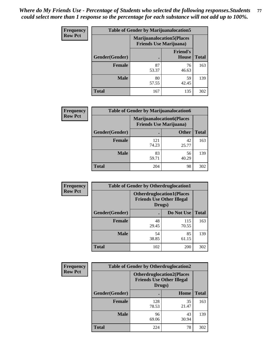| <b>Frequency</b> | <b>Table of Gender by Marijuanalocation5</b> |                                                                     |                                 |              |
|------------------|----------------------------------------------|---------------------------------------------------------------------|---------------------------------|--------------|
| <b>Row Pct</b>   |                                              | <b>Marijuanalocation5</b> (Places<br><b>Friends Use Marijuana</b> ) |                                 |              |
|                  | Gender(Gender)                               |                                                                     | <b>Friend's</b><br><b>House</b> | <b>Total</b> |
|                  | <b>Female</b>                                | 87<br>53.37                                                         | 76<br>46.63                     | 163          |
|                  | <b>Male</b>                                  | 80<br>57.55                                                         | 59<br>42.45                     | 139          |
|                  | <b>Total</b>                                 | 167                                                                 | 135                             | 302          |

| <b>Frequency</b> | <b>Table of Gender by Marijuanalocation6</b> |                                |                                  |              |
|------------------|----------------------------------------------|--------------------------------|----------------------------------|--------------|
| <b>Row Pct</b>   |                                              | <b>Friends Use Marijuana</b> ) | <b>Marijuanalocation6(Places</b> |              |
|                  | <b>Gender</b> (Gender)                       |                                | <b>Other</b>                     | <b>Total</b> |
|                  | Female                                       | 121<br>74.23                   | 42<br>25.77                      | 163          |
|                  | <b>Male</b>                                  | 83<br>59.71                    | 56<br>40.29                      | 139          |
|                  | Total                                        | 204                            | 98                               | 302          |

| Frequency      | <b>Table of Gender by Otherdruglocation1</b> |                                                                                |              |              |
|----------------|----------------------------------------------|--------------------------------------------------------------------------------|--------------|--------------|
| <b>Row Pct</b> |                                              | <b>Otherdruglocation1(Places</b><br><b>Friends Use Other Illegal</b><br>Drugs) |              |              |
|                | Gender(Gender)                               |                                                                                | Do Not Use   | <b>Total</b> |
|                | Female                                       | 48<br>29.45                                                                    | 115<br>70.55 | 163          |
|                | <b>Male</b>                                  | 54<br>38.85                                                                    | 85<br>61.15  | 139          |
|                | <b>Total</b>                                 | 102                                                                            | 200          | 302          |

| <b>Frequency</b> | <b>Table of Gender by Otherdruglocation2</b> |                                            |                                  |              |
|------------------|----------------------------------------------|--------------------------------------------|----------------------------------|--------------|
| <b>Row Pct</b>   |                                              | <b>Friends Use Other Illegal</b><br>Drugs) | <b>Otherdruglocation2(Places</b> |              |
|                  | Gender(Gender)                               |                                            | Home                             | <b>Total</b> |
|                  | <b>Female</b>                                | 128<br>78.53                               | 35<br>21.47                      | 163          |
|                  | <b>Male</b>                                  | 96<br>69.06                                | 43<br>30.94                      | 139          |
|                  | <b>Total</b>                                 | 224                                        | 78                               | 302          |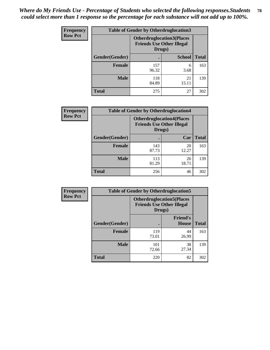| Frequency      | <b>Table of Gender by Otherdruglocation3</b> |                                                                                |               |              |
|----------------|----------------------------------------------|--------------------------------------------------------------------------------|---------------|--------------|
| <b>Row Pct</b> |                                              | <b>Otherdruglocation3(Places</b><br><b>Friends Use Other Illegal</b><br>Drugs) |               |              |
|                | Gender(Gender)                               |                                                                                | <b>School</b> | <b>Total</b> |
|                | <b>Female</b>                                | 157<br>96.32                                                                   | 6<br>3.68     | 163          |
|                | <b>Male</b>                                  | 118<br>84.89                                                                   | 21<br>15.11   | 139          |
|                | <b>Total</b>                                 | 275                                                                            | 27            | 302          |

| Frequency      | <b>Table of Gender by Otherdruglocation4</b> |                                                                                |             |              |
|----------------|----------------------------------------------|--------------------------------------------------------------------------------|-------------|--------------|
| <b>Row Pct</b> |                                              | <b>Otherdruglocation4(Places</b><br><b>Friends Use Other Illegal</b><br>Drugs) |             |              |
|                | Gender(Gender)                               |                                                                                | Car         | <b>Total</b> |
|                | Female                                       | 143<br>87.73                                                                   | 20<br>12.27 | 163          |
|                | <b>Male</b>                                  | 113<br>81.29                                                                   | 26<br>18.71 | 139          |
|                | <b>Total</b>                                 | 256                                                                            | 46          | 302          |

| Frequency      | <b>Table of Gender by Otherdruglocation5</b>                                   |              |                                 |              |
|----------------|--------------------------------------------------------------------------------|--------------|---------------------------------|--------------|
| <b>Row Pct</b> | <b>Otherdruglocation5(Places</b><br><b>Friends Use Other Illegal</b><br>Drugs) |              |                                 |              |
|                | Gender(Gender)                                                                 |              | <b>Friend's</b><br><b>House</b> | <b>Total</b> |
|                | <b>Female</b>                                                                  | 119<br>73.01 | 44<br>26.99                     | 163          |
|                | <b>Male</b>                                                                    | 101<br>72.66 | 38<br>27.34                     | 139          |
|                | <b>Total</b>                                                                   | 220          | 82                              | 302          |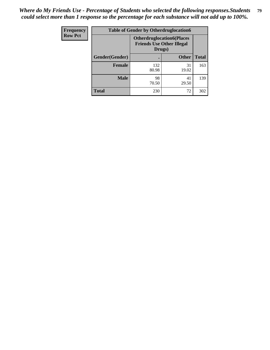| Frequency      | <b>Table of Gender by Otherdruglocation6</b> |                                            |                                  |              |
|----------------|----------------------------------------------|--------------------------------------------|----------------------------------|--------------|
| <b>Row Pct</b> |                                              | <b>Friends Use Other Illegal</b><br>Drugs) | <b>Otherdruglocation6(Places</b> |              |
|                | Gender(Gender)                               |                                            | <b>Other</b>                     | <b>Total</b> |
|                | <b>Female</b>                                | 132<br>80.98                               | 31<br>19.02                      | 163          |
|                | <b>Male</b>                                  | 98<br>70.50                                | 41<br>29.50                      | 139          |
|                | <b>Total</b>                                 | 230                                        | 72                               | 302          |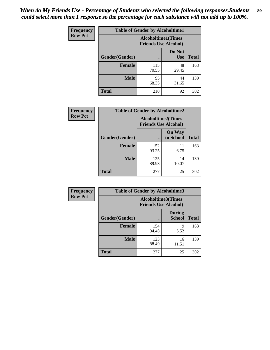| <b>Frequency</b> | <b>Table of Gender by Alcoholtime1</b> |                                                          |                      |              |
|------------------|----------------------------------------|----------------------------------------------------------|----------------------|--------------|
| <b>Row Pct</b>   |                                        | <b>Alcoholtime1(Times</b><br><b>Friends Use Alcohol)</b> |                      |              |
|                  | Gender(Gender)                         | $\bullet$                                                | Do Not<br><b>Use</b> | <b>Total</b> |
|                  | <b>Female</b>                          | 115<br>70.55                                             | 48<br>29.45          | 163          |
|                  | <b>Male</b>                            | 95<br>68.35                                              | 44<br>31.65          | 139          |
|                  | <b>Total</b>                           | 210                                                      | 92                   | 302          |

| Frequency      | <b>Table of Gender by Alcoholtime2</b> |                           |                             |              |
|----------------|----------------------------------------|---------------------------|-----------------------------|--------------|
| <b>Row Pct</b> |                                        | <b>Alcoholtime2(Times</b> | <b>Friends Use Alcohol)</b> |              |
|                | Gender(Gender)                         |                           | <b>On Way</b><br>to School  | <b>Total</b> |
|                | <b>Female</b>                          | 152<br>93.25              | 11<br>6.75                  | 163          |
|                | <b>Male</b>                            | 125<br>89.93              | 14<br>10.07                 | 139          |
|                | <b>Total</b>                           | 277                       | 25                          | 302          |

| <b>Frequency</b> | <b>Table of Gender by Alcoholtime3</b> |                                                          |                                |              |
|------------------|----------------------------------------|----------------------------------------------------------|--------------------------------|--------------|
| <b>Row Pct</b>   |                                        | <b>Alcoholtime3(Times</b><br><b>Friends Use Alcohol)</b> |                                |              |
|                  | Gender(Gender)                         |                                                          | <b>During</b><br><b>School</b> | <b>Total</b> |
|                  | Female                                 | 154<br>94.48                                             | 9<br>5.52                      | 163          |
|                  | <b>Male</b>                            | 123<br>88.49                                             | 16<br>11.51                    | 139          |
|                  | <b>Total</b>                           | 277                                                      | 25                             | 302          |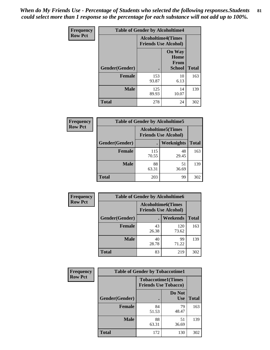*When do My Friends Use - Percentage of Students who selected the following responses.Students could select more than 1 response so the percentage for each substance will not add up to 100%.* **81**

| <b>Frequency</b> | <b>Table of Gender by Alcoholtime4</b> |                           |                                                       |              |
|------------------|----------------------------------------|---------------------------|-------------------------------------------------------|--------------|
| <b>Row Pct</b>   |                                        | <b>Alcoholtime4(Times</b> | <b>Friends Use Alcohol)</b>                           |              |
|                  | Gender(Gender)                         |                           | <b>On Way</b><br>Home<br><b>From</b><br><b>School</b> | <b>Total</b> |
|                  | <b>Female</b>                          | 153<br>93.87              | 10<br>6.13                                            | 163          |
|                  | <b>Male</b>                            | 125<br>89.93              | 14<br>10.07                                           | 139          |
|                  | <b>Total</b>                           | 278                       | 24                                                    | 302          |

| <b>Frequency</b> |                | <b>Table of Gender by Alcoholtime5</b>                    |             |              |
|------------------|----------------|-----------------------------------------------------------|-------------|--------------|
| <b>Row Pct</b>   |                | <b>Alcoholtime5</b> (Times<br><b>Friends Use Alcohol)</b> |             |              |
|                  | Gender(Gender) |                                                           | Weeknights  | <b>Total</b> |
|                  | <b>Female</b>  | 115<br>70.55                                              | 48<br>29.45 | 163          |
|                  | <b>Male</b>    | 88<br>63.31                                               | 51<br>36.69 | 139          |
|                  | <b>Total</b>   | 203                                                       | 99          | 302          |

| <b>Frequency</b> |                | <b>Table of Gender by Alcoholtime6</b> |                                                          |              |
|------------------|----------------|----------------------------------------|----------------------------------------------------------|--------------|
| <b>Row Pct</b>   |                |                                        | <b>Alcoholtime6(Times</b><br><b>Friends Use Alcohol)</b> |              |
|                  | Gender(Gender) |                                        | Weekends                                                 | <b>Total</b> |
|                  | Female         | 43<br>26.38                            | 120<br>73.62                                             | 163          |
|                  | <b>Male</b>    | 40<br>28.78                            | 99<br>71.22                                              | 139          |
|                  | <b>Total</b>   | 83                                     | 219                                                      | 302          |

| <b>Frequency</b> | <b>Table of Gender by Tobaccotime1</b> |                                                          |                      |              |
|------------------|----------------------------------------|----------------------------------------------------------|----------------------|--------------|
| <b>Row Pct</b>   |                                        | <b>Tobaccotime1(Times</b><br><b>Friends Use Tobacco)</b> |                      |              |
|                  | Gender(Gender)                         |                                                          | Do Not<br><b>Use</b> | <b>Total</b> |
|                  | <b>Female</b>                          | 84<br>51.53                                              | 79<br>48.47          | 163          |
|                  | <b>Male</b>                            | 88<br>63.31                                              | 51<br>36.69          | 139          |
|                  | <b>Total</b>                           | 172                                                      | 130                  | 302          |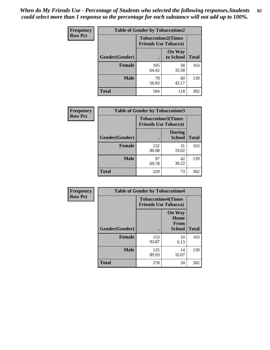| <b>Frequency</b> | <b>Table of Gender by Tobaccotime2</b> |                                                          |                            |              |
|------------------|----------------------------------------|----------------------------------------------------------|----------------------------|--------------|
| <b>Row Pct</b>   |                                        | <b>Tobaccotime2(Times</b><br><b>Friends Use Tobacco)</b> |                            |              |
|                  | Gender(Gender)                         |                                                          | <b>On Way</b><br>to School | <b>Total</b> |
|                  | <b>Female</b>                          | 105<br>64.42                                             | 58<br>35.58                | 163          |
|                  | <b>Male</b>                            | 79<br>56.83                                              | 60<br>43.17                | 139          |
|                  | <b>Total</b>                           | 184                                                      | 118                        | 302          |

| Frequency      | <b>Table of Gender by Tobaccotime3</b> |                                                          |                                |              |
|----------------|----------------------------------------|----------------------------------------------------------|--------------------------------|--------------|
| <b>Row Pct</b> |                                        | <b>Tobaccotime3(Times</b><br><b>Friends Use Tobacco)</b> |                                |              |
|                | Gender(Gender)                         |                                                          | <b>During</b><br><b>School</b> | <b>Total</b> |
|                | <b>Female</b>                          | 132<br>80.98                                             | 31<br>19.02                    | 163          |
|                | <b>Male</b>                            | 97<br>69.78                                              | 42<br>30.22                    | 139          |
|                | <b>Total</b>                           | 229                                                      | 73                             | 302          |

| <b>Frequency</b> | <b>Table of Gender by Tobaccotime4</b> |                                                          |                                                |              |
|------------------|----------------------------------------|----------------------------------------------------------|------------------------------------------------|--------------|
| <b>Row Pct</b>   |                                        | <b>Tobaccotime4(Times</b><br><b>Friends Use Tobacco)</b> |                                                |              |
|                  | Gender(Gender)                         |                                                          | <b>On Way</b><br>Home<br><b>From</b><br>School | <b>Total</b> |
|                  | <b>Female</b>                          | 153<br>93.87                                             | 10<br>6.13                                     | 163          |
|                  | <b>Male</b>                            | 125<br>89.93                                             | 14<br>10.07                                    | 139          |
|                  | <b>Total</b>                           | 278                                                      | 24                                             | 302          |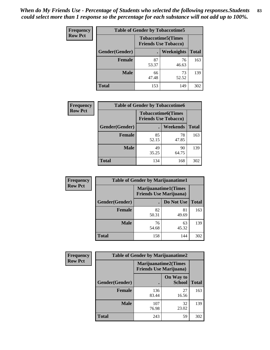| Frequency      | <b>Table of Gender by Tobaccotime5</b> |             |                                                           |              |  |
|----------------|----------------------------------------|-------------|-----------------------------------------------------------|--------------|--|
| <b>Row Pct</b> |                                        |             | <b>Tobaccotime5</b> (Times<br><b>Friends Use Tobacco)</b> |              |  |
|                | <b>Gender</b> (Gender)                 |             | <b>Weeknights</b>                                         | <b>Total</b> |  |
|                | <b>Female</b>                          | 87<br>53.37 | 76<br>46.63                                               | 163          |  |
|                | <b>Male</b>                            | 66<br>47.48 | 73<br>52.52                                               | 139          |  |
|                | <b>Total</b>                           | 153         | 149                                                       | 302          |  |

| <b>Frequency</b> | <b>Table of Gender by Tobaccotime6</b> |                                                          |             |              |
|------------------|----------------------------------------|----------------------------------------------------------|-------------|--------------|
| <b>Row Pct</b>   |                                        | <b>Tobaccotime6(Times</b><br><b>Friends Use Tobacco)</b> |             |              |
|                  | Gender(Gender)                         |                                                          | Weekends    | <b>Total</b> |
|                  | Female                                 | 85<br>52.15                                              | 78<br>47.85 | 163          |
|                  | <b>Male</b>                            | 49<br>35.25                                              | 90<br>64.75 | 139          |
|                  | <b>Total</b>                           | 134                                                      | 168         | 302          |

| <b>Frequency</b> | <b>Table of Gender by Marijuanatime1</b> |                                |                             |              |
|------------------|------------------------------------------|--------------------------------|-----------------------------|--------------|
| <b>Row Pct</b>   |                                          | <b>Friends Use Marijuana</b> ) | <b>Marijuanatime1(Times</b> |              |
|                  | Gender(Gender)                           |                                | Do Not Use                  | <b>Total</b> |
|                  | <b>Female</b>                            | 82<br>50.31                    | 81<br>49.69                 | 163          |
|                  | <b>Male</b>                              | 76<br>54.68                    | 63<br>45.32                 | 139          |
|                  | <b>Total</b>                             | 158                            | 144                         | 302          |

| <b>Frequency</b> | <b>Table of Gender by Marijuanatime2</b> |                                                               |                            |              |
|------------------|------------------------------------------|---------------------------------------------------------------|----------------------------|--------------|
| <b>Row Pct</b>   |                                          | <b>Marijuanatime2(Times</b><br><b>Friends Use Marijuana</b> ) |                            |              |
|                  | Gender(Gender)                           |                                                               | On Way to<br><b>School</b> | <b>Total</b> |
|                  | <b>Female</b>                            | 136<br>83.44                                                  | 27<br>16.56                | 163          |
|                  | <b>Male</b>                              | 107<br>76.98                                                  | 32<br>23.02                | 139          |
|                  | <b>Total</b>                             | 243                                                           | 59                         | 302          |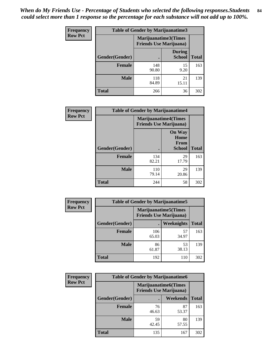*When do My Friends Use - Percentage of Students who selected the following responses.Students could select more than 1 response so the percentage for each substance will not add up to 100%.* **84**

| <b>Frequency</b> | Table of Gender by Marijuanatime3 |                                                        |                                |              |
|------------------|-----------------------------------|--------------------------------------------------------|--------------------------------|--------------|
| <b>Row Pct</b>   |                                   | Marijuanatime3(Times<br><b>Friends Use Marijuana</b> ) |                                |              |
|                  | Gender(Gender)                    |                                                        | <b>During</b><br><b>School</b> | <b>Total</b> |
|                  | <b>Female</b>                     | 148<br>90.80                                           | 15<br>9.20                     | 163          |
|                  | <b>Male</b>                       | 118<br>84.89                                           | 21<br>15.11                    | 139          |
|                  | <b>Total</b>                      | 266                                                    | 36                             | 302          |

| Frequency      | <b>Table of Gender by Marijuanatime4</b> |                               |                                                |              |
|----------------|------------------------------------------|-------------------------------|------------------------------------------------|--------------|
| <b>Row Pct</b> |                                          | <b>Friends Use Marijuana)</b> | <b>Marijuanatime4</b> (Times                   |              |
|                | Gender(Gender)                           |                               | <b>On Way</b><br>Home<br>From<br><b>School</b> | <b>Total</b> |
|                | <b>Female</b>                            | 134<br>82.21                  | 29<br>17.79                                    | 163          |
|                | <b>Male</b>                              | 110<br>79.14                  | 29<br>20.86                                    | 139          |
|                | <b>Total</b>                             | 244                           | 58                                             | 302          |

| Frequency      | <b>Table of Gender by Marijuanatime5</b> |                                                                |             |              |
|----------------|------------------------------------------|----------------------------------------------------------------|-------------|--------------|
| <b>Row Pct</b> |                                          | <b>Marijuanatime5</b> (Times<br><b>Friends Use Marijuana</b> ) |             |              |
|                | Gender(Gender)                           | ٠                                                              | Weeknights  | <b>Total</b> |
|                | <b>Female</b>                            | 106<br>65.03                                                   | 57<br>34.97 | 163          |
|                | <b>Male</b>                              | 86<br>61.87                                                    | 53<br>38.13 | 139          |
|                | <b>Total</b>                             | 192                                                            | 110         | 302          |

| Frequency      |                | <b>Table of Gender by Marijuanatime6</b> |                             |              |
|----------------|----------------|------------------------------------------|-----------------------------|--------------|
| <b>Row Pct</b> |                | <b>Friends Use Marijuana</b> )           | <b>Marijuanatime6(Times</b> |              |
|                | Gender(Gender) |                                          | Weekends                    | <b>Total</b> |
|                | <b>Female</b>  | 76<br>46.63                              | 87<br>53.37                 | 163          |
|                | <b>Male</b>    | 59<br>42.45                              | 80<br>57.55                 | 139          |
|                | <b>Total</b>   | 135                                      | 167                         | 302          |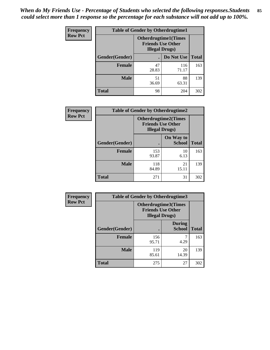| <b>Frequency</b> | <b>Table of Gender by Otherdrugtime1</b> |                                                                                   |              |              |
|------------------|------------------------------------------|-----------------------------------------------------------------------------------|--------------|--------------|
| <b>Row Pct</b>   |                                          | <b>Otherdrugtime1</b> (Times<br><b>Friends Use Other</b><br><b>Illegal Drugs)</b> |              |              |
|                  | Gender(Gender)                           |                                                                                   | Do Not Use   | <b>Total</b> |
|                  | <b>Female</b>                            | 47<br>28.83                                                                       | 116<br>71.17 | 163          |
|                  | <b>Male</b>                              | 51<br>36.69                                                                       | 88<br>63.31  | 139          |
|                  | <b>Total</b>                             | 98                                                                                | 204          | 302          |

| Frequency      | <b>Table of Gender by Otherdrugtime2</b> |                                                                                   |                            |              |
|----------------|------------------------------------------|-----------------------------------------------------------------------------------|----------------------------|--------------|
| <b>Row Pct</b> |                                          | <b>Otherdrugtime2(Times</b><br><b>Friends Use Other</b><br><b>Illegal Drugs</b> ) |                            |              |
|                | <b>Gender</b> (Gender)                   |                                                                                   | On Way to<br><b>School</b> | <b>Total</b> |
|                | <b>Female</b>                            | 153<br>93.87                                                                      | 10<br>6.13                 | 163          |
|                | <b>Male</b>                              | 118<br>84.89                                                                      | 21<br>15.11                | 139          |
|                | <b>Total</b>                             | 271                                                                               | 31                         | 302          |

| <b>Frequency</b> | <b>Table of Gender by Otherdrugtime3</b> |                        |                                                  |              |
|------------------|------------------------------------------|------------------------|--------------------------------------------------|--------------|
| <b>Row Pct</b>   |                                          | <b>Illegal Drugs</b> ) | Otherdrugtime3(Times<br><b>Friends Use Other</b> |              |
|                  | Gender(Gender)                           |                        | <b>During</b><br><b>School</b>                   | <b>Total</b> |
|                  | <b>Female</b>                            | 156<br>95.71           | 7<br>4.29                                        | 163          |
|                  | <b>Male</b>                              | 119<br>85.61           | 20<br>14.39                                      | 139          |
|                  | <b>Total</b>                             | 275                    | 27                                               | 302          |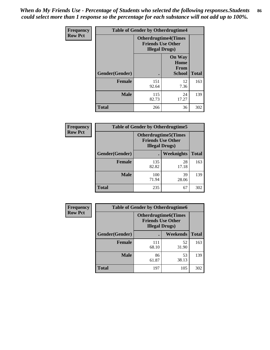*When do My Friends Use - Percentage of Students who selected the following responses.Students could select more than 1 response so the percentage for each substance will not add up to 100%.* **86**

| <b>Frequency</b> | <b>Table of Gender by Otherdrugtime4</b> |                                                                                   |                                                |              |
|------------------|------------------------------------------|-----------------------------------------------------------------------------------|------------------------------------------------|--------------|
| <b>Row Pct</b>   |                                          | <b>Otherdrugtime4(Times</b><br><b>Friends Use Other</b><br><b>Illegal Drugs</b> ) |                                                |              |
|                  | Gender(Gender)                           |                                                                                   | <b>On Way</b><br>Home<br>From<br><b>School</b> | <b>Total</b> |
|                  | <b>Female</b>                            | 151<br>92.64                                                                      | 12<br>7.36                                     | 163          |
|                  | <b>Male</b>                              | 115<br>82.73                                                                      | 24<br>17.27                                    | 139          |
|                  | <b>Total</b>                             | 266                                                                               | 36                                             | 302          |

| Frequency      | <b>Table of Gender by Otherdrugtime5</b> |                                                                                    |             |              |
|----------------|------------------------------------------|------------------------------------------------------------------------------------|-------------|--------------|
| <b>Row Pct</b> |                                          | <b>Otherdrugtime5</b> (Times<br><b>Friends Use Other</b><br><b>Illegal Drugs</b> ) |             |              |
|                | Gender(Gender)                           |                                                                                    | Weeknights  | <b>Total</b> |
|                | <b>Female</b>                            | 135<br>82.82                                                                       | 28<br>17.18 | 163          |
|                | <b>Male</b>                              | 100<br>71.94                                                                       | 39<br>28.06 | 139          |
|                | <b>Total</b>                             | 235                                                                                | 67          | 302          |

| <b>Frequency</b> | <b>Table of Gender by Otherdrugtime6</b> |                                                                                   |             |              |
|------------------|------------------------------------------|-----------------------------------------------------------------------------------|-------------|--------------|
| <b>Row Pct</b>   |                                          | <b>Otherdrugtime6(Times</b><br><b>Friends Use Other</b><br><b>Illegal Drugs</b> ) |             |              |
|                  | Gender(Gender)                           |                                                                                   | Weekends    | <b>Total</b> |
|                  | <b>Female</b>                            | 111<br>68.10                                                                      | 52<br>31.90 | 163          |
|                  | <b>Male</b>                              | 86<br>61.87                                                                       | 53<br>38.13 | 139          |
|                  | <b>Total</b>                             | 197                                                                               | 105         | 302          |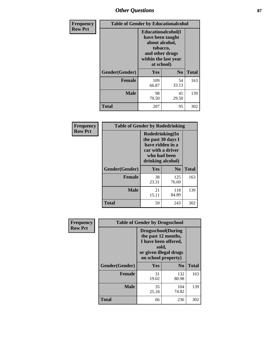# *Other Questions* **87**

| <b>Frequency</b> | <b>Table of Gender by Educationalcohol</b> |                                                                                                                                       |                |              |  |
|------------------|--------------------------------------------|---------------------------------------------------------------------------------------------------------------------------------------|----------------|--------------|--|
| <b>Row Pct</b>   |                                            | <b>Educationalcohol</b> (I<br>have been taught<br>about alcohol,<br>tobacco,<br>and other drugs<br>within the last year<br>at school) |                |              |  |
|                  | Gender(Gender)                             | <b>Yes</b>                                                                                                                            | N <sub>0</sub> | <b>Total</b> |  |
|                  | <b>Female</b>                              | 109<br>66.87                                                                                                                          | 54<br>33.13    | 163          |  |
|                  | <b>Male</b>                                | 98<br>70.50                                                                                                                           | 41<br>29.50    | 139          |  |
|                  | <b>Total</b>                               | 207                                                                                                                                   | 95             | 302          |  |

| Frequency      | <b>Table of Gender by Rodedrinking</b> |                                                                                                                     |              |              |  |
|----------------|----------------------------------------|---------------------------------------------------------------------------------------------------------------------|--------------|--------------|--|
| <b>Row Pct</b> |                                        | Rodedrinking(In<br>the past 30 days I<br>have ridden in a<br>car with a driver<br>who had been<br>drinking alcohol) |              |              |  |
|                | Gender(Gender)                         | Yes                                                                                                                 | $\bf N_0$    | <b>Total</b> |  |
|                | <b>Female</b>                          | 38<br>23.31                                                                                                         | 125<br>76.69 | 163          |  |
|                | <b>Male</b>                            | 21<br>15.11                                                                                                         | 118<br>84.89 | 139          |  |
|                | <b>Total</b>                           | 59                                                                                                                  | 243          | 302          |  |

| Frequency      | <b>Table of Gender by Drugsschool</b> |                                                                                                                                     |                |              |  |
|----------------|---------------------------------------|-------------------------------------------------------------------------------------------------------------------------------------|----------------|--------------|--|
| <b>Row Pct</b> |                                       | <b>Drugsschool</b> (During<br>the past 12 months,<br>I have been offered,<br>sold,<br>or given illegal drugs<br>on school property) |                |              |  |
|                | Gender(Gender)                        | Yes                                                                                                                                 | N <sub>0</sub> | <b>Total</b> |  |
|                | <b>Female</b>                         | 31<br>19.02                                                                                                                         | 132<br>80.98   | 163          |  |
|                | <b>Male</b>                           | 35<br>25.18                                                                                                                         | 104<br>74.82   | 139          |  |
|                | <b>Total</b>                          | 66                                                                                                                                  | 236            | 302          |  |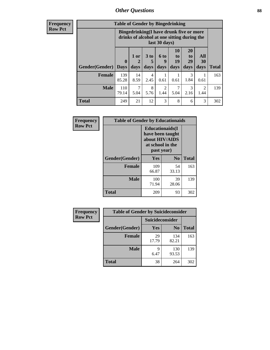## *Other Questions* **88**

**Frequency Row Pct**

| <b>Table of Gender by Bingedrinking</b> |              |                                                                                                         |                   |                          |                               |                               |                        |              |
|-----------------------------------------|--------------|---------------------------------------------------------------------------------------------------------|-------------------|--------------------------|-------------------------------|-------------------------------|------------------------|--------------|
|                                         |              | Bingedrinking(I have drunk five or more<br>drinks of alcohol at one sitting during the<br>last 30 days) |                   |                          |                               |                               |                        |              |
| <b>Gender</b> (Gender)   Days           | $\mathbf 0$  | 1 or<br>2<br>days                                                                                       | 3 to<br>5<br>days | <b>6 to</b><br>q<br>days | <b>10</b><br>to<br>19<br>days | <b>20</b><br>to<br>29<br>days | All<br>30<br>days      | <b>Total</b> |
| <b>Female</b>                           |              |                                                                                                         |                   |                          |                               |                               |                        |              |
|                                         | 139<br>85.28 | 14<br>8.59                                                                                              | 4<br>2.45         | 0.61                     | 0.61                          | 3<br>1.84                     | 0.61                   | 163          |
| <b>Male</b>                             | 110<br>79.14 | 7<br>5.04                                                                                               | 8<br>5.76         | $\mathfrak{D}$<br>1.44   | 7<br>5.04                     | 3<br>2.16                     | $\mathfrak{D}$<br>1.44 | 139          |

| Frequency      | <b>Table of Gender by Educationaids</b> |                                                                                                 |                |              |  |
|----------------|-----------------------------------------|-------------------------------------------------------------------------------------------------|----------------|--------------|--|
| <b>Row Pct</b> |                                         | <b>Educationaids</b> (I<br>have been taught<br>about HIV/AIDS<br>at school in the<br>past year) |                |              |  |
|                | Gender(Gender)                          | Yes                                                                                             | N <sub>0</sub> | <b>Total</b> |  |
|                | <b>Female</b>                           | 109<br>66.87                                                                                    | 54<br>33.13    | 163          |  |
|                | <b>Male</b>                             | 100<br>71.94                                                                                    | 39<br>28.06    | 139          |  |
|                | <b>Total</b>                            | 209                                                                                             | 93             | 302          |  |

| <b>Frequency</b> | <b>Table of Gender by Suicideconsider</b> |                        |                |              |  |
|------------------|-------------------------------------------|------------------------|----------------|--------------|--|
| <b>Row Pct</b>   |                                           | <b>Suicideconsider</b> |                |              |  |
|                  | Gender(Gender)                            | <b>Yes</b>             | N <sub>0</sub> | <b>Total</b> |  |
|                  | <b>Female</b>                             | 29<br>17.79            | 134<br>82.21   | 163          |  |
|                  | <b>Male</b>                               | q<br>6.47              | 130<br>93.53   | 139          |  |
|                  | <b>Total</b>                              | 38                     | 264            | 302          |  |